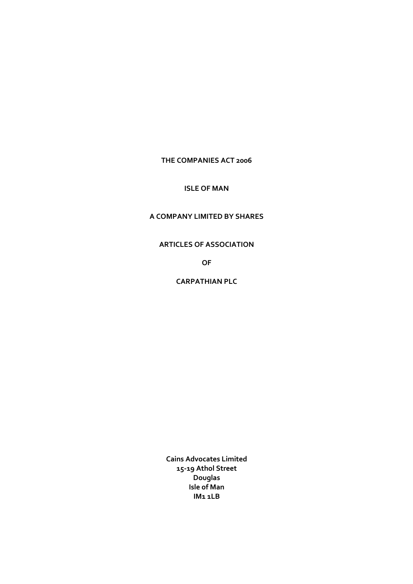# **THE COMPANIES ACT 2006**

# **ISLE OF MAN**

# **A COMPANY LIMITED BY SHARES**

## **ARTICLES OF ASSOCIATION**

**OF**

**CARPATHIAN PLC**

**Cains Advocates Limited 15‐19 Athol Street Douglas Isle of Man IM1 1LB**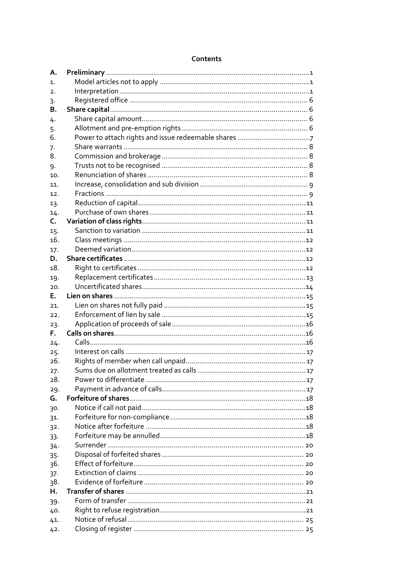| Contents |  |
|----------|--|
|          |  |

| Α.             |                        |            |
|----------------|------------------------|------------|
| $\mathbf{1}$ . |                        |            |
| 2.             |                        |            |
| 3.             |                        |            |
| В.             |                        |            |
| 4.             |                        |            |
| 5.             |                        |            |
| 6.             |                        |            |
| 7.             |                        |            |
| 8.             |                        |            |
| 9.             |                        |            |
| 10.            |                        |            |
| 11.            |                        |            |
| 12.            |                        |            |
| 13.            |                        |            |
| 14.            |                        |            |
| $\mathsf{C}$ . |                        |            |
| 15.            |                        |            |
| 16.            |                        |            |
| 17.            |                        |            |
| D.             |                        |            |
| 18.            |                        |            |
| 19.            |                        |            |
| 20.            |                        |            |
| Е.             |                        |            |
| 21.            |                        |            |
| 22.            |                        |            |
| 23.            |                        |            |
| Е.             |                        |            |
| 24.            |                        |            |
| 25.            |                        |            |
| 26.            |                        |            |
| 27.            |                        |            |
| 28.            | Power to differentiate | $\dots 17$ |
| 29.            |                        |            |
| G.             |                        |            |
| 30.            |                        |            |
| 31.            |                        |            |
| 32.            |                        |            |
| $33-$          |                        |            |
| 34.            |                        |            |
| $35-$          |                        |            |
| 36.            |                        |            |
| $37 -$         |                        |            |
| 38.            |                        |            |
| н.             |                        |            |
| 39.            |                        |            |
| 40.            |                        |            |
| 41.            |                        |            |
| 42.            |                        |            |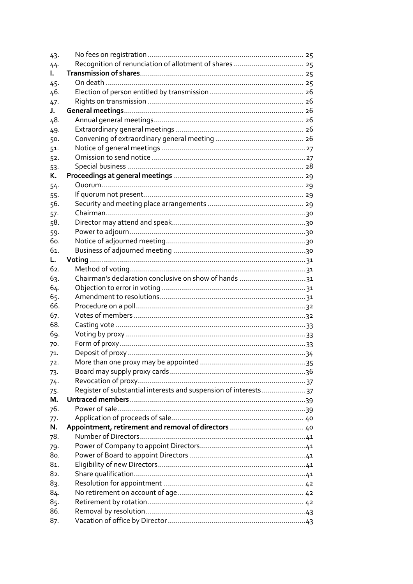| 43.          |                                                                 |  |
|--------------|-----------------------------------------------------------------|--|
| 44.          |                                                                 |  |
| L.           |                                                                 |  |
| 45.          |                                                                 |  |
| 46.          |                                                                 |  |
| 47.          |                                                                 |  |
| J.           |                                                                 |  |
| 48.          |                                                                 |  |
| 49.          |                                                                 |  |
| 50.          |                                                                 |  |
| 51.          |                                                                 |  |
| 52.          |                                                                 |  |
| 53.          |                                                                 |  |
| К.           |                                                                 |  |
| 54.          |                                                                 |  |
| $55 -$       |                                                                 |  |
| 56.          |                                                                 |  |
| .57.         |                                                                 |  |
| 58.          |                                                                 |  |
| 59.          |                                                                 |  |
| 60.          |                                                                 |  |
| 61.          |                                                                 |  |
| L.           |                                                                 |  |
| 62.          |                                                                 |  |
| 63.          | Chairman's declaration conclusive on show of hands 31           |  |
| 64.          |                                                                 |  |
| 65.          |                                                                 |  |
| 66.          |                                                                 |  |
| 67.          |                                                                 |  |
| 68.          |                                                                 |  |
| 69.          |                                                                 |  |
| 70.          |                                                                 |  |
| 71.          |                                                                 |  |
|              |                                                                 |  |
| 72.          |                                                                 |  |
| 73.          |                                                                 |  |
| 74.          | Register of substantial interests and suspension of interests37 |  |
| $75 -$<br>М. |                                                                 |  |
| 76.          |                                                                 |  |
|              |                                                                 |  |
| 77.<br>N.    |                                                                 |  |
| 78.          |                                                                 |  |
|              |                                                                 |  |
| 79.<br>80.   |                                                                 |  |
| 81.          |                                                                 |  |
| 82.          |                                                                 |  |
|              |                                                                 |  |
| 83.          |                                                                 |  |
| 84.          |                                                                 |  |
| 85.          |                                                                 |  |
| 86.          |                                                                 |  |
| 87.          |                                                                 |  |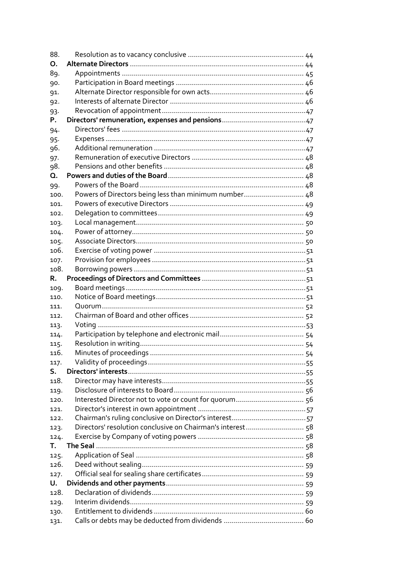| 88.  |                                                       |  |
|------|-------------------------------------------------------|--|
| О.   |                                                       |  |
| 89.  |                                                       |  |
| 90.  |                                                       |  |
| 91.  |                                                       |  |
| 92.  |                                                       |  |
| 93.  |                                                       |  |
| Ρ.   |                                                       |  |
| 94.  |                                                       |  |
| 95.  |                                                       |  |
| 96.  |                                                       |  |
| 97.  |                                                       |  |
| 98.  |                                                       |  |
| Q.   |                                                       |  |
| 99.  |                                                       |  |
| 100. | Powers of Directors being less than minimum number 48 |  |
| 101. |                                                       |  |
| 102. |                                                       |  |
| 103. |                                                       |  |
| 104. |                                                       |  |
| 105. |                                                       |  |
| 106. |                                                       |  |
| 107. |                                                       |  |
| 108. |                                                       |  |
| R.   |                                                       |  |
| 109. |                                                       |  |
| 110. |                                                       |  |
| 111. |                                                       |  |
| 112. |                                                       |  |
| 113. |                                                       |  |
| 114. |                                                       |  |
| 115. |                                                       |  |
| 116. |                                                       |  |
| 117. |                                                       |  |
| S.   |                                                       |  |
| 118. |                                                       |  |
| 119. |                                                       |  |
| 120. |                                                       |  |
| 121. |                                                       |  |
| 122. |                                                       |  |
| 123. |                                                       |  |
| 124. |                                                       |  |
| Т.   |                                                       |  |
| 125. |                                                       |  |
| 126. |                                                       |  |
| 127. |                                                       |  |
| U.   |                                                       |  |
| 128. |                                                       |  |
| 129. |                                                       |  |
| 130. |                                                       |  |
| 131. |                                                       |  |
|      |                                                       |  |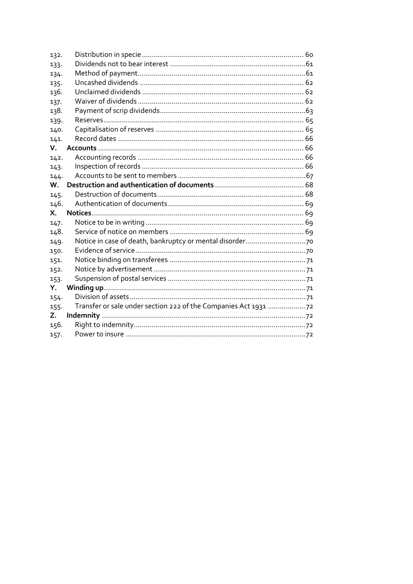| 132. |  |
|------|--|
| 133. |  |
| 134. |  |
| 135. |  |
| 136. |  |
| 137. |  |
| 138. |  |
| 139. |  |
| 140. |  |
| 141. |  |
| V.   |  |
| 142. |  |
| 143. |  |
| 144. |  |
| W.   |  |
| 145. |  |
| 146. |  |
| Χ.   |  |
| 147. |  |
| 148. |  |
| 149. |  |
| 150. |  |
| 151. |  |
| 152. |  |
| 153. |  |
| Y.   |  |
| 154. |  |
| 155. |  |
| Z.   |  |
| 156. |  |
| 157. |  |
|      |  |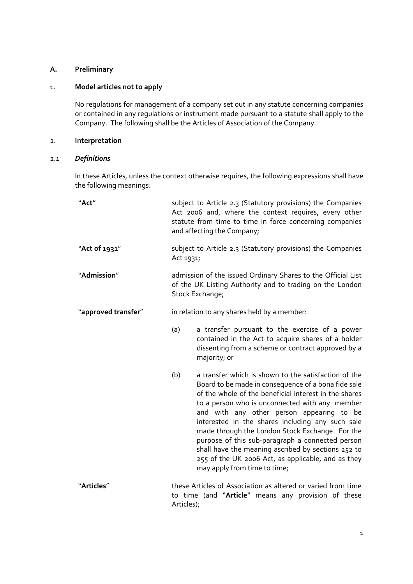# <span id="page-5-0"></span>**A. Preliminary**

# 1. **Model articles not to apply**

No regulations for management of a company set out in any statute concerning companies or contained in any regulations or instrument made pursuant to a statute shall apply to the Company. The following shall be the Articles of Association of the Company.

## 2. **Interpretation**

## 2.1 *Definitions*

In these Articles, unless the context otherwise requires, the following expressions shall have the following meanings:

| "Act"               |                                                                                                                                             | subject to Article 2.3 (Statutory provisions) the Companies<br>Act 2006 and, where the context requires, every other<br>statute from time to time in force concerning companies<br>and affecting the Company;                                                                                                                                                                                                                                                                                                                                                              |
|---------------------|---------------------------------------------------------------------------------------------------------------------------------------------|----------------------------------------------------------------------------------------------------------------------------------------------------------------------------------------------------------------------------------------------------------------------------------------------------------------------------------------------------------------------------------------------------------------------------------------------------------------------------------------------------------------------------------------------------------------------------|
| "Act of 1931"       | Act 1931;                                                                                                                                   | subject to Article 2.3 (Statutory provisions) the Companies                                                                                                                                                                                                                                                                                                                                                                                                                                                                                                                |
| "Admission"         | admission of the issued Ordinary Shares to the Official List<br>of the UK Listing Authority and to trading on the London<br>Stock Exchange; |                                                                                                                                                                                                                                                                                                                                                                                                                                                                                                                                                                            |
| "approved transfer" | in relation to any shares held by a member:                                                                                                 |                                                                                                                                                                                                                                                                                                                                                                                                                                                                                                                                                                            |
|                     | (a)                                                                                                                                         | a transfer pursuant to the exercise of a power<br>contained in the Act to acquire shares of a holder<br>dissenting from a scheme or contract approved by a<br>majority; or                                                                                                                                                                                                                                                                                                                                                                                                 |
|                     | (b)                                                                                                                                         | a transfer which is shown to the satisfaction of the<br>Board to be made in consequence of a bona fide sale<br>of the whole of the beneficial interest in the shares<br>to a person who is unconnected with any member<br>and with any other person appearing to be<br>interested in the shares including any such sale<br>made through the London Stock Exchange. For the<br>purpose of this sub-paragraph a connected person<br>shall have the meaning ascribed by sections 252 to<br>255 of the UK 2006 Act, as applicable, and as they<br>may apply from time to time; |
| "Articles"          | these Articles of Association as altered or varied from time<br>to time (and "Article" means any provision of these<br>Articles);           |                                                                                                                                                                                                                                                                                                                                                                                                                                                                                                                                                                            |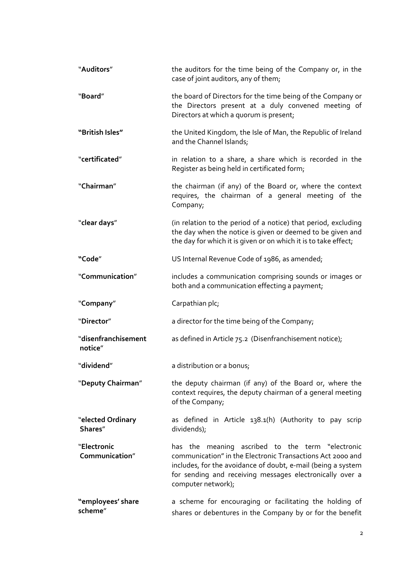| "Auditors"                     | the auditors for the time being of the Company or, in the<br>case of joint auditors, any of them;                                                                                                                                                                |
|--------------------------------|------------------------------------------------------------------------------------------------------------------------------------------------------------------------------------------------------------------------------------------------------------------|
| "Board"                        | the board of Directors for the time being of the Company or<br>the Directors present at a duly convened meeting of<br>Directors at which a quorum is present;                                                                                                    |
| "British Isles"                | the United Kingdom, the Isle of Man, the Republic of Ireland<br>and the Channel Islands;                                                                                                                                                                         |
| "certificated"                 | in relation to a share, a share which is recorded in the<br>Register as being held in certificated form;                                                                                                                                                         |
| "Chairman"                     | the chairman (if any) of the Board or, where the context<br>requires, the chairman of a general meeting of the<br>Company;                                                                                                                                       |
| "clear days"                   | (in relation to the period of a notice) that period, excluding<br>the day when the notice is given or deemed to be given and<br>the day for which it is given or on which it is to take effect;                                                                  |
| "Code"                         | US Internal Revenue Code of 1986, as amended;                                                                                                                                                                                                                    |
| "Communication"                | includes a communication comprising sounds or images or<br>both and a communication effecting a payment;                                                                                                                                                         |
|                                |                                                                                                                                                                                                                                                                  |
| "Company"                      | Carpathian plc;                                                                                                                                                                                                                                                  |
| "Director"                     | a director for the time being of the Company;                                                                                                                                                                                                                    |
| "disenfranchisement<br>notice" | as defined in Article 75.2 (Disenfranchisement notice);                                                                                                                                                                                                          |
| "dividend"                     | a distribution or a bonus;                                                                                                                                                                                                                                       |
| "Deputy Chairman"              | the deputy chairman (if any) of the Board or, where the<br>context requires, the deputy chairman of a general meeting<br>of the Company;                                                                                                                         |
| "elected Ordinary<br>Shares"   | as defined in Article 138.1(h) (Authority to pay scrip<br>dividends);                                                                                                                                                                                            |
| "Electronic<br>Communication"  | has the meaning ascribed to the term "electronic<br>communication" in the Electronic Transactions Act 2000 and<br>includes, for the avoidance of doubt, e-mail (being a system<br>for sending and receiving messages electronically over a<br>computer network); |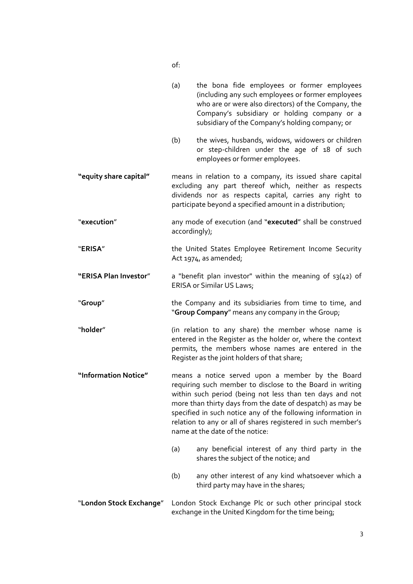(a) the bona fide employees or former employees (including any such employees or former employees who are or were also directors) of the Company, the Company's subsidiary or holding company or a subsidiary of the Company's holding company; or (b) the wives, husbands, widows, widowers or children or step-children under the age of 18 of such employees or former employees. **"equity share capital"** means in relation to a company, its issued share capital excluding any part thereof which, neither as respects dividends nor as respects capital, carries any right to participate beyond a specified amount in a distribution; "**execution**" any mode of execution (and "executed" shall be construed accordingly); "**ERISA**" the United States Employee Retirement Income Security Act 1974, as amended; **"ERISA Plan Investor**" a "benefit plan investor" within the meaning of s3(42) of ERISA or Similar US Laws; "**Group**" the Company and its subsidiaries from time to time, and "**Group Company**" means any company in the Group; "**holder**" (in relation to any share) the member whose name is entered in the Register as the holder or, where the context permits, the members whose names are entered in the Register as the joint holders of that share; **"Information Notice"** means a notice served upon a member by the Board requiring such member to disclose to the Board in writing within such period (being not less than ten days and not more than thirty days from the date of despatch) as may be specified in such notice any of the following information in relation to any or all of shares registered in such member's name at the date of the notice: (a) any beneficial interest of any third party in the shares the subject of the notice; and (b) any other interest of any kind whatsoever which a third party may have in the shares; "**London Stock Exchange**" London Stock Exchange Plc or such other principal stock exchange in the United Kingdom for the time being;

of: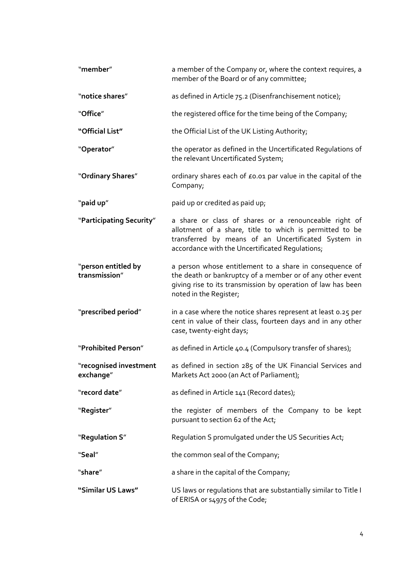| "member"                             | a member of the Company or, where the context requires, a<br>member of the Board or of any committee;                                                                                                                      |
|--------------------------------------|----------------------------------------------------------------------------------------------------------------------------------------------------------------------------------------------------------------------------|
| "notice shares"                      | as defined in Article 75.2 (Disenfranchisement notice);                                                                                                                                                                    |
| "Office"                             | the registered office for the time being of the Company;                                                                                                                                                                   |
| "Official List"                      | the Official List of the UK Listing Authority;                                                                                                                                                                             |
| "Operator"                           | the operator as defined in the Uncertificated Regulations of<br>the relevant Uncertificated System;                                                                                                                        |
| "Ordinary Shares"                    | ordinary shares each of £0.01 par value in the capital of the<br>Company;                                                                                                                                                  |
| "paid up"                            | paid up or credited as paid up;                                                                                                                                                                                            |
| "Participating Security"             | a share or class of shares or a renounceable right of<br>allotment of a share, title to which is permitted to be<br>transferred by means of an Uncertificated System in<br>accordance with the Uncertificated Regulations; |
| "person entitled by<br>transmission" | a person whose entitlement to a share in consequence of<br>the death or bankruptcy of a member or of any other event<br>giving rise to its transmission by operation of law has been<br>noted in the Register;             |
| "prescribed period"                  | in a case where the notice shares represent at least 0.25 per<br>cent in value of their class, fourteen days and in any other<br>case, twenty-eight days;                                                                  |
| "Prohibited Person"                  | as defined in Article 40.4 (Compulsory transfer of shares);                                                                                                                                                                |
| "recognised investment<br>exchange"  | as defined in section 285 of the UK Financial Services and<br>Markets Act 2000 (an Act of Parliament);                                                                                                                     |
| "record date"                        | as defined in Article 141 (Record dates);                                                                                                                                                                                  |
| "Register"                           | the register of members of the Company to be kept<br>pursuant to section 62 of the Act;                                                                                                                                    |
| "Regulation S"                       | Regulation S promulgated under the US Securities Act;                                                                                                                                                                      |
| "Seal"                               | the common seal of the Company;                                                                                                                                                                                            |
| "share"                              | a share in the capital of the Company,                                                                                                                                                                                     |
| "Similar US Laws"                    | US laws or regulations that are substantially similar to Title I<br>of ERISA or s4975 of the Code;                                                                                                                         |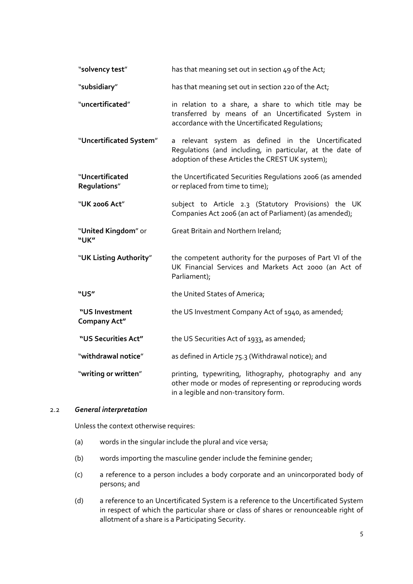| "solvency test"                       | has that meaning set out in section 49 of the Act;                                                                                                                  |
|---------------------------------------|---------------------------------------------------------------------------------------------------------------------------------------------------------------------|
| "subsidiary"                          | has that meaning set out in section 220 of the Act;                                                                                                                 |
| "uncertificated"                      | in relation to a share, a share to which title may be<br>transferred by means of an Uncertificated System in<br>accordance with the Uncertificated Regulations;     |
| "Uncertificated System"               | a relevant system as defined in the Uncertificated<br>Regulations (and including, in particular, at the date of<br>adoption of these Articles the CREST UK system); |
| "Uncertificated<br>Regulations"       | the Uncertificated Securities Regulations 2006 (as amended<br>or replaced from time to time);                                                                       |
| "UK 2006 Act"                         | subject to Article 2.3 (Statutory Provisions) the UK<br>Companies Act 2006 (an act of Parliament) (as amended);                                                     |
| "United Kingdom" or<br>"UK"           | Great Britain and Northern Ireland;                                                                                                                                 |
| "UK Listing Authority"                | the competent authority for the purposes of Part VI of the<br>UK Financial Services and Markets Act 2000 (an Act of<br>Parliament);                                 |
| "US"                                  | the United States of America;                                                                                                                                       |
| "US Investment<br><b>Company Act"</b> | the US Investment Company Act of 1940, as amended;                                                                                                                  |
| "US Securities Act"                   | the US Securities Act of 1933, as amended;                                                                                                                          |
| "withdrawal notice"                   | as defined in Article 75.3 (Withdrawal notice); and                                                                                                                 |
| "writing or written"                  | printing, typewriting, lithography, photography and any<br>other mode or modes of representing or reproducing words<br>in a legible and non-transitory form.        |

## 2.2 *General interpretation*

Unless the context otherwise requires:

- (a) words in the singular include the plural and vice versa;
- (b) words importing the masculine gender include the feminine gender;
- (c) a reference to a person includes a body corporate and an unincorporated body of persons; and
- (d) a reference to an Uncertificated System is a reference to the Uncertificated System in respect of which the particular share or class of shares or renounceable right of allotment of a share is a Participating Security.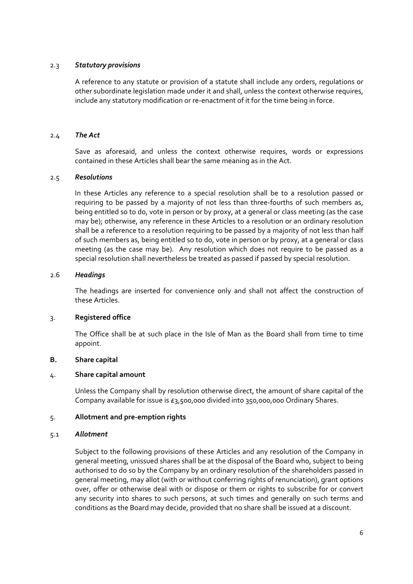## <span id="page-10-0"></span>2.3 *Statutory provisions*

A reference to any statute or provision of a statute shall include any orders, regulations or other subordinate legislation made under it and shall, unless the context otherwise requires, include any statutory modification or re‐enactment of it for the time being in force.

### 2.4 *The Act*

Save as aforesaid, and unless the context otherwise requires, words or expressions contained in these Articles shall bear the same meaning as in the Act.

## 2.5 *Resolutions*

In these Articles any reference to a special resolution shall be to a resolution passed or requiring to be passed by a majority of not less than three‐fourths of such members as, being entitled so to do, vote in person or by proxy, at a general or class meeting (as the case may be); otherwise, any reference in these Articles to a resolution or an ordinary resolution shall be a reference to a resolution requiring to be passed by a majority of not less than half of such members as, being entitled so to do, vote in person or by proxy, at a general or class meeting (as the case may be). Any resolution which does not require to be passed as a special resolution shall nevertheless be treated as passed if passed by special resolution.

## 2.6 *Headings*

The headings are inserted for convenience only and shall not affect the construction of these Articles.

#### 3. **Registered office**

The Office shall be at such place in the Isle of Man as the Board shall from time to time appoint.

## **B. Share capital**

#### 4. **Share capital amount**

Unless the Company shall by resolution otherwise direct, the amount of share capital of the Company available for issue is £3,500,000 divided into 350,000,000 Ordinary Shares.

#### 5. **Allotment and pre‐emption rights**

#### 5.1 *Allotment*

Subject to the following provisions of these Articles and any resolution of the Company in general meeting, unissued shares shall be at the disposal of the Board who, subject to being authorised to do so by the Company by an ordinary resolution of the shareholders passed in general meeting, may allot (with or without conferring rights of renunciation), grant options over, offer or otherwise deal with or dispose or them or rights to subscribe for or convert any security into shares to such persons, at such times and generally on such terms and conditions as the Board may decide, provided that no share shall be issued at a discount.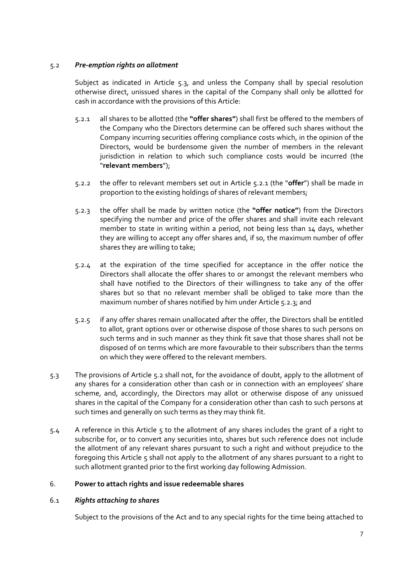## <span id="page-11-0"></span>5.2 *Pre‐emption rights on allotment*

Subject as indicated in Article 5.3, and unless the Company shall by special resolution otherwise direct, unissued shares in the capital of the Company shall only be allotted for cash in accordance with the provisions of this Article:

- 5.2.1 all shares to be allotted (the **"offer shares"**) shall first be offered to the members of the Company who the Directors determine can be offered such shares without the Company incurring securities offering compliance costs which, in the opinion of the Directors, would be burdensome given the number of members in the relevant jurisdiction in relation to which such compliance costs would be incurred (the "**relevant members**");
- 5.2.2 the offer to relevant members set out in Article 5.2.1 (the "**offer**") shall be made in proportion to the existing holdings of shares of relevant members;
- 5.2.3 the offer shall be made by written notice (the **"offer notice"**) from the Directors specifying the number and price of the offer shares and shall invite each relevant member to state in writing within a period, not being less than 14 days, whether they are willing to accept any offer shares and, if so, the maximum number of offer shares they are willing to take;
- 5.2.4 at the expiration of the time specified for acceptance in the offer notice the Directors shall allocate the offer shares to or amongst the relevant members who shall have notified to the Directors of their willingness to take any of the offer shares but so that no relevant member shall be obliged to take more than the maximum number of shares notified by him under Article 5.2.3; and
- 5.2.5 if any offer shares remain unallocated after the offer, the Directors shall be entitled to allot, grant options over or otherwise dispose of those shares to such persons on such terms and in such manner as they think fit save that those shares shall not be disposed of on terms which are more favourable to their subscribers than the terms on which they were offered to the relevant members.
- 5.3 The provisions of Article 5.2 shall not, for the avoidance of doubt, apply to the allotment of any shares for a consideration other than cash or in connection with an employees' share scheme, and, accordingly, the Directors may allot or otherwise dispose of any unissued shares in the capital of the Company for a consideration other than cash to such persons at such times and generally on such terms as they may think fit.
- 5.4 A reference in this Article 5 to the allotment of any shares includes the grant of a right to subscribe for, or to convert any securities into, shares but such reference does not include the allotment of any relevant shares pursuant to such a right and without prejudice to the foregoing this Article 5 shall not apply to the allotment of any shares pursuant to a right to such allotment granted prior to the first working day following Admission.

## 6. **Power to attach rights and issue redeemable shares**

## 6.1 *Rights attaching to shares*

Subject to the provisions of the Act and to any special rights for the time being attached to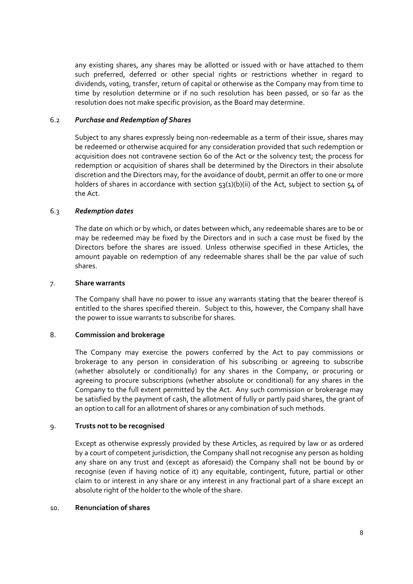<span id="page-12-0"></span>any existing shares, any shares may be allotted or issued with or have attached to them such preferred, deferred or other special rights or restrictions whether in regard to dividends, voting, transfer, return of capital or otherwise as the Company may from time to time by resolution determine or if no such resolution has been passed, or so far as the resolution does not make specific provision, as the Board may determine.

## 6.2 *Purchase and Redemption of Shares*

Subject to any shares expressly being non‐redeemable as a term of their issue, shares may be redeemed or otherwise acquired for any consideration provided that such redemption or acquisition does not contravene section 60 of the Act or the solvency test; the process for redemption or acquisition of shares shall be determined by the Directors in their absolute discretion and the Directors may, for the avoidance of doubt, permit an offer to one or more holders of shares in accordance with section 53(1)(b)(ii) of the Act, subject to section 54 of the Act.

## 6.3 *Redemption dates*

The date on which or by which, or dates between which, any redeemable shares are to be or may be redeemed may be fixed by the Directors and in such a case must be fixed by the Directors before the shares are issued. Unless otherwise specified in these Articles, the amount payable on redemption of any redeemable shares shall be the par value of such shares.

#### 7. **Share warrants**

The Company shall have no power to issue any warrants stating that the bearer thereof is entitled to the shares specified therein. Subject to this, however, the Company shall have the power to issue warrants to subscribe for shares.

#### 8. **Commission and brokerage**

The Company may exercise the powers conferred by the Act to pay commissions or brokerage to any person in consideration of his subscribing or agreeing to subscribe (whether absolutely or conditionally) for any shares in the Company, or procuring or agreeing to procure subscriptions (whether absolute or conditional) for any shares in the Company to the full extent permitted by the Act. Any such commission or brokerage may be satisfied by the payment of cash, the allotment of fully or partly paid shares, the grant of an option to call for an allotment of shares or any combination of such methods.

## 9. **Trusts not to be recognised**

Except as otherwise expressly provided by these Articles, as required by law or as ordered by a court of competent jurisdiction, the Company shall not recognise any person as holding any share on any trust and (except as aforesaid) the Company shall not be bound by or recognise (even if having notice of it) any equitable, contingent, future, partial or other claim to or interest in any share or any interest in any fractional part of a share except an absolute right of the holder to the whole of the share.

### 10. **Renunciation of shares**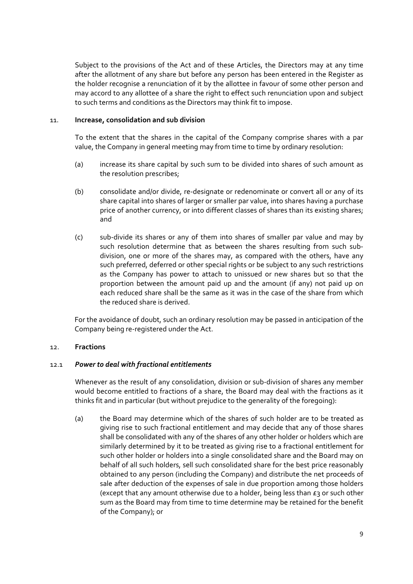<span id="page-13-0"></span>Subject to the provisions of the Act and of these Articles, the Directors may at any time after the allotment of any share but before any person has been entered in the Register as the holder recognise a renunciation of it by the allottee in favour of some other person and may accord to any allottee of a share the right to effect such renunciation upon and subject to such terms and conditions as the Directors may think fit to impose.

#### 11. **Increase, consolidation and sub division**

To the extent that the shares in the capital of the Company comprise shares with a par value, the Company in general meeting may from time to time by ordinary resolution:

- (a) increase its share capital by such sum to be divided into shares of such amount as the resolution prescribes;
- (b) consolidate and/or divide, re‐designate or redenominate or convert all or any of its share capital into shares of larger or smaller par value, into shares having a purchase price of another currency, or into different classes of shares than its existing shares; and
- (c) sub‐divide its shares or any of them into shares of smaller par value and may by such resolution determine that as between the shares resulting from such subdivision, one or more of the shares may, as compared with the others, have any such preferred, deferred or other special rights or be subject to any such restrictions as the Company has power to attach to unissued or new shares but so that the proportion between the amount paid up and the amount (if any) not paid up on each reduced share shall be the same as it was in the case of the share from which the reduced share is derived.

For the avoidance of doubt, such an ordinary resolution may be passed in anticipation of the Company being re‐registered under the Act.

#### 12. **Fractions**

#### 12.1 *Power to deal with fractional entitlements*

Whenever as the result of any consolidation, division or sub-division of shares any member would become entitled to fractions of a share, the Board may deal with the fractions as it thinks fit and in particular (but without prejudice to the generality of the foregoing):

(a) the Board may determine which of the shares of such holder are to be treated as giving rise to such fractional entitlement and may decide that any of those shares shall be consolidated with any of the shares of any other holder or holders which are similarly determined by it to be treated as giving rise to a fractional entitlement for such other holder or holders into a single consolidated share and the Board may on behalf of all such holders, sell such consolidated share for the best price reasonably obtained to any person (including the Company) and distribute the net proceeds of sale after deduction of the expenses of sale in due proportion among those holders (except that any amount otherwise due to a holder, being less than  $E_3$  or such other sum as the Board may from time to time determine may be retained for the benefit of the Company); or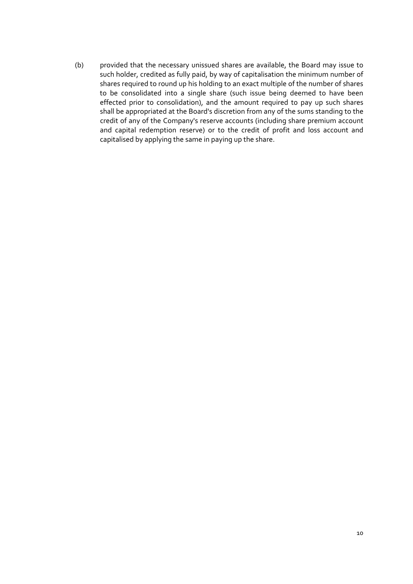(b) provided that the necessary unissued shares are available, the Board may issue to such holder, credited as fully paid, by way of capitalisation the minimum number of shares required to round up his holding to an exact multiple of the number of shares to be consolidated into a single share (such issue being deemed to have been effected prior to consolidation), and the amount required to pay up such shares shall be appropriated at the Board's discretion from any of the sums standing to the credit of any of the Company's reserve accounts (including share premium account and capital redemption reserve) or to the credit of profit and loss account and capitalised by applying the same in paying up the share.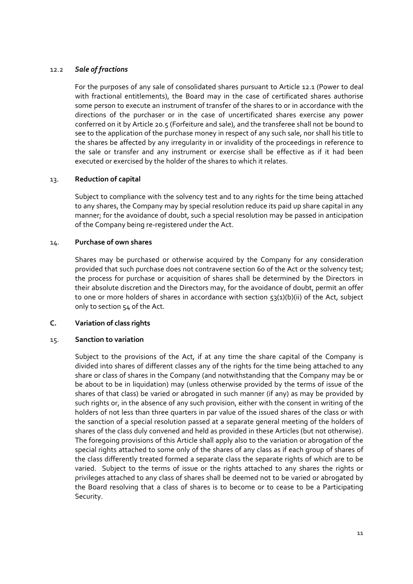## <span id="page-15-0"></span>12.2 *Sale of fractions*

For the purposes of any sale of consolidated shares pursuant to Article 12.1 (Power to deal with fractional entitlements), the Board may in the case of certificated shares authorise some person to execute an instrument of transfer of the shares to or in accordance with the directions of the purchaser or in the case of uncertificated shares exercise any power conferred on it by Article 20.5 (Forfeiture and sale), and the transferee shall not be bound to see to the application of the purchase money in respect of any such sale, nor shall his title to the shares be affected by any irregularity in or invalidity of the proceedings in reference to the sale or transfer and any instrument or exercise shall be effective as if it had been executed or exercised by the holder of the shares to which it relates.

## 13. **Reduction of capital**

Subject to compliance with the solvency test and to any rights for the time being attached to any shares, the Company may by special resolution reduce its paid up share capital in any manner; for the avoidance of doubt, such a special resolution may be passed in anticipation of the Company being re‐registered under the Act.

## 14. **Purchase of own shares**

Shares may be purchased or otherwise acquired by the Company for any consideration provided that such purchase does not contravene section 60 of the Act or the solvency test; the process for purchase or acquisition of shares shall be determined by the Directors in their absolute discretion and the Directors may, for the avoidance of doubt, permit an offer to one or more holders of shares in accordance with section 53(1)(b)(ii) of the Act, subject only to section 54 of the Act.

### **C. Variation of class rights**

#### 15. **Sanction to variation**

Subject to the provisions of the Act, if at any time the share capital of the Company is divided into shares of different classes any of the rights for the time being attached to any share or class of shares in the Company (and notwithstanding that the Company may be or be about to be in liquidation) may (unless otherwise provided by the terms of issue of the shares of that class) be varied or abrogated in such manner (if any) as may be provided by such rights or, in the absence of any such provision, either with the consent in writing of the holders of not less than three quarters in par value of the issued shares of the class or with the sanction of a special resolution passed at a separate general meeting of the holders of shares of the class duly convened and held as provided in these Articles (but not otherwise). The foregoing provisions of this Article shall apply also to the variation or abrogation of the special rights attached to some only of the shares of any class as if each group of shares of the class differently treated formed a separate class the separate rights of which are to be varied. Subject to the terms of issue or the rights attached to any shares the rights or privileges attached to any class of shares shall be deemed not to be varied or abrogated by the Board resolving that a class of shares is to become or to cease to be a Participating Security.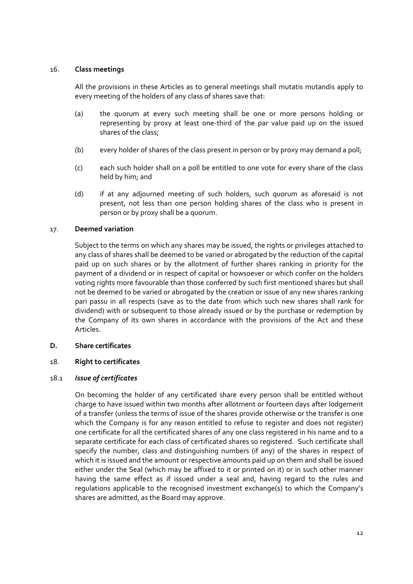## <span id="page-16-0"></span>16. **Class meetings**

All the provisions in these Articles as to general meetings shall mutatis mutandis apply to every meeting of the holders of any class of shares save that:

- (a) the quorum at every such meeting shall be one or more persons holding or representing by proxy at least one-third of the par value paid up on the issued shares of the class;
- (b) every holder of shares of the class present in person or by proxy may demand a poll;
- (c) each such holder shall on a poll be entitled to one vote for every share of the class held by him; and
- (d) if at any adjourned meeting of such holders, such quorum as aforesaid is not present, not less than one person holding shares of the class who is present in person or by proxy shall be a quorum.

## 17. **Deemed variation**

Subject to the terms on which any shares may be issued, the rights or privileges attached to any class of shares shall be deemed to be varied or abrogated by the reduction of the capital paid up on such shares or by the allotment of further shares ranking in priority for the payment of a dividend or in respect of capital or howsoever or which confer on the holders voting rights more favourable than those conferred by such first mentioned shares but shall not be deemed to be varied or abrogated by the creation or issue of any new shares ranking pari passu in all respects (save as to the date from which such new shares shall rank for dividend) with or subsequent to those already issued or by the purchase or redemption by the Company of its own shares in accordance with the provisions of the Act and these Articles.

#### **D. Share certificates**

## 18. **Right to certificates**

#### 18.1 *Issue of certificates*

On becoming the holder of any certificated share every person shall be entitled without charge to have issued within two months after allotment or fourteen days after lodgement of a transfer (unless the terms of issue of the shares provide otherwise or the transfer is one which the Company is for any reason entitled to refuse to register and does not register) one certificate for all the certificated shares of any one class registered in his name and to a separate certificate for each class of certificated shares so registered. Such certificate shall specify the number, class and distinguishing numbers (if any) of the shares in respect of which it is issued and the amount or respective amounts paid up on them and shall be issued either under the Seal (which may be affixed to it or printed on it) or in such other manner having the same effect as if issued under a seal and, having regard to the rules and regulations applicable to the recognised investment exchange(s) to which the Company's shares are admitted, as the Board may approve.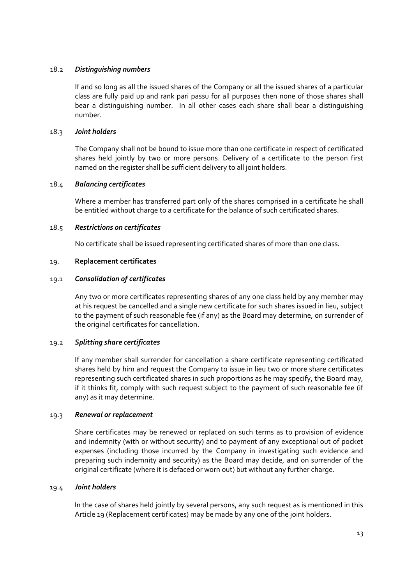## <span id="page-17-0"></span>18.2 *Distinguishing numbers*

If and so long as all the issued shares of the Company or all the issued shares of a particular class are fully paid up and rank pari passu for all purposes then none of those shares shall bear a distinguishing number. In all other cases each share shall bear a distinguishing number.

## 18.3 *Joint holders*

The Company shall not be bound to issue more than one certificate in respect of certificated shares held jointly by two or more persons. Delivery of a certificate to the person first named on the register shall be sufficient delivery to all joint holders.

## 18.4 *Balancing certificates*

Where a member has transferred part only of the shares comprised in a certificate he shall be entitled without charge to a certificate for the balance of such certificated shares.

## 18.5 *Restrictions on certificates*

No certificate shall be issued representing certificated shares of more than one class.

## 19. **Replacement certificates**

## 19.1 *Consolidation of certificates*

Any two or more certificates representing shares of any one class held by any member may at his request be cancelled and a single new certificate for such shares issued in lieu, subject to the payment of such reasonable fee (if any) as the Board may determine, on surrender of the original certificates for cancellation.

## 19.2 *Splitting share certificates*

If any member shall surrender for cancellation a share certificate representing certificated shares held by him and request the Company to issue in lieu two or more share certificates representing such certificated shares in such proportions as he may specify, the Board may, if it thinks fit, comply with such request subject to the payment of such reasonable fee (if any) as it may determine.

#### 19.3 *Renewal or replacement*

Share certificates may be renewed or replaced on such terms as to provision of evidence and indemnity (with or without security) and to payment of any exceptional out of pocket expenses (including those incurred by the Company in investigating such evidence and preparing such indemnity and security) as the Board may decide, and on surrender of the original certificate (where it is defaced or worn out) but without any further charge.

## 19.4 *Joint holders*

In the case of shares held jointly by several persons, any such request as is mentioned in this Article 19 (Replacement certificates) may be made by any one of the joint holders.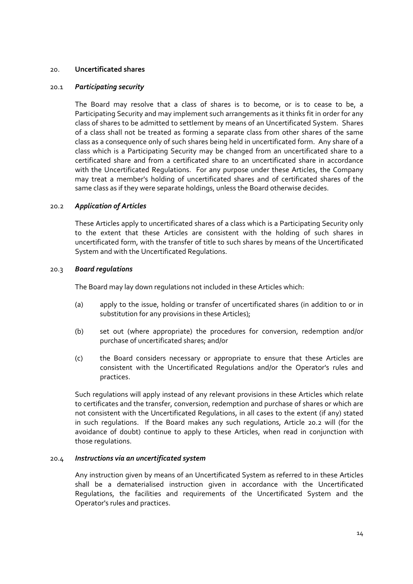#### <span id="page-18-0"></span>20. **Uncertificated shares**

## 20.1 *Participating security*

The Board may resolve that a class of shares is to become, or is to cease to be, a Participating Security and may implement such arrangements as it thinks fit in order for any class of shares to be admitted to settlement by means of an Uncertificated System. Shares of a class shall not be treated as forming a separate class from other shares of the same class as a consequence only of such shares being held in uncertificated form. Any share of a class which is a Participating Security may be changed from an uncertificated share to a certificated share and from a certificated share to an uncertificated share in accordance with the Uncertificated Regulations. For any purpose under these Articles, the Company may treat a member's holding of uncertificated shares and of certificated shares of the same class as if they were separate holdings, unless the Board otherwise decides.

## 20.2 *Application of Articles*

These Articles apply to uncertificated shares of a class which is a Participating Security only to the extent that these Articles are consistent with the holding of such shares in uncertificated form, with the transfer of title to such shares by means of the Uncertificated System and with the Uncertificated Regulations.

#### 20.3 *Board regulations*

The Board may lay down regulations not included in these Articles which:

- (a) apply to the issue, holding or transfer of uncertificated shares (in addition to or in substitution for any provisions in these Articles);
- (b) set out (where appropriate) the procedures for conversion, redemption and/or purchase of uncertificated shares; and/or
- (c) the Board considers necessary or appropriate to ensure that these Articles are consistent with the Uncertificated Regulations and/or the Operator's rules and practices.

Such regulations will apply instead of any relevant provisions in these Articles which relate to certificates and the transfer, conversion, redemption and purchase of shares or which are not consistent with the Uncertificated Regulations, in all cases to the extent (if any) stated in such regulations. If the Board makes any such regulations, Article 20.2 will (for the avoidance of doubt) continue to apply to these Articles, when read in conjunction with those regulations.

#### 20.4 *Instructions via an uncertificated system*

Any instruction given by means of an Uncertificated System as referred to in these Articles shall be a dematerialised instruction given in accordance with the Uncertificated Regulations, the facilities and requirements of the Uncertificated System and the Operator's rules and practices.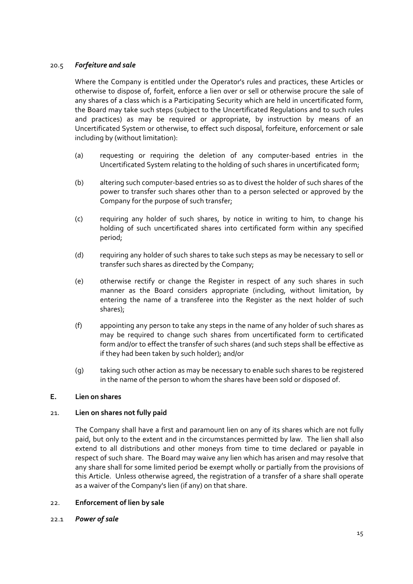## <span id="page-19-0"></span>20.5 *Forfeiture and sale*

Where the Company is entitled under the Operator's rules and practices, these Articles or otherwise to dispose of, forfeit, enforce a lien over or sell or otherwise procure the sale of any shares of a class which is a Participating Security which are held in uncertificated form, the Board may take such steps (subject to the Uncertificated Regulations and to such rules and practices) as may be required or appropriate, by instruction by means of an Uncertificated System or otherwise, to effect such disposal, forfeiture, enforcement or sale including by (without limitation):

- (a) requesting or requiring the deletion of any computer‐based entries in the Uncertificated System relating to the holding of such shares in uncertificated form;
- (b) altering such computer‐based entries so as to divest the holder of such shares of the power to transfer such shares other than to a person selected or approved by the Company for the purpose of such transfer;
- (c) requiring any holder of such shares, by notice in writing to him, to change his holding of such uncertificated shares into certificated form within any specified period;
- (d) requiring any holder of such shares to take such steps as may be necessary to sell or transfer such shares as directed by the Company;
- (e) otherwise rectify or change the Register in respect of any such shares in such manner as the Board considers appropriate (including, without limitation, by entering the name of a transferee into the Register as the next holder of such shares);
- (f) appointing any person to take any steps in the name of any holder of such shares as may be required to change such shares from uncertificated form to certificated form and/or to effect the transfer of such shares (and such steps shall be effective as if they had been taken by such holder); and/or
- (g) taking such other action as may be necessary to enable such shares to be registered in the name of the person to whom the shares have been sold or disposed of.

## **E. Lien on shares**

#### 21. **Lien on shares not fully paid**

The Company shall have a first and paramount lien on any of its shares which are not fully paid, but only to the extent and in the circumstances permitted by law. The lien shall also extend to all distributions and other moneys from time to time declared or payable in respect of such share. The Board may waive any lien which has arisen and may resolve that any share shall for some limited period be exempt wholly or partially from the provisions of this Article. Unless otherwise agreed, the registration of a transfer of a share shall operate as a waiver of the Company's lien (if any) on that share.

#### 22. **Enforcement of lien by sale**

22.1 *Power of sale*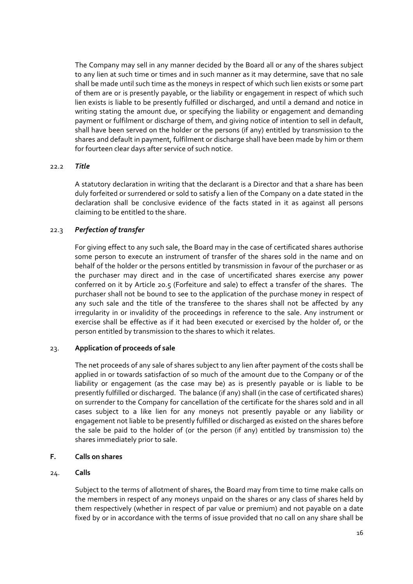<span id="page-20-0"></span>The Company may sell in any manner decided by the Board all or any of the shares subject to any lien at such time or times and in such manner as it may determine, save that no sale shall be made until such time as the moneys in respect of which such lien exists or some part of them are or is presently payable, or the liability or engagement in respect of which such lien exists is liable to be presently fulfilled or discharged, and until a demand and notice in writing stating the amount due, or specifying the liability or engagement and demanding payment or fulfilment or discharge of them, and giving notice of intention to sell in default, shall have been served on the holder or the persons (if any) entitled by transmission to the shares and default in payment, fulfilment or discharge shall have been made by him or them for fourteen clear days after service of such notice.

## 22.2 *Title*

A statutory declaration in writing that the declarant is a Director and that a share has been duly forfeited or surrendered or sold to satisfy a lien of the Company on a date stated in the declaration shall be conclusive evidence of the facts stated in it as against all persons claiming to be entitled to the share.

# 22.3 *Perfection of transfer*

For giving effect to any such sale, the Board may in the case of certificated shares authorise some person to execute an instrument of transfer of the shares sold in the name and on behalf of the holder or the persons entitled by transmission in favour of the purchaser or as the purchaser may direct and in the case of uncertificated shares exercise any power conferred on it by Article 20.5 (Forfeiture and sale) to effect a transfer of the shares. The purchaser shall not be bound to see to the application of the purchase money in respect of any such sale and the title of the transferee to the shares shall not be affected by any irregularity in or invalidity of the proceedings in reference to the sale. Any instrument or exercise shall be effective as if it had been executed or exercised by the holder of, or the person entitled by transmission to the shares to which it relates.

## 23. **Application of proceeds of sale**

The net proceeds of any sale of shares subject to any lien after payment of the costs shall be applied in or towards satisfaction of so much of the amount due to the Company or of the liability or engagement (as the case may be) as is presently payable or is liable to be presently fulfilled or discharged. The balance (if any) shall (in the case of certificated shares) on surrender to the Company for cancellation of the certificate for the shares sold and in all cases subject to a like lien for any moneys not presently payable or any liability or engagement not liable to be presently fulfilled or discharged as existed on the shares before the sale be paid to the holder of (or the person (if any) entitled by transmission to) the shares immediately prior to sale.

## **F. Calls on shares**

## 24. **Calls**

Subject to the terms of allotment of shares, the Board may from time to time make calls on the members in respect of any moneys unpaid on the shares or any class of shares held by them respectively (whether in respect of par value or premium) and not payable on a date fixed by or in accordance with the terms of issue provided that no call on any share shall be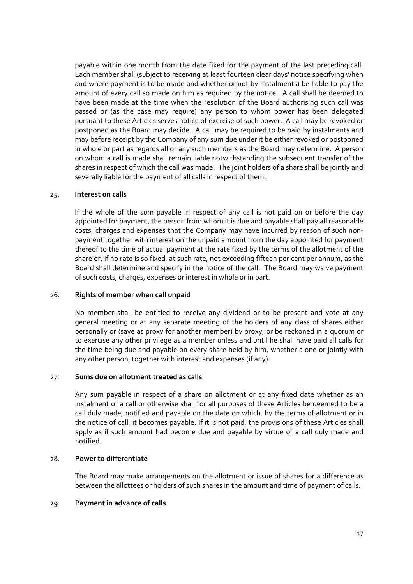<span id="page-21-0"></span>payable within one month from the date fixed for the payment of the last preceding call. Each member shall (subject to receiving at least fourteen clear days' notice specifying when and where payment is to be made and whether or not by instalments) be liable to pay the amount of every call so made on him as required by the notice. A call shall be deemed to have been made at the time when the resolution of the Board authorising such call was passed or (as the case may require) any person to whom power has been delegated pursuant to these Articles serves notice of exercise of such power. A call may be revoked or postponed as the Board may decide. A call may be required to be paid by instalments and may before receipt by the Company of any sum due under it be either revoked or postponed in whole or part as regards all or any such members as the Board may determine. A person on whom a call is made shall remain liable notwithstanding the subsequent transfer of the shares in respect of which the call was made. The joint holders of a share shall be jointly and severally liable for the payment of all calls in respect of them.

#### 25. **Interest on calls**

If the whole of the sum payable in respect of any call is not paid on or before the day appointed for payment, the person from whom it is due and payable shall pay all reasonable costs, charges and expenses that the Company may have incurred by reason of such non‐ payment together with interest on the unpaid amount from the day appointed for payment thereof to the time of actual payment at the rate fixed by the terms of the allotment of the share or, if no rate is so fixed, at such rate, not exceeding fifteen per cent per annum, as the Board shall determine and specify in the notice of the call. The Board may waive payment of such costs, charges, expenses or interest in whole or in part.

### 26. **Rights of member when call unpaid**

No member shall be entitled to receive any dividend or to be present and vote at any general meeting or at any separate meeting of the holders of any class of shares either personally or (save as proxy for another member) by proxy, or be reckoned in a quorum or to exercise any other privilege as a member unless and until he shall have paid all calls for the time being due and payable on every share held by him, whether alone or jointly with any other person, together with interest and expenses (if any).

### 27. **Sums due on allotment treated as calls**

Any sum payable in respect of a share on allotment or at any fixed date whether as an instalment of a call or otherwise shall for all purposes of these Articles be deemed to be a call duly made, notified and payable on the date on which, by the terms of allotment or in the notice of call, it becomes payable. If it is not paid, the provisions of these Articles shall apply as if such amount had become due and payable by virtue of a call duly made and notified.

#### 28. **Power to differentiate**

The Board may make arrangements on the allotment or issue of shares for a difference as between the allottees or holders of such shares in the amount and time of payment of calls.

### 29. **Payment in advance of calls**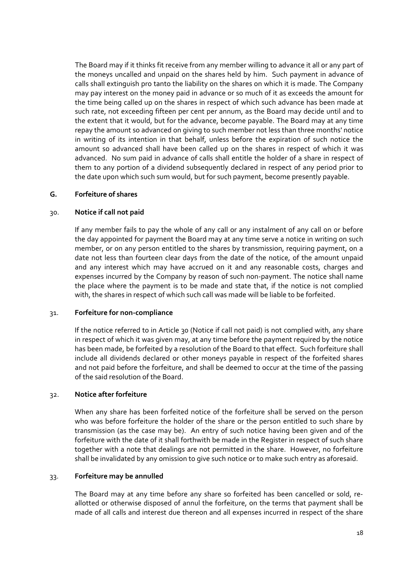<span id="page-22-0"></span>The Board may if it thinks fit receive from any member willing to advance it all or any part of the moneys uncalled and unpaid on the shares held by him. Such payment in advance of calls shall extinguish pro tanto the liability on the shares on which it is made. The Company may pay interest on the money paid in advance or so much of it as exceeds the amount for the time being called up on the shares in respect of which such advance has been made at such rate, not exceeding fifteen per cent per annum, as the Board may decide until and to the extent that it would, but for the advance, become payable. The Board may at any time repay the amount so advanced on giving to such member not less than three months' notice in writing of its intention in that behalf, unless before the expiration of such notice the amount so advanced shall have been called up on the shares in respect of which it was advanced. No sum paid in advance of calls shall entitle the holder of a share in respect of them to any portion of a dividend subsequently declared in respect of any period prior to the date upon which such sum would, but for such payment, become presently payable.

#### **G. Forfeiture of shares**

## 30. **Notice if call not paid**

If any member fails to pay the whole of any call or any instalment of any call on or before the day appointed for payment the Board may at any time serve a notice in writing on such member, or on any person entitled to the shares by transmission, requiring payment, on a date not less than fourteen clear days from the date of the notice, of the amount unpaid and any interest which may have accrued on it and any reasonable costs, charges and expenses incurred by the Company by reason of such non‐payment. The notice shall name the place where the payment is to be made and state that, if the notice is not complied with, the shares in respect of which such call was made will be liable to be forfeited.

#### 31. **Forfeiture for non‐compliance**

If the notice referred to in Article 30 (Notice if call not paid) is not complied with, any share in respect of which it was given may, at any time before the payment required by the notice has been made, be forfeited by a resolution of the Board to that effect. Such forfeiture shall include all dividends declared or other moneys payable in respect of the forfeited shares and not paid before the forfeiture, and shall be deemed to occur at the time of the passing of the said resolution of the Board.

### 32. **Notice after forfeiture**

When any share has been forfeited notice of the forfeiture shall be served on the person who was before forfeiture the holder of the share or the person entitled to such share by transmission (as the case may be). An entry of such notice having been given and of the forfeiture with the date of it shall forthwith be made in the Register in respect of such share together with a note that dealings are not permitted in the share. However, no forfeiture shall be invalidated by any omission to give such notice or to make such entry as aforesaid.

#### 33. **Forfeiture may be annulled**

The Board may at any time before any share so forfeited has been cancelled or sold, re‐ allotted or otherwise disposed of annul the forfeiture, on the terms that payment shall be made of all calls and interest due thereon and all expenses incurred in respect of the share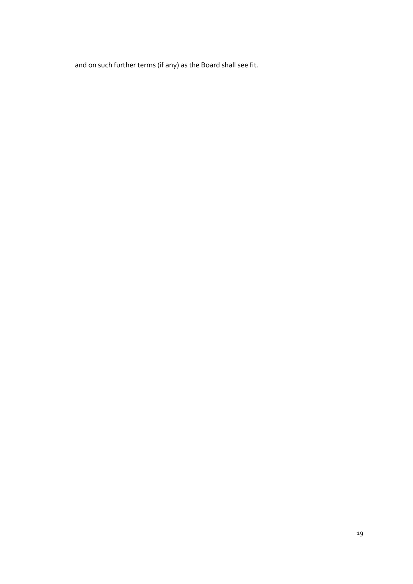and on such further terms (if any) as the Board shall see fit.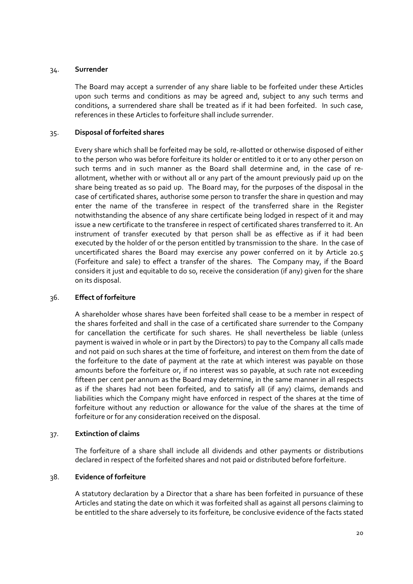#### <span id="page-24-0"></span>34. **Surrender**

The Board may accept a surrender of any share liable to be forfeited under these Articles upon such terms and conditions as may be agreed and, subject to any such terms and conditions, a surrendered share shall be treated as if it had been forfeited. In such case, references in these Articles to forfeiture shall include surrender.

## 35. **Disposal of forfeited shares**

Every share which shall be forfeited may be sold, re‐allotted or otherwise disposed of either to the person who was before forfeiture its holder or entitled to it or to any other person on such terms and in such manner as the Board shall determine and, in the case of reallotment, whether with or without all or any part of the amount previously paid up on the share being treated as so paid up. The Board may, for the purposes of the disposal in the case of certificated shares, authorise some person to transfer the share in question and may enter the name of the transferee in respect of the transferred share in the Register notwithstanding the absence of any share certificate being lodged in respect of it and may issue a new certificate to the transferee in respect of certificated shares transferred to it. An instrument of transfer executed by that person shall be as effective as if it had been executed by the holder of or the person entitled by transmission to the share. In the case of uncertificated shares the Board may exercise any power conferred on it by Article 20.5 (Forfeiture and sale) to effect a transfer of the shares. The Company may, if the Board considers it just and equitable to do so, receive the consideration (if any) given for the share on its disposal.

## 36. **Effect of forfeiture**

A shareholder whose shares have been forfeited shall cease to be a member in respect of the shares forfeited and shall in the case of a certificated share surrender to the Company for cancellation the certificate for such shares. He shall nevertheless be liable (unless payment is waived in whole or in part by the Directors) to pay to the Company all calls made and not paid on such shares at the time of forfeiture, and interest on them from the date of the forfeiture to the date of payment at the rate at which interest was payable on those amounts before the forfeiture or, if no interest was so payable, at such rate not exceeding fifteen per cent per annum as the Board may determine, in the same manner in all respects as if the shares had not been forfeited, and to satisfy all (if any) claims, demands and liabilities which the Company might have enforced in respect of the shares at the time of forfeiture without any reduction or allowance for the value of the shares at the time of forfeiture or for any consideration received on the disposal.

#### 37. **Extinction of claims**

The forfeiture of a share shall include all dividends and other payments or distributions declared in respect of the forfeited shares and not paid or distributed before forfeiture.

## 38. **Evidence of forfeiture**

A statutory declaration by a Director that a share has been forfeited in pursuance of these Articles and stating the date on which it was forfeited shall as against all persons claiming to be entitled to the share adversely to its forfeiture, be conclusive evidence of the facts stated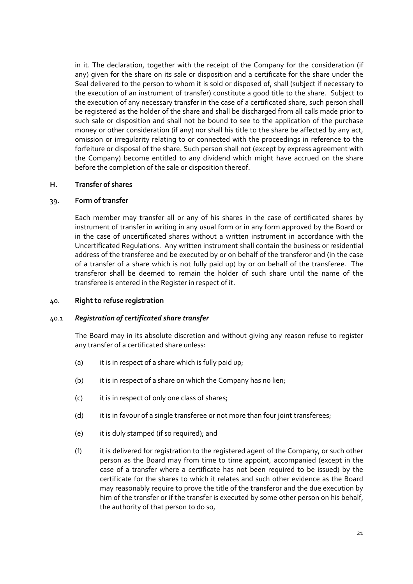<span id="page-25-0"></span>in it. The declaration, together with the receipt of the Company for the consideration (if any) given for the share on its sale or disposition and a certificate for the share under the Seal delivered to the person to whom it is sold or disposed of, shall (subject if necessary to the execution of an instrument of transfer) constitute a good title to the share. Subject to the execution of any necessary transfer in the case of a certificated share, such person shall be registered as the holder of the share and shall be discharged from all calls made prior to such sale or disposition and shall not be bound to see to the application of the purchase money or other consideration (if any) nor shall his title to the share be affected by any act, omission or irregularity relating to or connected with the proceedings in reference to the forfeiture or disposal of the share. Such person shall not (except by express agreement with the Company) become entitled to any dividend which might have accrued on the share before the completion of the sale or disposition thereof.

## **H. Transfer of shares**

#### 39. **Form of transfer**

Each member may transfer all or any of his shares in the case of certificated shares by instrument of transfer in writing in any usual form or in any form approved by the Board or in the case of uncertificated shares without a written instrument in accordance with the Uncertificated Regulations. Any written instrument shall contain the business or residential address of the transferee and be executed by or on behalf of the transferor and (in the case of a transfer of a share which is not fully paid up) by or on behalf of the transferee. The transferor shall be deemed to remain the holder of such share until the name of the transferee is entered in the Register in respect of it.

### 40. **Right to refuse registration**

#### 40.1 *Registration of certificated share transfer*

The Board may in its absolute discretion and without giving any reason refuse to register any transfer of a certificated share unless:

- (a) it is in respect of a share which is fully paid up;
- (b) it is in respect of a share on which the Company has no lien;
- (c) it is in respect of only one class of shares;
- (d) it is in favour of a single transferee or not more than four joint transferees;
- (e) it is duly stamped (if so required); and
- (f) it is delivered for registration to the registered agent of the Company, or such other person as the Board may from time to time appoint, accompanied (except in the case of a transfer where a certificate has not been required to be issued) by the certificate for the shares to which it relates and such other evidence as the Board may reasonably require to prove the title of the transferor and the due execution by him of the transfer or if the transfer is executed by some other person on his behalf, the authority of that person to do so,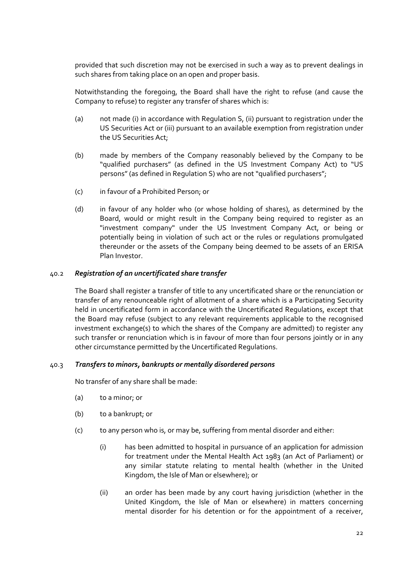provided that such discretion may not be exercised in such a way as to prevent dealings in such shares from taking place on an open and proper basis.

Notwithstanding the foregoing, the Board shall have the right to refuse (and cause the Company to refuse) to register any transfer of shares which is:

- (a) not made (i) in accordance with Regulation S, (ii) pursuant to registration under the US Securities Act or (iii) pursuant to an available exemption from registration under the US Securities Act;
- (b) made by members of the Company reasonably believed by the Company to be "qualified purchasers" (as defined in the US Investment Company Act) to "US persons" (as defined in Regulation S) who are not "qualified purchasers";
- (c) in favour of a Prohibited Person; or
- (d) in favour of any holder who (or whose holding of shares), as determined by the Board, would or might result in the Company being required to register as an "investment company" under the US Investment Company Act, or being or potentially being in violation of such act or the rules or regulations promulgated thereunder or the assets of the Company being deemed to be assets of an ERISA Plan Investor.

#### 40.2 *Registration of an uncertificated share transfer*

The Board shall register a transfer of title to any uncertificated share or the renunciation or transfer of any renounceable right of allotment of a share which is a Participating Security held in uncertificated form in accordance with the Uncertificated Regulations, except that the Board may refuse (subject to any relevant requirements applicable to the recognised investment exchange(s) to which the shares of the Company are admitted) to register any such transfer or renunciation which is in favour of more than four persons jointly or in any other circumstance permitted by the Uncertificated Regulations.

#### 40.3 *Transfers to minors, bankrupts or mentally disordered persons*

No transfer of any share shall be made:

- (a) to a minor; or
- (b) to a bankrupt; or
- (c) to any person who is, or may be, suffering from mental disorder and either:
	- (i) has been admitted to hospital in pursuance of an application for admission for treatment under the Mental Health Act 1983 (an Act of Parliament) or any similar statute relating to mental health (whether in the United Kingdom, the Isle of Man or elsewhere); or
	- (ii) an order has been made by any court having jurisdiction (whether in the United Kingdom, the Isle of Man or elsewhere) in matters concerning mental disorder for his detention or for the appointment of a receiver,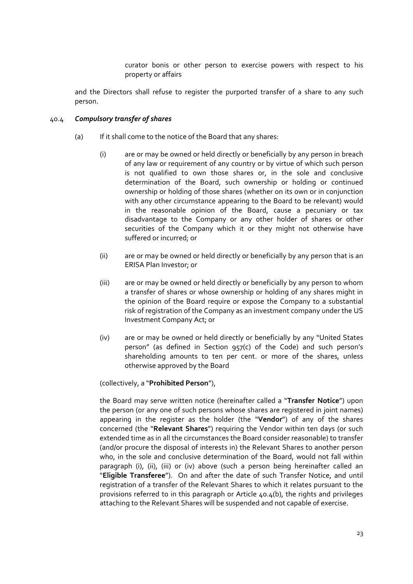curator bonis or other person to exercise powers with respect to his property or affairs

and the Directors shall refuse to register the purported transfer of a share to any such person.

## 40.4 *Compulsory transfer of shares*

- (a) If it shall come to the notice of the Board that any shares:
	- (i) are or may be owned or held directly or beneficially by any person in breach of any law or requirement of any country or by virtue of which such person is not qualified to own those shares or, in the sole and conclusive determination of the Board, such ownership or holding or continued ownership or holding of those shares (whether on its own or in conjunction with any other circumstance appearing to the Board to be relevant) would in the reasonable opinion of the Board, cause a pecuniary or tax disadvantage to the Company or any other holder of shares or other securities of the Company which it or they might not otherwise have suffered or incurred; or
	- (ii) are or may be owned or held directly or beneficially by any person that is an ERISA Plan Investor; or
	- (iii) are or may be owned or held directly or beneficially by any person to whom a transfer of shares or whose ownership or holding of any shares might in the opinion of the Board require or expose the Company to a substantial risk of registration of the Company as an investment company under the US Investment Company Act; or
	- (iv) are or may be owned or held directly or beneficially by any "United States person" (as defined in Section 957(c) of the Code) and such person's shareholding amounts to ten per cent. or more of the shares, unless otherwise approved by the Board

#### (collectively, a "**Prohibited Person**"),

 the Board may serve written notice (hereinafter called a "**Transfer Notice**") upon the person (or any one of such persons whose shares are registered in joint names) appearing in the register as the holder (the "**Vendor**") of any of the shares concerned (the "**Relevant Shares**") requiring the Vendor within ten days (or such extended time as in all the circumstances the Board consider reasonable) to transfer (and/or procure the disposal of interests in) the Relevant Shares to another person who, in the sole and conclusive determination of the Board, would not fall within paragraph (i), (ii), (iii) or (iv) above (such a person being hereinafter called an "**Eligible Transferee**"). On and after the date of such Transfer Notice, and until registration of a transfer of the Relevant Shares to which it relates pursuant to the provisions referred to in this paragraph or Article 40.4(b), the rights and privileges attaching to the Relevant Shares will be suspended and not capable of exercise.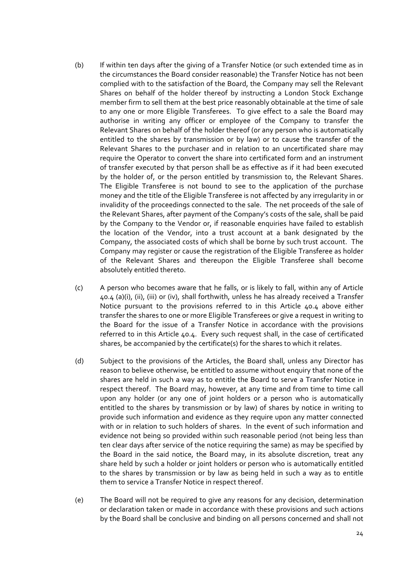- (b) If within ten days after the giving of a Transfer Notice (or such extended time as in the circumstances the Board consider reasonable) the Transfer Notice has not been complied with to the satisfaction of the Board, the Company may sell the Relevant Shares on behalf of the holder thereof by instructing a London Stock Exchange member firm to sell them at the best price reasonably obtainable at the time of sale to any one or more Eligible Transferees. To give effect to a sale the Board may authorise in writing any officer or employee of the Company to transfer the Relevant Shares on behalf of the holder thereof (or any person who is automatically entitled to the shares by transmission or by law) or to cause the transfer of the Relevant Shares to the purchaser and in relation to an uncertificated share may require the Operator to convert the share into certificated form and an instrument of transfer executed by that person shall be as effective as if it had been executed by the holder of, or the person entitled by transmission to, the Relevant Shares. The Eligible Transferee is not bound to see to the application of the purchase money and the title of the Eligible Transferee is not affected by any irregularity in or invalidity of the proceedings connected to the sale. The net proceeds of the sale of the Relevant Shares, after payment of the Company's costs of the sale, shall be paid by the Company to the Vendor or, if reasonable enquiries have failed to establish the location of the Vendor, into a trust account at a bank designated by the Company, the associated costs of which shall be borne by such trust account. The Company may register or cause the registration of the Eligible Transferee as holder of the Relevant Shares and thereupon the Eligible Transferee shall become absolutely entitled thereto.
- (c) A person who becomes aware that he falls, or is likely to fall, within any of Article 40.4 (a)(i), (ii), (iii) or (iv), shall forthwith, unless he has already received a Transfer Notice pursuant to the provisions referred to in this Article 40.4 above either transfer the shares to one or more Eligible Transferees or give a request in writing to the Board for the issue of a Transfer Notice in accordance with the provisions referred to in this Article 40.4. Every such request shall, in the case of certificated shares, be accompanied by the certificate(s) for the shares to which it relates.
- (d) Subject to the provisions of the Articles, the Board shall, unless any Director has reason to believe otherwise, be entitled to assume without enquiry that none of the shares are held in such a way as to entitle the Board to serve a Transfer Notice in respect thereof. The Board may, however, at any time and from time to time call upon any holder (or any one of joint holders or a person who is automatically entitled to the shares by transmission or by law) of shares by notice in writing to provide such information and evidence as they require upon any matter connected with or in relation to such holders of shares. In the event of such information and evidence not being so provided within such reasonable period (not being less than ten clear days after service of the notice requiring the same) as may be specified by the Board in the said notice, the Board may, in its absolute discretion, treat any share held by such a holder or joint holders or person who is automatically entitled to the shares by transmission or by law as being held in such a way as to entitle them to service a Transfer Notice in respect thereof.
- (e) The Board will not be required to give any reasons for any decision, determination or declaration taken or made in accordance with these provisions and such actions by the Board shall be conclusive and binding on all persons concerned and shall not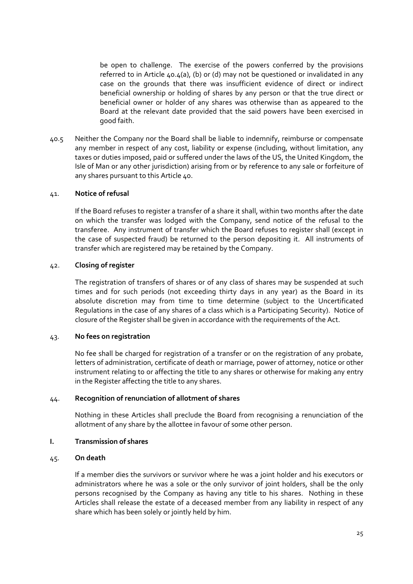<span id="page-29-0"></span>be open to challenge. The exercise of the powers conferred by the provisions referred to in Article 40.4(a), (b) or (d) may not be questioned or invalidated in any case on the grounds that there was insufficient evidence of direct or indirect beneficial ownership or holding of shares by any person or that the true direct or beneficial owner or holder of any shares was otherwise than as appeared to the Board at the relevant date provided that the said powers have been exercised in good faith.

40.5 Neither the Company nor the Board shall be liable to indemnify, reimburse or compensate any member in respect of any cost, liability or expense (including, without limitation, any taxes or duties imposed, paid or suffered under the laws of the US, the United Kingdom, the Isle of Man or any other jurisdiction) arising from or by reference to any sale or forfeiture of any shares pursuant to this Article 40.

#### 41. **Notice of refusal**

If the Board refuses to register a transfer of a share it shall, within two months after the date on which the transfer was lodged with the Company, send notice of the refusal to the transferee. Any instrument of transfer which the Board refuses to register shall (except in the case of suspected fraud) be returned to the person depositing it. All instruments of transfer which are registered may be retained by the Company.

#### 42. **Closing of register**

The registration of transfers of shares or of any class of shares may be suspended at such times and for such periods (not exceeding thirty days in any year) as the Board in its absolute discretion may from time to time determine (subject to the Uncertificated Regulations in the case of any shares of a class which is a Participating Security). Notice of closure of the Register shall be given in accordance with the requirements of the Act.

#### 43. **No fees on registration**

No fee shall be charged for registration of a transfer or on the registration of any probate, letters of administration, certificate of death or marriage, power of attorney, notice or other instrument relating to or affecting the title to any shares or otherwise for making any entry in the Register affecting the title to any shares.

#### 44. **Recognition of renunciation of allotment of shares**

Nothing in these Articles shall preclude the Board from recognising a renunciation of the allotment of any share by the allottee in favour of some other person.

#### **I. Transmission of shares**

#### 45. **On death**

If a member dies the survivors or survivor where he was a joint holder and his executors or administrators where he was a sole or the only survivor of joint holders, shall be the only persons recognised by the Company as having any title to his shares. Nothing in these Articles shall release the estate of a deceased member from any liability in respect of any share which has been solely or jointly held by him.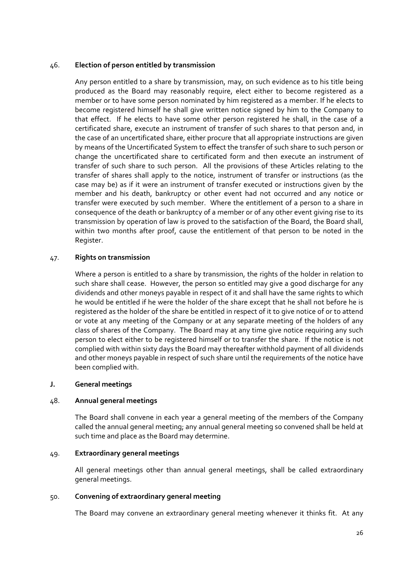## <span id="page-30-0"></span>46. **Election of person entitled by transmission**

Any person entitled to a share by transmission, may, on such evidence as to his title being produced as the Board may reasonably require, elect either to become registered as a member or to have some person nominated by him registered as a member. If he elects to become registered himself he shall give written notice signed by him to the Company to that effect. If he elects to have some other person registered he shall, in the case of a certificated share, execute an instrument of transfer of such shares to that person and, in the case of an uncertificated share, either procure that all appropriate instructions are given by means of the Uncertificated System to effect the transfer of such share to such person or change the uncertificated share to certificated form and then execute an instrument of transfer of such share to such person. All the provisions of these Articles relating to the transfer of shares shall apply to the notice, instrument of transfer or instructions (as the case may be) as if it were an instrument of transfer executed or instructions given by the member and his death, bankruptcy or other event had not occurred and any notice or transfer were executed by such member. Where the entitlement of a person to a share in consequence of the death or bankruptcy of a member or of any other event giving rise to its transmission by operation of law is proved to the satisfaction of the Board, the Board shall, within two months after proof, cause the entitlement of that person to be noted in the Register.

## 47. **Rights on transmission**

Where a person is entitled to a share by transmission, the rights of the holder in relation to such share shall cease. However, the person so entitled may give a good discharge for any dividends and other moneys payable in respect of it and shall have the same rights to which he would be entitled if he were the holder of the share except that he shall not before he is registered as the holder of the share be entitled in respect of it to give notice of or to attend or vote at any meeting of the Company or at any separate meeting of the holders of any class of shares of the Company. The Board may at any time give notice requiring any such person to elect either to be registered himself or to transfer the share. If the notice is not complied with within sixty days the Board may thereafter withhold payment of all dividends and other moneys payable in respect of such share until the requirements of the notice have been complied with.

#### **J. General meetings**

#### 48. **Annual general meetings**

The Board shall convene in each year a general meeting of the members of the Company called the annual general meeting; any annual general meeting so convened shall be held at such time and place as the Board may determine.

#### 49. **Extraordinary general meetings**

All general meetings other than annual general meetings, shall be called extraordinary general meetings.

## 50. **Convening of extraordinary general meeting**

The Board may convene an extraordinary general meeting whenever it thinks fit. At any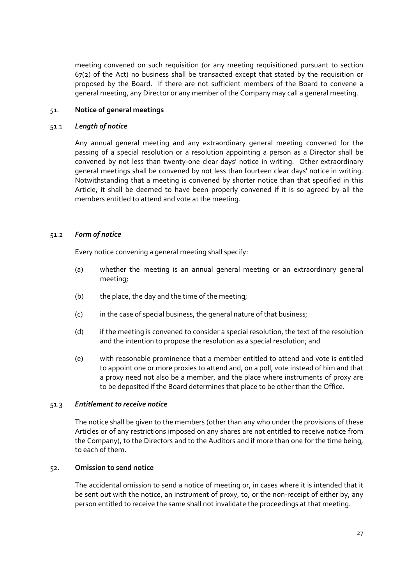<span id="page-31-0"></span>meeting convened on such requisition (or any meeting requisitioned pursuant to section 67(2) of the Act) no business shall be transacted except that stated by the requisition or proposed by the Board. If there are not sufficient members of the Board to convene a general meeting, any Director or any member of the Company may call a general meeting.

## 51. **Notice of general meetings**

#### 51.1 *Length of notice*

Any annual general meeting and any extraordinary general meeting convened for the passing of a special resolution or a resolution appointing a person as a Director shall be convened by not less than twenty‐one clear days' notice in writing. Other extraordinary general meetings shall be convened by not less than fourteen clear days' notice in writing. Notwithstanding that a meeting is convened by shorter notice than that specified in this Article, it shall be deemed to have been properly convened if it is so agreed by all the members entitled to attend and vote at the meeting.

## 51.2 *Form of notice*

Every notice convening a general meeting shall specify:

- (a) whether the meeting is an annual general meeting or an extraordinary general meeting;
- (b) the place, the day and the time of the meeting;
- (c) in the case of special business, the general nature of that business;
- (d) if the meeting is convened to consider a special resolution, the text of the resolution and the intention to propose the resolution as a special resolution; and
- (e) with reasonable prominence that a member entitled to attend and vote is entitled to appoint one or more proxies to attend and, on a poll, vote instead of him and that a proxy need not also be a member, and the place where instruments of proxy are to be deposited if the Board determines that place to be other than the Office.

#### 51.3 *Entitlement to receive notice*

The notice shall be given to the members (other than any who under the provisions of these Articles or of any restrictions imposed on any shares are not entitled to receive notice from the Company), to the Directors and to the Auditors and if more than one for the time being, to each of them.

## 52. **Omission to send notice**

The accidental omission to send a notice of meeting or, in cases where it is intended that it be sent out with the notice, an instrument of proxy, to, or the non-receipt of either by, any person entitled to receive the same shall not invalidate the proceedings at that meeting.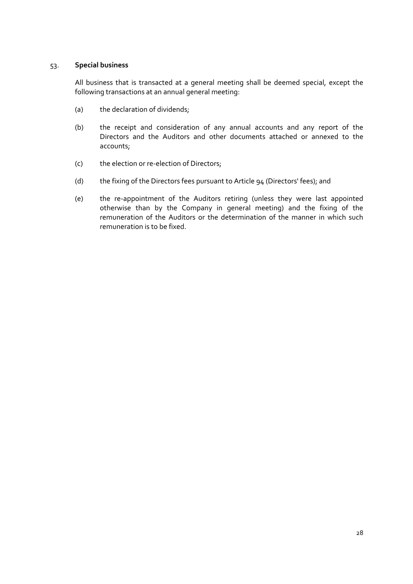## <span id="page-32-0"></span>53. **Special business**

All business that is transacted at a general meeting shall be deemed special, except the following transactions at an annual general meeting:

- (a) the declaration of dividends;
- (b) the receipt and consideration of any annual accounts and any report of the Directors and the Auditors and other documents attached or annexed to the accounts;
- (c) the election or re-election of Directors;
- (d) the fixing of the Directors fees pursuant to Article 94 (Directors' fees); and
- (e) the re‐appointment of the Auditors retiring (unless they were last appointed otherwise than by the Company in general meeting) and the fixing of the remuneration of the Auditors or the determination of the manner in which such remuneration is to be fixed.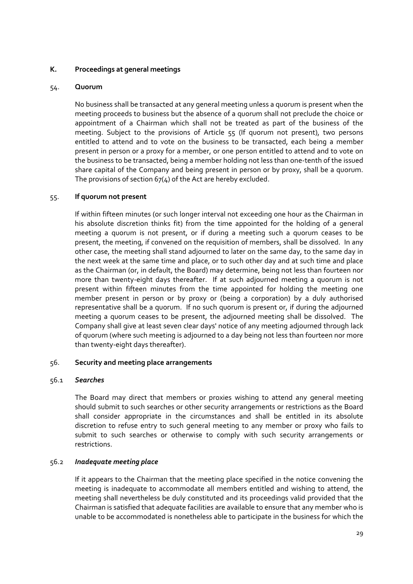## <span id="page-33-0"></span>**K. Proceedings at general meetings**

## 54. **Quorum**

No business shall be transacted at any general meeting unless a quorum is present when the meeting proceeds to business but the absence of a quorum shall not preclude the choice or appointment of a Chairman which shall not be treated as part of the business of the meeting. Subject to the provisions of Article 55 (If quorum not present), two persons entitled to attend and to vote on the business to be transacted, each being a member present in person or a proxy for a member, or one person entitled to attend and to vote on the business to be transacted, being a member holding not less than one‐tenth of the issued share capital of the Company and being present in person or by proxy, shall be a quorum. The provisions of section  $67(4)$  of the Act are hereby excluded.

## 55. **If quorum not present**

If within fifteen minutes (or such longer interval not exceeding one hour as the Chairman in his absolute discretion thinks fit) from the time appointed for the holding of a general meeting a quorum is not present, or if during a meeting such a quorum ceases to be present, the meeting, if convened on the requisition of members, shall be dissolved. In any other case, the meeting shall stand adjourned to later on the same day, to the same day in the next week at the same time and place, or to such other day and at such time and place as the Chairman (or, in default, the Board) may determine, being not less than fourteen nor more than twenty-eight days thereafter. If at such adjourned meeting a quorum is not present within fifteen minutes from the time appointed for holding the meeting one member present in person or by proxy or (being a corporation) by a duly authorised representative shall be a quorum. If no such quorum is present or, if during the adjourned meeting a quorum ceases to be present, the adjourned meeting shall be dissolved. The Company shall give at least seven clear days' notice of any meeting adjourned through lack of quorum (where such meeting is adjourned to a day being not less than fourteen nor more than twenty‐eight days thereafter).

## 56. **Security and meeting place arrangements**

#### 56.1 *Searches*

The Board may direct that members or proxies wishing to attend any general meeting should submit to such searches or other security arrangements or restrictions as the Board shall consider appropriate in the circumstances and shall be entitled in its absolute discretion to refuse entry to such general meeting to any member or proxy who fails to submit to such searches or otherwise to comply with such security arrangements or restrictions.

## 56.2 *Inadequate meeting place*

If it appears to the Chairman that the meeting place specified in the notice convening the meeting is inadequate to accommodate all members entitled and wishing to attend, the meeting shall nevertheless be duly constituted and its proceedings valid provided that the Chairman is satisfied that adequate facilities are available to ensure that any member who is unable to be accommodated is nonetheless able to participate in the business for which the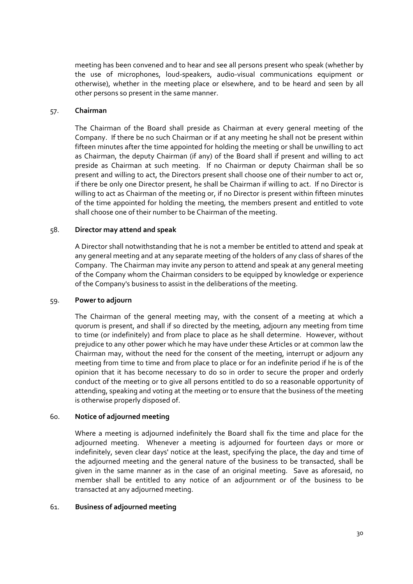<span id="page-34-0"></span>meeting has been convened and to hear and see all persons present who speak (whether by the use of microphones, loud‐speakers, audio‐visual communications equipment or otherwise), whether in the meeting place or elsewhere, and to be heard and seen by all other persons so present in the same manner.

#### 57. **Chairman**

The Chairman of the Board shall preside as Chairman at every general meeting of the Company. If there be no such Chairman or if at any meeting he shall not be present within fifteen minutes after the time appointed for holding the meeting or shall be unwilling to act as Chairman, the deputy Chairman (if any) of the Board shall if present and willing to act preside as Chairman at such meeting. If no Chairman or deputy Chairman shall be so present and willing to act, the Directors present shall choose one of their number to act or, if there be only one Director present, he shall be Chairman if willing to act. If no Director is willing to act as Chairman of the meeting or, if no Director is present within fifteen minutes of the time appointed for holding the meeting, the members present and entitled to vote shall choose one of their number to be Chairman of the meeting.

## 58. **Director may attend and speak**

A Director shall notwithstanding that he is not a member be entitled to attend and speak at any general meeting and at any separate meeting of the holders of any class of shares of the Company. The Chairman may invite any person to attend and speak at any general meeting of the Company whom the Chairman considers to be equipped by knowledge or experience of the Company's business to assist in the deliberations of the meeting.

#### 59. **Power to adjourn**

The Chairman of the general meeting may, with the consent of a meeting at which a quorum is present, and shall if so directed by the meeting, adjourn any meeting from time to time (or indefinitely) and from place to place as he shall determine. However, without prejudice to any other power which he may have under these Articles or at common law the Chairman may, without the need for the consent of the meeting, interrupt or adjourn any meeting from time to time and from place to place or for an indefinite period if he is of the opinion that it has become necessary to do so in order to secure the proper and orderly conduct of the meeting or to give all persons entitled to do so a reasonable opportunity of attending, speaking and voting at the meeting or to ensure that the business of the meeting is otherwise properly disposed of.

## 60. **Notice of adjourned meeting**

Where a meeting is adjourned indefinitely the Board shall fix the time and place for the adjourned meeting. Whenever a meeting is adjourned for fourteen days or more or indefinitely, seven clear days' notice at the least, specifying the place, the day and time of the adjourned meeting and the general nature of the business to be transacted, shall be given in the same manner as in the case of an original meeting. Save as aforesaid, no member shall be entitled to any notice of an adjournment or of the business to be transacted at any adjourned meeting.

## 61. **Business of adjourned meeting**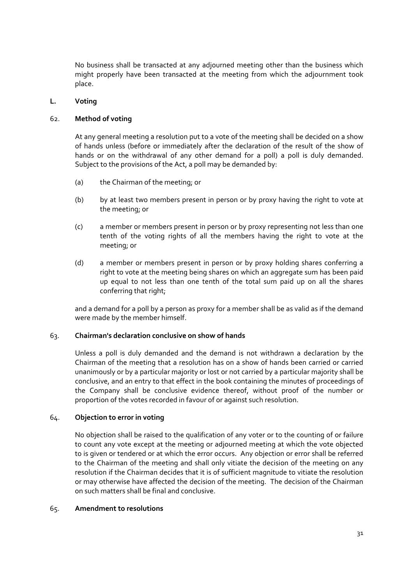<span id="page-35-0"></span>No business shall be transacted at any adjourned meeting other than the business which might properly have been transacted at the meeting from which the adjournment took place.

## **L. Voting**

### 62. **Method of voting**

At any general meeting a resolution put to a vote of the meeting shall be decided on a show of hands unless (before or immediately after the declaration of the result of the show of hands or on the withdrawal of any other demand for a poll) a poll is duly demanded. Subject to the provisions of the Act, a poll may be demanded by:

- (a) the Chairman of the meeting; or
- (b) by at least two members present in person or by proxy having the right to vote at the meeting; or
- (c) a member or members present in person or by proxy representing not less than one tenth of the voting rights of all the members having the right to vote at the meeting; or
- (d) a member or members present in person or by proxy holding shares conferring a right to vote at the meeting being shares on which an aggregate sum has been paid up equal to not less than one tenth of the total sum paid up on all the shares conferring that right;

and a demand for a poll by a person as proxy for a member shall be as valid as if the demand were made by the member himself.

#### 63. **Chairman's declaration conclusive on show of hands**

Unless a poll is duly demanded and the demand is not withdrawn a declaration by the Chairman of the meeting that a resolution has on a show of hands been carried or carried unanimously or by a particular majority or lost or not carried by a particular majority shall be conclusive, and an entry to that effect in the book containing the minutes of proceedings of the Company shall be conclusive evidence thereof, without proof of the number or proportion of the votes recorded in favour of or against such resolution.

## 64. **Objection to error in voting**

No objection shall be raised to the qualification of any voter or to the counting of or failure to count any vote except at the meeting or adjourned meeting at which the vote objected to is given or tendered or at which the error occurs. Any objection or error shall be referred to the Chairman of the meeting and shall only vitiate the decision of the meeting on any resolution if the Chairman decides that it is of sufficient magnitude to vitiate the resolution or may otherwise have affected the decision of the meeting. The decision of the Chairman on such matters shall be final and conclusive.

#### 65. **Amendment to resolutions**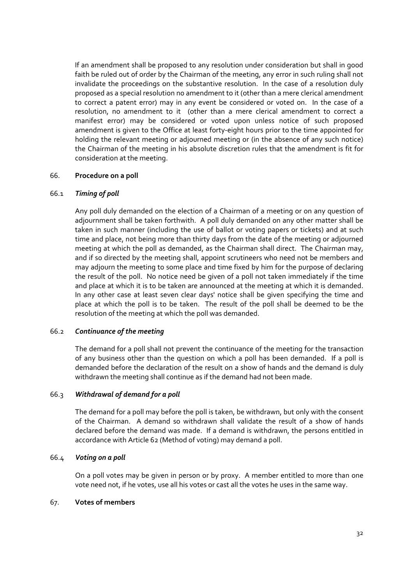If an amendment shall be proposed to any resolution under consideration but shall in good faith be ruled out of order by the Chairman of the meeting, any error in such ruling shall not invalidate the proceedings on the substantive resolution. In the case of a resolution duly proposed as a special resolution no amendment to it (other than a mere clerical amendment to correct a patent error) may in any event be considered or voted on. In the case of a resolution, no amendment to it (other than a mere clerical amendment to correct a manifest error) may be considered or voted upon unless notice of such proposed amendment is given to the Office at least forty‐eight hours prior to the time appointed for holding the relevant meeting or adjourned meeting or (in the absence of any such notice) the Chairman of the meeting in his absolute discretion rules that the amendment is fit for consideration at the meeting.

## 66. **Procedure on a poll**

## 66.1 *Timing of poll*

Any poll duly demanded on the election of a Chairman of a meeting or on any question of adjournment shall be taken forthwith. A poll duly demanded on any other matter shall be taken in such manner (including the use of ballot or voting papers or tickets) and at such time and place, not being more than thirty days from the date of the meeting or adjourned meeting at which the poll as demanded, as the Chairman shall direct. The Chairman may, and if so directed by the meeting shall, appoint scrutineers who need not be members and may adjourn the meeting to some place and time fixed by him for the purpose of declaring the result of the poll. No notice need be given of a poll not taken immediately if the time and place at which it is to be taken are announced at the meeting at which it is demanded. In any other case at least seven clear days' notice shall be given specifying the time and place at which the poll is to be taken. The result of the poll shall be deemed to be the resolution of the meeting at which the poll was demanded.

### 66.2 *Continuance of the meeting*

The demand for a poll shall not prevent the continuance of the meeting for the transaction of any business other than the question on which a poll has been demanded. If a poll is demanded before the declaration of the result on a show of hands and the demand is duly withdrawn the meeting shall continue as if the demand had not been made.

### 66.3 *Withdrawal of demand for a poll*

The demand for a poll may before the poll is taken, be withdrawn, but only with the consent of the Chairman. A demand so withdrawn shall validate the result of a show of hands declared before the demand was made. If a demand is withdrawn, the persons entitled in accordance with Article 62 (Method of voting) may demand a poll.

### 66.4 *Voting on a poll*

On a poll votes may be given in person or by proxy. A member entitled to more than one vote need not, if he votes, use all his votes or cast all the votes he uses in the same way.

### 67. **Votes of members**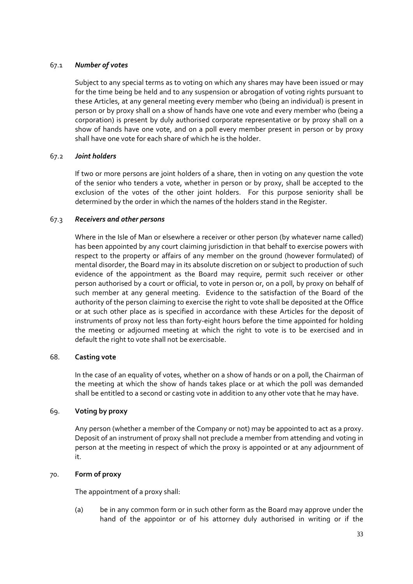## 67.1 *Number of votes*

Subject to any special terms as to voting on which any shares may have been issued or may for the time being be held and to any suspension or abrogation of voting rights pursuant to these Articles, at any general meeting every member who (being an individual) is present in person or by proxy shall on a show of hands have one vote and every member who (being a corporation) is present by duly authorised corporate representative or by proxy shall on a show of hands have one vote, and on a poll every member present in person or by proxy shall have one vote for each share of which he is the holder.

## 67.2 *Joint holders*

If two or more persons are joint holders of a share, then in voting on any question the vote of the senior who tenders a vote, whether in person or by proxy, shall be accepted to the exclusion of the votes of the other joint holders. For this purpose seniority shall be determined by the order in which the names of the holders stand in the Register.

## 67.3 *Receivers and other persons*

Where in the Isle of Man or elsewhere a receiver or other person (by whatever name called) has been appointed by any court claiming jurisdiction in that behalf to exercise powers with respect to the property or affairs of any member on the ground (however formulated) of mental disorder, the Board may in its absolute discretion on or subject to production of such evidence of the appointment as the Board may require, permit such receiver or other person authorised by a court or official, to vote in person or, on a poll, by proxy on behalf of such member at any general meeting. Evidence to the satisfaction of the Board of the authority of the person claiming to exercise the right to vote shall be deposited at the Office or at such other place as is specified in accordance with these Articles for the deposit of instruments of proxy not less than forty‐eight hours before the time appointed for holding the meeting or adjourned meeting at which the right to vote is to be exercised and in default the right to vote shall not be exercisable.

### 68. **Casting vote**

In the case of an equality of votes, whether on a show of hands or on a poll, the Chairman of the meeting at which the show of hands takes place or at which the poll was demanded shall be entitled to a second or casting vote in addition to any other vote that he may have.

## 69. **Voting by proxy**

Any person (whether a member of the Company or not) may be appointed to act as a proxy. Deposit of an instrument of proxy shall not preclude a member from attending and voting in person at the meeting in respect of which the proxy is appointed or at any adjournment of it.

## 70. **Form of proxy**

The appointment of a proxy shall:

(a) be in any common form or in such other form as the Board may approve under the hand of the appointor or of his attorney duly authorised in writing or if the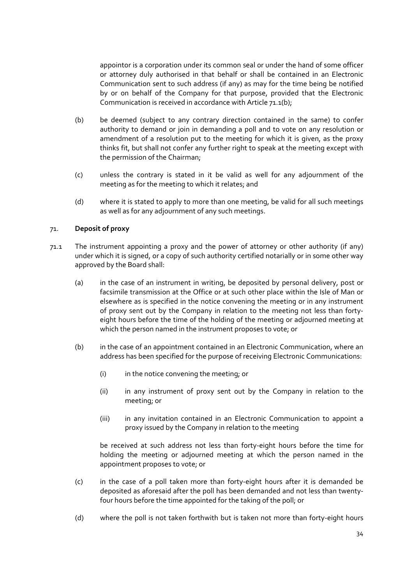appointor is a corporation under its common seal or under the hand of some officer or attorney duly authorised in that behalf or shall be contained in an Electronic Communication sent to such address (if any) as may for the time being be notified by or on behalf of the Company for that purpose, provided that the Electronic Communication is received in accordance with Article 71.1(b);

- (b) be deemed (subject to any contrary direction contained in the same) to confer authority to demand or join in demanding a poll and to vote on any resolution or amendment of a resolution put to the meeting for which it is given, as the proxy thinks fit, but shall not confer any further right to speak at the meeting except with the permission of the Chairman;
- (c) unless the contrary is stated in it be valid as well for any adjournment of the meeting as for the meeting to which it relates; and
- (d) where it is stated to apply to more than one meeting, be valid for all such meetings as well as for any adjournment of any such meetings.

## 71. **Deposit of proxy**

- 71.1 The instrument appointing a proxy and the power of attorney or other authority (if any) under which it is signed, or a copy of such authority certified notarially or in some other way approved by the Board shall:
	- (a) in the case of an instrument in writing, be deposited by personal delivery, post or facsimile transmission at the Office or at such other place within the Isle of Man or elsewhere as is specified in the notice convening the meeting or in any instrument of proxy sent out by the Company in relation to the meeting not less than forty‐ eight hours before the time of the holding of the meeting or adjourned meeting at which the person named in the instrument proposes to vote; or
	- (b) in the case of an appointment contained in an Electronic Communication, where an address has been specified for the purpose of receiving Electronic Communications:
		- (i) in the notice convening the meeting; or
		- (ii) in any instrument of proxy sent out by the Company in relation to the meeting; or
		- (iii) in any invitation contained in an Electronic Communication to appoint a proxy issued by the Company in relation to the meeting

be received at such address not less than forty‐eight hours before the time for holding the meeting or adjourned meeting at which the person named in the appointment proposes to vote; or

- (c) in the case of a poll taken more than forty‐eight hours after it is demanded be deposited as aforesaid after the poll has been demanded and not less than twenty‐ four hours before the time appointed for the taking of the poll; or
- (d) where the poll is not taken forthwith but is taken not more than forty‐eight hours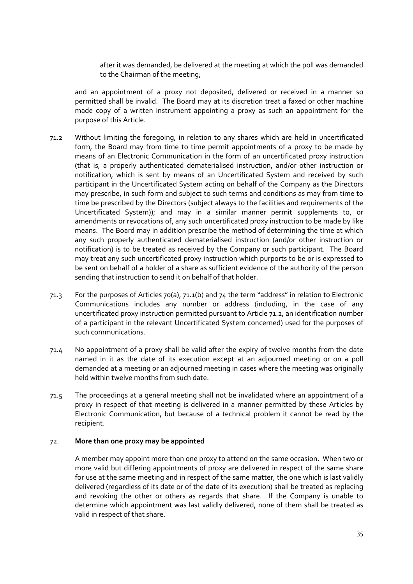after it was demanded, be delivered at the meeting at which the poll was demanded to the Chairman of the meeting;

and an appointment of a proxy not deposited, delivered or received in a manner so permitted shall be invalid. The Board may at its discretion treat a faxed or other machine made copy of a written instrument appointing a proxy as such an appointment for the purpose of this Article.

- 71.2 Without limiting the foregoing, in relation to any shares which are held in uncertificated form, the Board may from time to time permit appointments of a proxy to be made by means of an Electronic Communication in the form of an uncertificated proxy instruction (that is, a properly authenticated dematerialised instruction, and/or other instruction or notification, which is sent by means of an Uncertificated System and received by such participant in the Uncertificated System acting on behalf of the Company as the Directors may prescribe, in such form and subject to such terms and conditions as may from time to time be prescribed by the Directors (subject always to the facilities and requirements of the Uncertificated System)); and may in a similar manner permit supplements to, or amendments or revocations of, any such uncertificated proxy instruction to be made by like means. The Board may in addition prescribe the method of determining the time at which any such properly authenticated dematerialised instruction (and/or other instruction or notification) is to be treated as received by the Company or such participant. The Board may treat any such uncertificated proxy instruction which purports to be or is expressed to be sent on behalf of a holder of a share as sufficient evidence of the authority of the person sending that instruction to send it on behalf of that holder.
- 71.3 For the purposes of Articles 70(a), 71.1(b) and 74 the term "address" in relation to Electronic Communications includes any number or address (including, in the case of any uncertificated proxy instruction permitted pursuant to Article 71.2, an identification number of a participant in the relevant Uncertificated System concerned) used for the purposes of such communications.
- 71.4 No appointment of a proxy shall be valid after the expiry of twelve months from the date named in it as the date of its execution except at an adjourned meeting or on a poll demanded at a meeting or an adjourned meeting in cases where the meeting was originally held within twelve months from such date.
- 71.5 The proceedings at a general meeting shall not be invalidated where an appointment of a proxy in respect of that meeting is delivered in a manner permitted by these Articles by Electronic Communication, but because of a technical problem it cannot be read by the recipient.

### 72. **More than one proxy may be appointed**

A member may appoint more than one proxy to attend on the same occasion. When two or more valid but differing appointments of proxy are delivered in respect of the same share for use at the same meeting and in respect of the same matter, the one which is last validly delivered (regardless of its date or of the date of its execution) shall be treated as replacing and revoking the other or others as regards that share. If the Company is unable to determine which appointment was last validly delivered, none of them shall be treated as valid in respect of that share.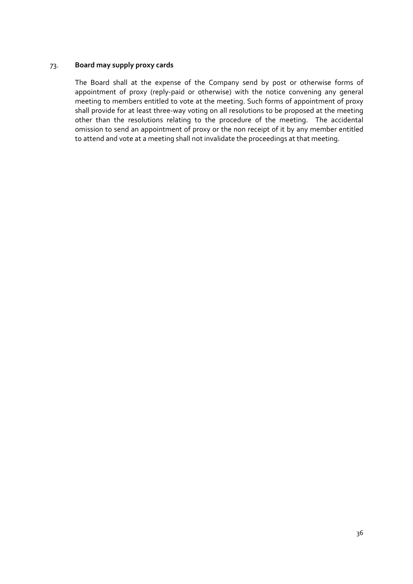## 73. **Board may supply proxy cards**

The Board shall at the expense of the Company send by post or otherwise forms of appointment of proxy (reply‐paid or otherwise) with the notice convening any general meeting to members entitled to vote at the meeting. Such forms of appointment of proxy shall provide for at least three‐way voting on all resolutions to be proposed at the meeting other than the resolutions relating to the procedure of the meeting. The accidental omission to send an appointment of proxy or the non receipt of it by any member entitled to attend and vote at a meeting shall not invalidate the proceedings at that meeting.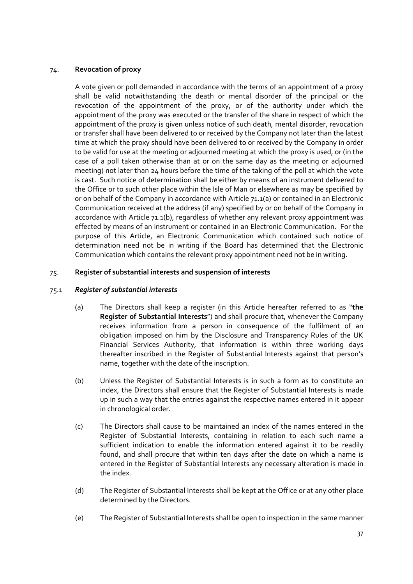## 74. **Revocation of proxy**

A vote given or poll demanded in accordance with the terms of an appointment of a proxy shall be valid notwithstanding the death or mental disorder of the principal or the revocation of the appointment of the proxy, or of the authority under which the appointment of the proxy was executed or the transfer of the share in respect of which the appointment of the proxy is given unless notice of such death, mental disorder, revocation or transfer shall have been delivered to or received by the Company not later than the latest time at which the proxy should have been delivered to or received by the Company in order to be valid for use at the meeting or adjourned meeting at which the proxy is used, or (in the case of a poll taken otherwise than at or on the same day as the meeting or adjourned meeting) not later than 24 hours before the time of the taking of the poll at which the vote is cast. Such notice of determination shall be either by means of an instrument delivered to the Office or to such other place within the Isle of Man or elsewhere as may be specified by or on behalf of the Company in accordance with Article 71.1(a) or contained in an Electronic Communication received at the address (if any) specified by or on behalf of the Company in accordance with Article 71.1(b), regardless of whether any relevant proxy appointment was effected by means of an instrument or contained in an Electronic Communication. For the purpose of this Article, an Electronic Communication which contained such notice of determination need not be in writing if the Board has determined that the Electronic Communication which contains the relevant proxy appointment need not be in writing.

## 75. **Register of substantial interests and suspension of interests**

## 75.1 *Register of substantial interests*

- (a) The Directors shall keep a register (in this Article hereafter referred to as "**the Register of Substantial Interests**") and shall procure that, whenever the Company receives information from a person in consequence of the fulfilment of an obligation imposed on him by the Disclosure and Transparency Rules of the UK Financial Services Authority, that information is within three working days thereafter inscribed in the Register of Substantial Interests against that person's name, together with the date of the inscription.
- (b) Unless the Register of Substantial Interests is in such a form as to constitute an index, the Directors shall ensure that the Register of Substantial Interests is made up in such a way that the entries against the respective names entered in it appear in chronological order.
- (c) The Directors shall cause to be maintained an index of the names entered in the Register of Substantial Interests, containing in relation to each such name a sufficient indication to enable the information entered against it to be readily found, and shall procure that within ten days after the date on which a name is entered in the Register of Substantial Interests any necessary alteration is made in the index.
- (d) The Register of Substantial Interests shall be kept at the Office or at any other place determined by the Directors.
- (e) The Register of Substantial Interests shall be open to inspection in the same manner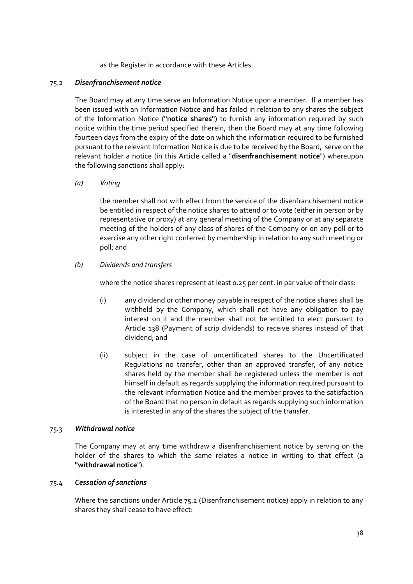as the Register in accordance with these Articles.

### 75.2 *Disenfranchisement notice*

The Board may at any time serve an Information Notice upon a member. If a member has been issued with an Information Notice and has failed in relation to any shares the subject of the Information Notice (**"notice shares"**) to furnish any information required by such notice within the time period specified therein, then the Board may at any time following fourteen days from the expiry of the date on which the information required to be furnished pursuant to the relevant Information Notice is due to be received by the Board, serve on the relevant holder a notice (in this Article called a "**disenfranchisement notice**") whereupon the following sanctions shall apply:

*(a) Voting*

the member shall not with effect from the service of the disenfranchisement notice be entitled in respect of the notice shares to attend or to vote (either in person or by representative or proxy) at any general meeting of the Company or at any separate meeting of the holders of any class of shares of the Company or on any poll or to exercise any other right conferred by membership in relation to any such meeting or poll; and

*(b) Dividends and transfers*

where the notice shares represent at least 0.25 per cent. in par value of their class:

- (i) any dividend or other money payable in respect of the notice shares shall be withheld by the Company, which shall not have any obligation to pay interest on it and the member shall not be entitled to elect pursuant to Article 138 (Payment of scrip dividends) to receive shares instead of that dividend; and
- (ii) subject in the case of uncertificated shares to the Uncertificated Regulations no transfer, other than an approved transfer, of any notice shares held by the member shall be registered unless the member is not himself in default as regards supplying the information required pursuant to the relevant Information Notice and the member proves to the satisfaction of the Board that no person in default as regards supplying such information is interested in any of the shares the subject of the transfer.

### 75.3 *Withdrawal notice*

The Company may at any time withdraw a disenfranchisement notice by serving on the holder of the shares to which the same relates a notice in writing to that effect (a **"withdrawal notice**").

### 75.4 *Cessation of sanctions*

Where the sanctions under Article 75.2 (Disenfranchisement notice) apply in relation to any shares they shall cease to have effect: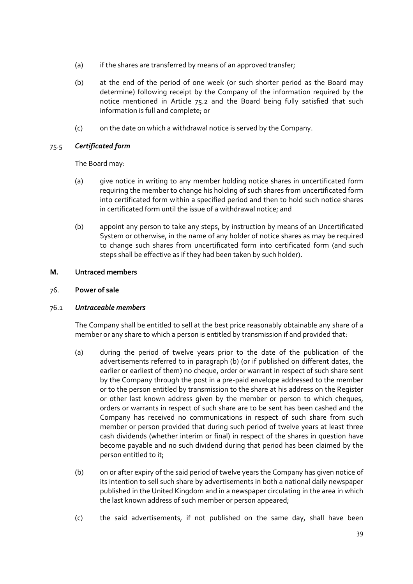- (a) if the shares are transferred by means of an approved transfer;
- (b) at the end of the period of one week (or such shorter period as the Board may determine) following receipt by the Company of the information required by the notice mentioned in Article 75.2 and the Board being fully satisfied that such information is full and complete; or
- (c) on the date on which a withdrawal notice is served by the Company.

# 75.5 *Certificated form*

The Board may:

- (a) give notice in writing to any member holding notice shares in uncertificated form requiring the member to change his holding of such shares from uncertificated form into certificated form within a specified period and then to hold such notice shares in certificated form until the issue of a withdrawal notice; and
- (b) appoint any person to take any steps, by instruction by means of an Uncertificated System or otherwise, in the name of any holder of notice shares as may be required to change such shares from uncertificated form into certificated form (and such steps shall be effective as if they had been taken by such holder).

## **M. Untraced members**

# 76. **Power of sale**

## 76.1 *Untraceable members*

The Company shall be entitled to sell at the best price reasonably obtainable any share of a member or any share to which a person is entitled by transmission if and provided that:

- (a) during the period of twelve years prior to the date of the publication of the advertisements referred to in paragraph (b) (or if published on different dates, the earlier or earliest of them) no cheque, order or warrant in respect of such share sent by the Company through the post in a pre‐paid envelope addressed to the member or to the person entitled by transmission to the share at his address on the Register or other last known address given by the member or person to which cheques, orders or warrants in respect of such share are to be sent has been cashed and the Company has received no communications in respect of such share from such member or person provided that during such period of twelve years at least three cash dividends (whether interim or final) in respect of the shares in question have become payable and no such dividend during that period has been claimed by the person entitled to it;
- (b) on or after expiry of the said period of twelve years the Company has given notice of its intention to sell such share by advertisements in both a national daily newspaper published in the United Kingdom and in a newspaper circulating in the area in which the last known address of such member or person appeared;
- (c) the said advertisements, if not published on the same day, shall have been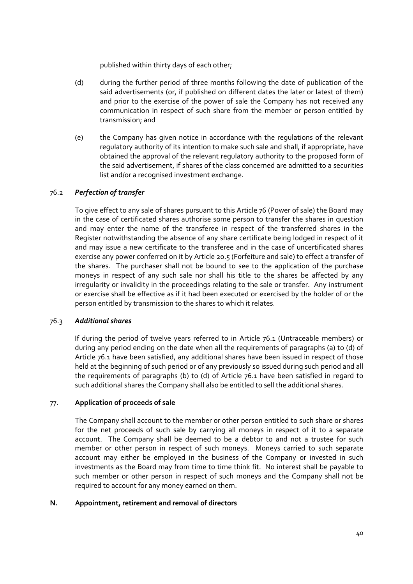published within thirty days of each other;

- (d) during the further period of three months following the date of publication of the said advertisements (or, if published on different dates the later or latest of them) and prior to the exercise of the power of sale the Company has not received any communication in respect of such share from the member or person entitled by transmission; and
- (e) the Company has given notice in accordance with the regulations of the relevant regulatory authority of its intention to make such sale and shall, if appropriate, have obtained the approval of the relevant regulatory authority to the proposed form of the said advertisement, if shares of the class concerned are admitted to a securities list and/or a recognised investment exchange.

# 76.2 *Perfection of transfer*

To give effect to any sale of shares pursuant to this Article 76 (Power of sale) the Board may in the case of certificated shares authorise some person to transfer the shares in question and may enter the name of the transferee in respect of the transferred shares in the Register notwithstanding the absence of any share certificate being lodged in respect of it and may issue a new certificate to the transferee and in the case of uncertificated shares exercise any power conferred on it by Article 20.5 (Forfeiture and sale) to effect a transfer of the shares. The purchaser shall not be bound to see to the application of the purchase moneys in respect of any such sale nor shall his title to the shares be affected by any irregularity or invalidity in the proceedings relating to the sale or transfer. Any instrument or exercise shall be effective as if it had been executed or exercised by the holder of or the person entitled by transmission to the shares to which it relates.

## 76.3 *Additional shares*

If during the period of twelve years referred to in Article 76.1 (Untraceable members) or during any period ending on the date when all the requirements of paragraphs (a) to (d) of Article 76.1 have been satisfied, any additional shares have been issued in respect of those held at the beginning of such period or of any previously so issued during such period and all the requirements of paragraphs (b) to (d) of Article 76.1 have been satisfied in regard to such additional shares the Company shall also be entitled to sell the additional shares.

## 77. **Application of proceeds of sale**

The Company shall account to the member or other person entitled to such share or shares for the net proceeds of such sale by carrying all moneys in respect of it to a separate account. The Company shall be deemed to be a debtor to and not a trustee for such member or other person in respect of such moneys. Moneys carried to such separate account may either be employed in the business of the Company or invested in such investments as the Board may from time to time think fit. No interest shall be payable to such member or other person in respect of such moneys and the Company shall not be required to account for any money earned on them.

## **N. Appointment, retirement and removal of directors**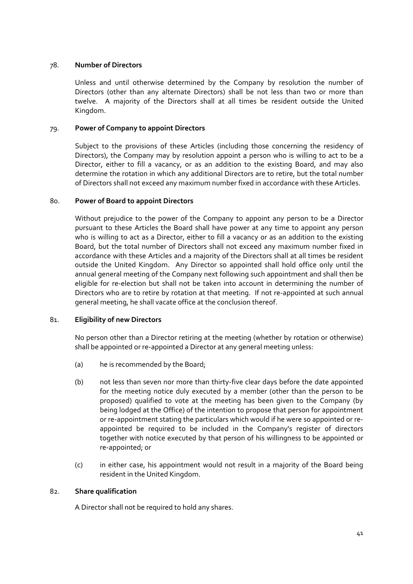## 78. **Number of Directors**

Unless and until otherwise determined by the Company by resolution the number of Directors (other than any alternate Directors) shall be not less than two or more than twelve. A majority of the Directors shall at all times be resident outside the United Kingdom.

# 79. **Power of Company to appoint Directors**

Subject to the provisions of these Articles (including those concerning the residency of Directors), the Company may by resolution appoint a person who is willing to act to be a Director, either to fill a vacancy, or as an addition to the existing Board, and may also determine the rotation in which any additional Directors are to retire, but the total number of Directors shall not exceed any maximum number fixed in accordance with these Articles.

## 80. **Power of Board to appoint Directors**

Without prejudice to the power of the Company to appoint any person to be a Director pursuant to these Articles the Board shall have power at any time to appoint any person who is willing to act as a Director, either to fill a vacancy or as an addition to the existing Board, but the total number of Directors shall not exceed any maximum number fixed in accordance with these Articles and a majority of the Directors shall at all times be resident outside the United Kingdom. Any Director so appointed shall hold office only until the annual general meeting of the Company next following such appointment and shall then be eligible for re-election but shall not be taken into account in determining the number of Directors who are to retire by rotation at that meeting. If not re‐appointed at such annual general meeting, he shall vacate office at the conclusion thereof.

## 81. **Eligibility of new Directors**

No person other than a Director retiring at the meeting (whether by rotation or otherwise) shall be appointed or re‐appointed a Director at any general meeting unless:

- (a) he is recommended by the Board;
- (b) not less than seven nor more than thirty‐five clear days before the date appointed for the meeting notice duly executed by a member (other than the person to be proposed) qualified to vote at the meeting has been given to the Company (by being lodged at the Office) of the intention to propose that person for appointment or re‐appointment stating the particulars which would if he were so appointed or re‐ appointed be required to be included in the Company's register of directors together with notice executed by that person of his willingness to be appointed or re‐appointed; or
- (c) in either case, his appointment would not result in a majority of the Board being resident in the United Kingdom.

## 82. **Share qualification**

A Director shall not be required to hold any shares.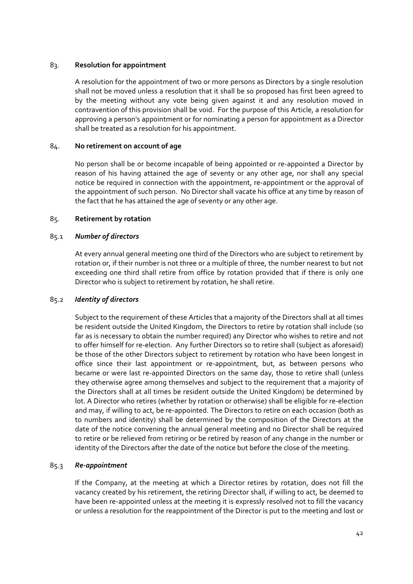## 83. **Resolution for appointment**

A resolution for the appointment of two or more persons as Directors by a single resolution shall not be moved unless a resolution that it shall be so proposed has first been agreed to by the meeting without any vote being given against it and any resolution moved in contravention of this provision shall be void. For the purpose of this Article, a resolution for approving a person's appointment or for nominating a person for appointment as a Director shall be treated as a resolution for his appointment.

## 84. **No retirement on account of age**

No person shall be or become incapable of being appointed or re‐appointed a Director by reason of his having attained the age of seventy or any other age, nor shall any special notice be required in connection with the appointment, re‐appointment or the approval of the appointment of such person. No Director shall vacate his office at any time by reason of the fact that he has attained the age of seventy or any other age.

## 85. **Retirement by rotation**

## 85.1 *Number of directors*

At every annual general meeting one third of the Directors who are subject to retirement by rotation or, if their number is not three or a multiple of three, the number nearest to but not exceeding one third shall retire from office by rotation provided that if there is only one Director who is subject to retirement by rotation, he shall retire.

### 85.2 *Identity of directors*

Subject to the requirement of these Articles that a majority of the Directors shall at all times be resident outside the United Kingdom, the Directors to retire by rotation shall include (so far as is necessary to obtain the number required) any Director who wishes to retire and not to offer himself for re‐election. Any further Directors so to retire shall (subject as aforesaid) be those of the other Directors subject to retirement by rotation who have been longest in office since their last appointment or re‐appointment, but, as between persons who became or were last re-appointed Directors on the same day, those to retire shall (unless they otherwise agree among themselves and subject to the requirement that a majority of the Directors shall at all times be resident outside the United Kingdom) be determined by lot. A Director who retires (whether by rotation or otherwise) shall be eligible for re‐election and may, if willing to act, be re‐appointed. The Directors to retire on each occasion (both as to numbers and identity) shall be determined by the composition of the Directors at the date of the notice convening the annual general meeting and no Director shall be required to retire or be relieved from retiring or be retired by reason of any change in the number or identity of the Directors after the date of the notice but before the close of the meeting.

### 85.3 *Re‐appointment*

If the Company, at the meeting at which a Director retires by rotation, does not fill the vacancy created by his retirement, the retiring Director shall, if willing to act, be deemed to have been re-appointed unless at the meeting it is expressly resolved not to fill the vacancy or unless a resolution for the reappointment of the Director is put to the meeting and lost or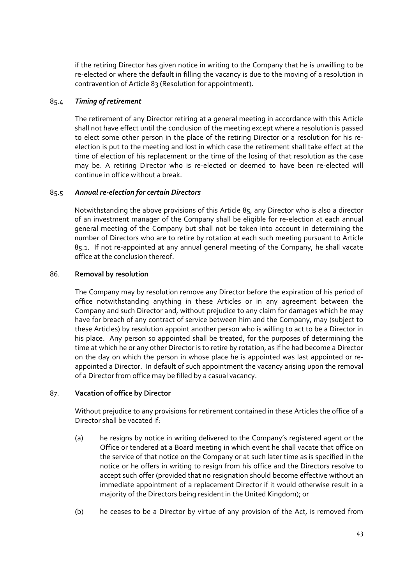if the retiring Director has given notice in writing to the Company that he is unwilling to be re-elected or where the default in filling the vacancy is due to the moving of a resolution in contravention of Article 83 (Resolution for appointment).

## 85.4 *Timing of retirement*

The retirement of any Director retiring at a general meeting in accordance with this Article shall not have effect until the conclusion of the meeting except where a resolution is passed to elect some other person in the place of the retiring Director or a resolution for his re‐ election is put to the meeting and lost in which case the retirement shall take effect at the time of election of his replacement or the time of the losing of that resolution as the case may be. A retiring Director who is re‐elected or deemed to have been re‐elected will continue in office without a break.

## 85.5 *Annual re‐election for certain Directors*

Notwithstanding the above provisions of this Article 85, any Director who is also a director of an investment manager of the Company shall be eligible for re‐election at each annual general meeting of the Company but shall not be taken into account in determining the number of Directors who are to retire by rotation at each such meeting pursuant to Article 85.1. If not re‐appointed at any annual general meeting of the Company, he shall vacate office at the conclusion thereof.

## 86. **Removal by resolution**

The Company may by resolution remove any Director before the expiration of his period of office notwithstanding anything in these Articles or in any agreement between the Company and such Director and, without prejudice to any claim for damages which he may have for breach of any contract of service between him and the Company, may (subject to these Articles) by resolution appoint another person who is willing to act to be a Director in his place. Any person so appointed shall be treated, for the purposes of determining the time at which he or any other Director is to retire by rotation, as if he had become a Director on the day on which the person in whose place he is appointed was last appointed or re‐ appointed a Director. In default of such appointment the vacancy arising upon the removal of a Director from office may be filled by a casual vacancy.

### 87. **Vacation of office by Director**

Without prejudice to any provisions for retirement contained in these Articles the office of a Director shall be vacated if:

- (a) he resigns by notice in writing delivered to the Company's registered agent or the Office or tendered at a Board meeting in which event he shall vacate that office on the service of that notice on the Company or at such later time as is specified in the notice or he offers in writing to resign from his office and the Directors resolve to accept such offer (provided that no resignation should become effective without an immediate appointment of a replacement Director if it would otherwise result in a majority of the Directors being resident in the United Kingdom); or
- (b) he ceases to be a Director by virtue of any provision of the Act, is removed from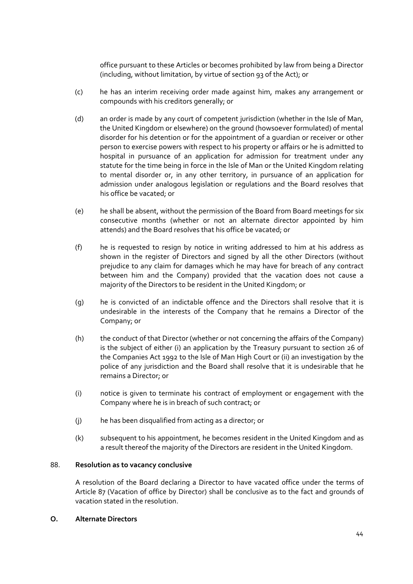office pursuant to these Articles or becomes prohibited by law from being a Director (including, without limitation, by virtue of section 93 of the Act); or

- (c) he has an interim receiving order made against him, makes any arrangement or compounds with his creditors generally; or
- (d) an order is made by any court of competent jurisdiction (whether in the Isle of Man, the United Kingdom or elsewhere) on the ground (howsoever formulated) of mental disorder for his detention or for the appointment of a guardian or receiver or other person to exercise powers with respect to his property or affairs or he is admitted to hospital in pursuance of an application for admission for treatment under any statute for the time being in force in the Isle of Man or the United Kingdom relating to mental disorder or, in any other territory, in pursuance of an application for admission under analogous legislation or regulations and the Board resolves that his office be vacated; or
- (e) he shall be absent, without the permission of the Board from Board meetings for six consecutive months (whether or not an alternate director appointed by him attends) and the Board resolves that his office be vacated; or
- (f) he is requested to resign by notice in writing addressed to him at his address as shown in the register of Directors and signed by all the other Directors (without prejudice to any claim for damages which he may have for breach of any contract between him and the Company) provided that the vacation does not cause a majority of the Directors to be resident in the United Kingdom; or
- (g) he is convicted of an indictable offence and the Directors shall resolve that it is undesirable in the interests of the Company that he remains a Director of the Company; or
- (h) the conduct of that Director (whether or not concerning the affairs of the Company) is the subject of either (i) an application by the Treasury pursuant to section 26 of the Companies Act 1992 to the Isle of Man High Court or (ii) an investigation by the police of any jurisdiction and the Board shall resolve that it is undesirable that he remains a Director; or
- (i) notice is given to terminate his contract of employment or engagement with the Company where he is in breach of such contract; or
- (j) he has been disqualified from acting as a director; or
- (k) subsequent to his appointment, he becomes resident in the United Kingdom and as a result thereof the majority of the Directors are resident in the United Kingdom.

### 88. **Resolution as to vacancy conclusive**

A resolution of the Board declaring a Director to have vacated office under the terms of Article 87 (Vacation of office by Director) shall be conclusive as to the fact and grounds of vacation stated in the resolution.

### **O. Alternate Directors**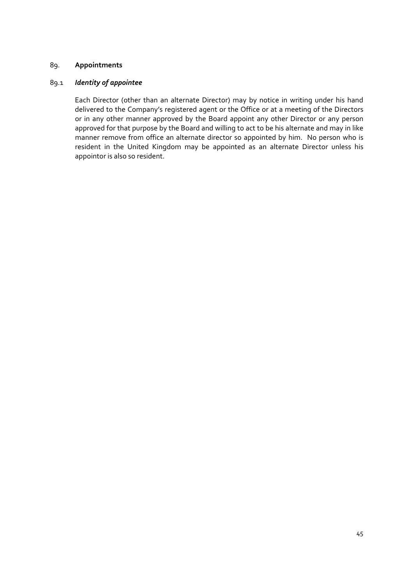# 89. **Appointments**

### 89.1 *Identity of appointee*

Each Director (other than an alternate Director) may by notice in writing under his hand delivered to the Company's registered agent or the Office or at a meeting of the Directors or in any other manner approved by the Board appoint any other Director or any person approved for that purpose by the Board and willing to act to be his alternate and may in like manner remove from office an alternate director so appointed by him. No person who is resident in the United Kingdom may be appointed as an alternate Director unless his appointor is also so resident.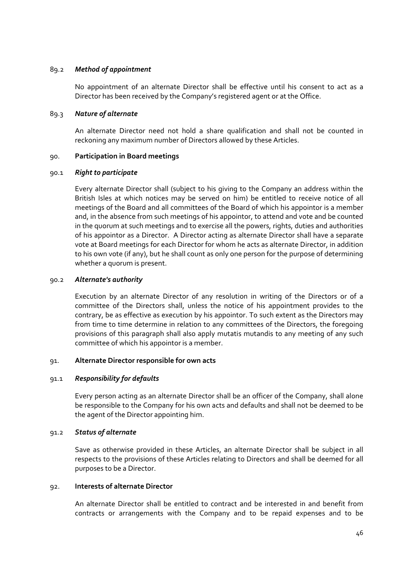## 89.2 *Method of appointment*

No appointment of an alternate Director shall be effective until his consent to act as a Director has been received by the Company's registered agent or at the Office.

## 89.3 *Nature of alternate*

An alternate Director need not hold a share qualification and shall not be counted in reckoning any maximum number of Directors allowed by these Articles.

## 90. **Participation in Board meetings**

## 90.1 *Right to participate*

Every alternate Director shall (subject to his giving to the Company an address within the British Isles at which notices may be served on him) be entitled to receive notice of all meetings of the Board and all committees of the Board of which his appointor is a member and, in the absence from such meetings of his appointor, to attend and vote and be counted in the quorum at such meetings and to exercise all the powers, rights, duties and authorities of his appointor as a Director. A Director acting as alternate Director shall have a separate vote at Board meetings for each Director for whom he acts as alternate Director, in addition to his own vote (if any), but he shall count as only one person for the purpose of determining whether a quorum is present.

## 90.2 *Alternate's authority*

Execution by an alternate Director of any resolution in writing of the Directors or of a committee of the Directors shall, unless the notice of his appointment provides to the contrary, be as effective as execution by his appointor. To such extent as the Directors may from time to time determine in relation to any committees of the Directors, the foregoing provisions of this paragraph shall also apply mutatis mutandis to any meeting of any such committee of which his appointor is a member.

### 91. **Alternate Director responsible for own acts**

## 91.1 *Responsibility for defaults*

Every person acting as an alternate Director shall be an officer of the Company, shall alone be responsible to the Company for his own acts and defaults and shall not be deemed to be the agent of the Director appointing him.

### 91.2 *Status of alternate*

Save as otherwise provided in these Articles, an alternate Director shall be subject in all respects to the provisions of these Articles relating to Directors and shall be deemed for all purposes to be a Director.

## 92. **Interests of alternate Director**

An alternate Director shall be entitled to contract and be interested in and benefit from contracts or arrangements with the Company and to be repaid expenses and to be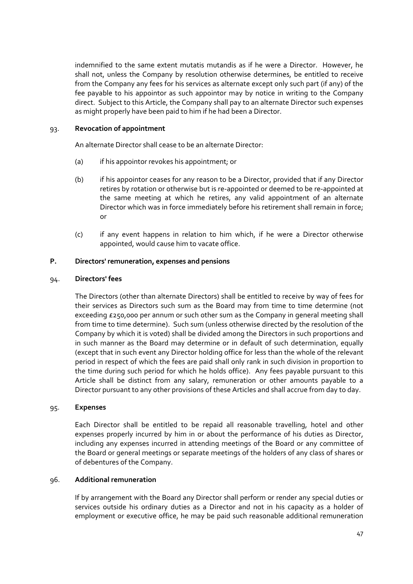indemnified to the same extent mutatis mutandis as if he were a Director. However, he shall not, unless the Company by resolution otherwise determines, be entitled to receive from the Company any fees for his services as alternate except only such part (if any) of the fee payable to his appointor as such appointor may by notice in writing to the Company direct. Subject to this Article, the Company shall pay to an alternate Director such expenses as might properly have been paid to him if he had been a Director.

### 93. **Revocation of appointment**

An alternate Director shall cease to be an alternate Director:

- (a) if his appointor revokes his appointment; or
- (b) if his appointor ceases for any reason to be a Director, provided that if any Director retires by rotation or otherwise but is re‐appointed or deemed to be re‐appointed at the same meeting at which he retires, any valid appointment of an alternate Director which was in force immediately before his retirement shall remain in force; or
- (c) if any event happens in relation to him which, if he were a Director otherwise appointed, would cause him to vacate office.

## **P. Directors' remuneration, expenses and pensions**

## 94. **Directors' fees**

The Directors (other than alternate Directors) shall be entitled to receive by way of fees for their services as Directors such sum as the Board may from time to time determine (not exceeding £250,000 per annum or such other sum as the Company in general meeting shall from time to time determine). Such sum (unless otherwise directed by the resolution of the Company by which it is voted) shall be divided among the Directors in such proportions and in such manner as the Board may determine or in default of such determination, equally (except that in such event any Director holding office for less than the whole of the relevant period in respect of which the fees are paid shall only rank in such division in proportion to the time during such period for which he holds office). Any fees payable pursuant to this Article shall be distinct from any salary, remuneration or other amounts payable to a Director pursuant to any other provisions of these Articles and shall accrue from day to day.

### 95. **Expenses**

Each Director shall be entitled to be repaid all reasonable travelling, hotel and other expenses properly incurred by him in or about the performance of his duties as Director, including any expenses incurred in attending meetings of the Board or any committee of the Board or general meetings or separate meetings of the holders of any class of shares or of debentures of the Company.

## 96. **Additional remuneration**

If by arrangement with the Board any Director shall perform or render any special duties or services outside his ordinary duties as a Director and not in his capacity as a holder of employment or executive office, he may be paid such reasonable additional remuneration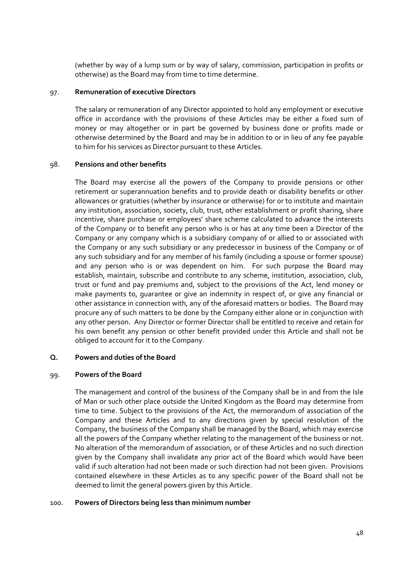(whether by way of a lump sum or by way of salary, commission, participation in profits or otherwise) as the Board may from time to time determine.

### 97. **Remuneration of executive Directors**

The salary or remuneration of any Director appointed to hold any employment or executive office in accordance with the provisions of these Articles may be either a fixed sum of money or may altogether or in part be governed by business done or profits made or otherwise determined by the Board and may be in addition to or in lieu of any fee payable to him for his services as Director pursuant to these Articles.

## 98. **Pensions and other benefits**

The Board may exercise all the powers of the Company to provide pensions or other retirement or superannuation benefits and to provide death or disability benefits or other allowances or gratuities (whether by insurance or otherwise) for or to institute and maintain any institution, association, society, club, trust, other establishment or profit sharing, share incentive, share purchase or employees' share scheme calculated to advance the interests of the Company or to benefit any person who is or has at any time been a Director of the Company or any company which is a subsidiary company of or allied to or associated with the Company or any such subsidiary or any predecessor in business of the Company or of any such subsidiary and for any member of his family (including a spouse or former spouse) and any person who is or was dependent on him. For such purpose the Board may establish, maintain, subscribe and contribute to any scheme, institution, association, club, trust or fund and pay premiums and, subject to the provisions of the Act, lend money or make payments to, guarantee or give an indemnity in respect of, or give any financial or other assistance in connection with, any of the aforesaid matters or bodies. The Board may procure any of such matters to be done by the Company either alone or in conjunction with any other person. Any Director or former Director shall be entitled to receive and retain for his own benefit any pension or other benefit provided under this Article and shall not be obliged to account for it to the Company.

### **Q. Powers and duties ofthe Board**

### 99. **Powers of the Board**

The management and control of the business of the Company shall be in and from the Isle of Man or such other place outside the United Kingdom as the Board may determine from time to time. Subject to the provisions of the Act, the memorandum of association of the Company and these Articles and to any directions given by special resolution of the Company, the business of the Company shall be managed by the Board, which may exercise all the powers of the Company whether relating to the management of the business or not. No alteration of the memorandum of association, or of these Articles and no such direction given by the Company shall invalidate any prior act of the Board which would have been valid if such alteration had not been made or such direction had not been given. Provisions contained elsewhere in these Articles as to any specific power of the Board shall not be deemed to limit the general powers given by this Article.

### 100. **Powers of Directors being less than minimum number**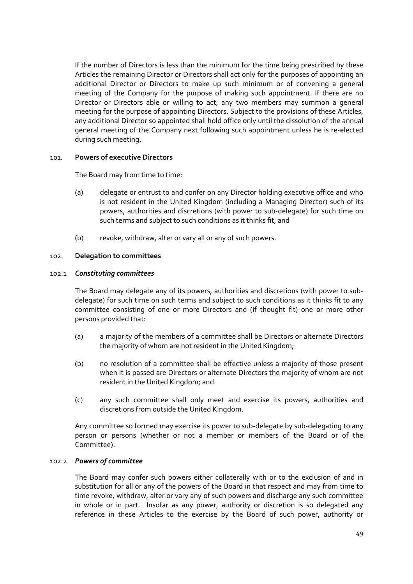If the number of Directors is less than the minimum for the time being prescribed by these Articles the remaining Director or Directors shall act only for the purposes of appointing an additional Director or Directors to make up such minimum or of convening a general meeting of the Company for the purpose of making such appointment. If there are no Director or Directors able or willing to act, any two members may summon a general meeting for the purpose of appointing Directors. Subject to the provisions of these Articles, any additional Director so appointed shall hold office only until the dissolution of the annual general meeting of the Company next following such appointment unless he is re‐elected during such meeting.

## 101. **Powers of executive Directors**

The Board may from time to time:

- (a) delegate or entrust to and confer on any Director holding executive office and who is not resident in the United Kingdom (including a Managing Director) such of its powers, authorities and discretions (with power to sub‐delegate) for such time on such terms and subject to such conditions as it thinks fit; and
- (b) revoke, withdraw, alter or vary all or any of such powers.

## 102. **Delegation to committees**

### 102.1 *Constituting committees*

The Board may delegate any of its powers, authorities and discretions (with power to sub‐ delegate) for such time on such terms and subject to such conditions as it thinks fit to any committee consisting of one or more Directors and (if thought fit) one or more other persons provided that:

- (a) a majority of the members of a committee shall be Directors or alternate Directors the majority of whom are not resident in the United Kingdom;
- (b) no resolution of a committee shall be effective unless a majority of those present when it is passed are Directors or alternate Directors the majority of whom are not resident in the United Kingdom; and
- (c) any such committee shall only meet and exercise its powers, authorities and discretions from outside the United Kingdom.

Any committee so formed may exercise its power to sub-delegate by sub-delegating to any person or persons (whether or not a member or members of the Board or of the Committee).

# 102.2 *Powers of committee*

The Board may confer such powers either collaterally with or to the exclusion of and in substitution for all or any of the powers of the Board in that respect and may from time to time revoke, withdraw, alter or vary any of such powers and discharge any such committee in whole or in part. Insofar as any power, authority or discretion is so delegated any reference in these Articles to the exercise by the Board of such power, authority or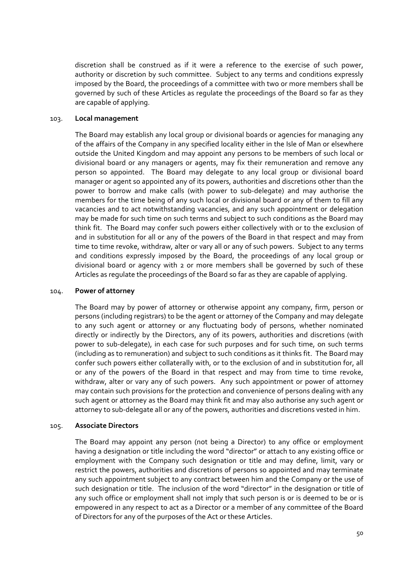discretion shall be construed as if it were a reference to the exercise of such power, authority or discretion by such committee. Subject to any terms and conditions expressly imposed by the Board, the proceedings of a committee with two or more members shall be governed by such of these Articles as regulate the proceedings of the Board so far as they are capable of applying.

### 103. **Local management**

The Board may establish any local group or divisional boards or agencies for managing any of the affairs of the Company in any specified locality either in the Isle of Man or elsewhere outside the United Kingdom and may appoint any persons to be members of such local or divisional board or any managers or agents, may fix their remuneration and remove any person so appointed. The Board may delegate to any local group or divisional board manager or agent so appointed any of its powers, authorities and discretions other than the power to borrow and make calls (with power to sub‐delegate) and may authorise the members for the time being of any such local or divisional board or any of them to fill any vacancies and to act notwithstanding vacancies, and any such appointment or delegation may be made for such time on such terms and subject to such conditions as the Board may think fit. The Board may confer such powers either collectively with or to the exclusion of and in substitution for all or any of the powers of the Board in that respect and may from time to time revoke, withdraw, alter or vary all or any of such powers. Subject to any terms and conditions expressly imposed by the Board, the proceedings of any local group or divisional board or agency with 2 or more members shall be governed by such of these Articles as regulate the proceedings of the Board so far as they are capable of applying.

### 104. **Power of attorney**

The Board may by power of attorney or otherwise appoint any company, firm, person or persons (including registrars) to be the agent or attorney of the Company and may delegate to any such agent or attorney or any fluctuating body of persons, whether nominated directly or indirectly by the Directors, any of its powers, authorities and discretions (with power to sub-delegate), in each case for such purposes and for such time, on such terms (including as to remuneration) and subject to such conditions as it thinks fit. The Board may confer such powers either collaterally with, or to the exclusion of and in substitution for, all or any of the powers of the Board in that respect and may from time to time revoke, withdraw, alter or vary any of such powers. Any such appointment or power of attorney may contain such provisions for the protection and convenience of persons dealing with any such agent or attorney as the Board may think fit and may also authorise any such agent or attorney to sub‐delegate all or any of the powers, authorities and discretions vested in him.

### 105. **Associate Directors**

The Board may appoint any person (not being a Director) to any office or employment having a designation or title including the word "director" or attach to any existing office or employment with the Company such designation or title and may define, limit, vary or restrict the powers, authorities and discretions of persons so appointed and may terminate any such appointment subject to any contract between him and the Company or the use of such designation or title. The inclusion of the word "director" in the designation or title of any such office or employment shall not imply that such person is or is deemed to be or is empowered in any respect to act as a Director or a member of any committee of the Board of Directors for any of the purposes of the Act or these Articles.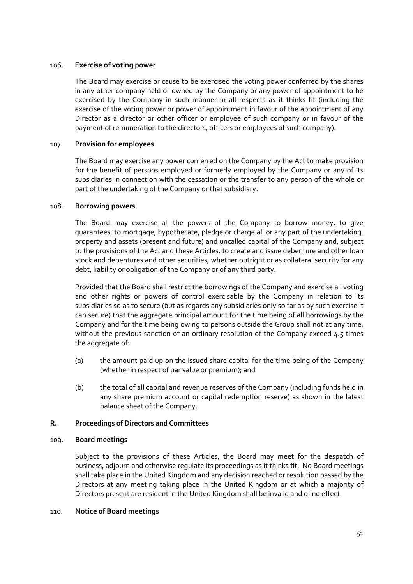## 106. **Exercise of voting power**

The Board may exercise or cause to be exercised the voting power conferred by the shares in any other company held or owned by the Company or any power of appointment to be exercised by the Company in such manner in all respects as it thinks fit (including the exercise of the voting power or power of appointment in favour of the appointment of any Director as a director or other officer or employee of such company or in favour of the payment of remuneration to the directors, officers or employees of such company).

## 107. **Provision for employees**

The Board may exercise any power conferred on the Company by the Act to make provision for the benefit of persons employed or formerly employed by the Company or any of its subsidiaries in connection with the cessation or the transfer to any person of the whole or part of the undertaking of the Company or that subsidiary.

## 108. **Borrowing powers**

The Board may exercise all the powers of the Company to borrow money, to give guarantees, to mortgage, hypothecate, pledge or charge all or any part of the undertaking, property and assets (present and future) and uncalled capital of the Company and, subject to the provisions of the Act and these Articles, to create and issue debenture and other loan stock and debentures and other securities, whether outright or as collateral security for any debt, liability or obligation of the Company or of any third party.

Provided that the Board shall restrict the borrowings of the Company and exercise all voting and other rights or powers of control exercisable by the Company in relation to its subsidiaries so as to secure (but as regards any subsidiaries only so far as by such exercise it can secure) that the aggregate principal amount for the time being of all borrowings by the Company and for the time being owing to persons outside the Group shall not at any time, without the previous sanction of an ordinary resolution of the Company exceed  $4.5$  times the aggregate of:

- (a) the amount paid up on the issued share capital for the time being of the Company (whether in respect of par value or premium); and
- (b) the total of all capital and revenue reserves of the Company (including funds held in any share premium account or capital redemption reserve) as shown in the latest balance sheet of the Company.

## **R. Proceedings of Directors and Committees**

### 109. **Board meetings**

Subject to the provisions of these Articles, the Board may meet for the despatch of business, adjourn and otherwise regulate its proceedings as it thinks fit. No Board meetings shall take place in the United Kingdom and any decision reached or resolution passed by the Directors at any meeting taking place in the United Kingdom or at which a majority of Directors present are resident in the United Kingdom shall be invalid and of no effect.

### 110. **Notice of Board meetings**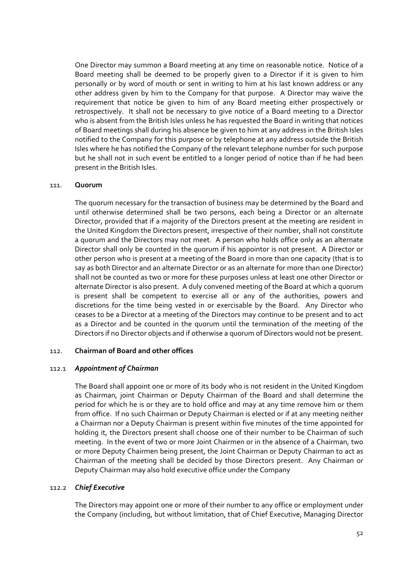One Director may summon a Board meeting at any time on reasonable notice. Notice of a Board meeting shall be deemed to be properly given to a Director if it is given to him personally or by word of mouth or sent in writing to him at his last known address or any other address given by him to the Company for that purpose. A Director may waive the requirement that notice be given to him of any Board meeting either prospectively or retrospectively. It shall not be necessary to give notice of a Board meeting to a Director who is absent from the British Isles unless he has requested the Board in writing that notices of Board meetings shall during his absence be given to him at any address in the British Isles notified to the Company for this purpose or by telephone at any address outside the British Isles where he has notified the Company of the relevant telephone number for such purpose but he shall not in such event be entitled to a longer period of notice than if he had been present in the British Isles.

### 111. **Quorum**

The quorum necessary for the transaction of business may be determined by the Board and until otherwise determined shall be two persons, each being a Director or an alternate Director, provided that if a majority of the Directors present at the meeting are resident in the United Kingdom the Directors present, irrespective of their number, shall not constitute a quorum and the Directors may not meet. A person who holds office only as an alternate Director shall only be counted in the quorum if his appointor is not present. A Director or other person who is present at a meeting of the Board in more than one capacity (that is to say as both Director and an alternate Director or as an alternate for more than one Director) shall not be counted as two or more for these purposes unless at least one other Director or alternate Director is also present. A duly convened meeting of the Board at which a quorum is present shall be competent to exercise all or any of the authorities, powers and discretions for the time being vested in or exercisable by the Board. Any Director who ceases to be a Director at a meeting of the Directors may continue to be present and to act as a Director and be counted in the quorum until the termination of the meeting of the Directors if no Director objects and if otherwise a quorum of Directors would not be present.

## 112. **Chairman of Board and other offices**

### 112.1 *Appointment of Chairman*

The Board shall appoint one or more of its body who is not resident in the United Kingdom as Chairman, joint Chairman or Deputy Chairman of the Board and shall determine the period for which he is or they are to hold office and may at any time remove him or them from office. If no such Chairman or Deputy Chairman is elected or if at any meeting neither a Chairman nor a Deputy Chairman is present within five minutes of the time appointed for holding it, the Directors present shall choose one of their number to be Chairman of such meeting. In the event of two or more Joint Chairmen or in the absence of a Chairman, two or more Deputy Chairmen being present, the Joint Chairman or Deputy Chairman to act as Chairman of the meeting shall be decided by those Directors present. Any Chairman or Deputy Chairman may also hold executive office under the Company

### 112.2 *Chief Executive*

The Directors may appoint one or more of their number to any office or employment under the Company (including, but without limitation, that of Chief Executive, Managing Director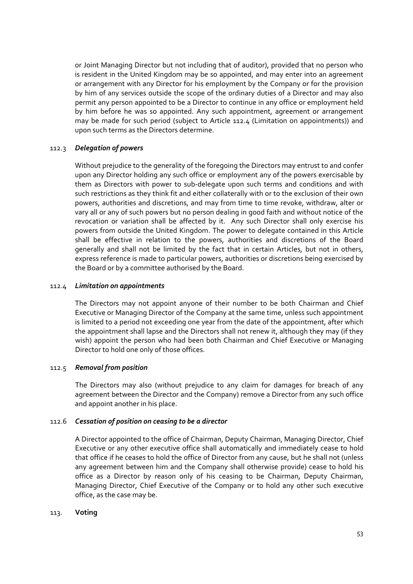or Joint Managing Director but not including that of auditor), provided that no person who is resident in the United Kingdom may be so appointed, and may enter into an agreement or arrangement with any Director for his employment by the Company or for the provision by him of any services outside the scope of the ordinary duties of a Director and may also permit any person appointed to be a Director to continue in any office or employment held by him before he was so appointed. Any such appointment, agreement or arrangement may be made for such period (subject to Article 112.4 (Limitation on appointments)) and upon such terms as the Directors determine.

## 112.3 *Delegation of powers*

Without prejudice to the generality of the foregoing the Directors may entrust to and confer upon any Director holding any such office or employment any of the powers exercisable by them as Directors with power to sub‐delegate upon such terms and conditions and with such restrictions as they think fit and either collaterally with or to the exclusion of their own powers, authorities and discretions, and may from time to time revoke, withdraw, alter or vary all or any of such powers but no person dealing in good faith and without notice of the revocation or variation shall be affected by it. Any such Director shall only exercise his powers from outside the United Kingdom. The power to delegate contained in this Article shall be effective in relation to the powers, authorities and discretions of the Board generally and shall not be limited by the fact that in certain Articles, but not in others, express reference is made to particular powers, authorities or discretions being exercised by the Board or by a committee authorised by the Board.

### 112.4 *Limitation on appointments*

The Directors may not appoint anyone of their number to be both Chairman and Chief Executive or Managing Director of the Company at the same time, unless such appointment is limited to a period not exceeding one year from the date of the appointment, after which the appointment shall lapse and the Directors shall not renew it, although they may (if they wish) appoint the person who had been both Chairman and Chief Executive or Managing Director to hold one only of those offices.

### 112.5 *Removal from position*

The Directors may also (without prejudice to any claim for damages for breach of any agreement between the Director and the Company) remove a Director from any such office and appoint another in his place.

## 112.6 *Cessation of position on ceasing to be a director*

A Director appointed to the office of Chairman, Deputy Chairman, Managing Director, Chief Executive or any other executive office shall automatically and immediately cease to hold that office if he ceases to hold the office of Director from any cause, but he shall not (unless any agreement between him and the Company shall otherwise provide) cease to hold his office as a Director by reason only of his ceasing to be Chairman, Deputy Chairman, Managing Director, Chief Executive of the Company or to hold any other such executive office, as the case may be.

### 113. **Voting**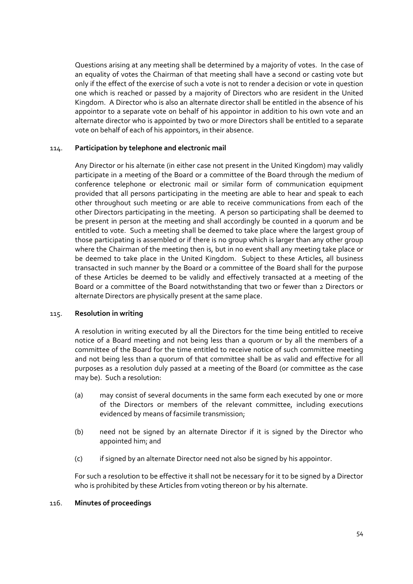Questions arising at any meeting shall be determined by a majority of votes. In the case of an equality of votes the Chairman of that meeting shall have a second or casting vote but only if the effect of the exercise of such a vote is not to render a decision or vote in question one which is reached or passed by a majority of Directors who are resident in the United Kingdom. A Director who is also an alternate director shall be entitled in the absence of his appointor to a separate vote on behalf of his appointor in addition to his own vote and an alternate director who is appointed by two or more Directors shall be entitled to a separate vote on behalf of each of his appointors, in their absence.

### 114. **Participation by telephone and electronic mail**

Any Director or his alternate (in either case not present in the United Kingdom) may validly participate in a meeting of the Board or a committee of the Board through the medium of conference telephone or electronic mail or similar form of communication equipment provided that all persons participating in the meeting are able to hear and speak to each other throughout such meeting or are able to receive communications from each of the other Directors participating in the meeting. A person so participating shall be deemed to be present in person at the meeting and shall accordingly be counted in a quorum and be entitled to vote. Such a meeting shall be deemed to take place where the largest group of those participating is assembled or if there is no group which is larger than any other group where the Chairman of the meeting then is, but in no event shall any meeting take place or be deemed to take place in the United Kingdom. Subject to these Articles, all business transacted in such manner by the Board or a committee of the Board shall for the purpose of these Articles be deemed to be validly and effectively transacted at a meeting of the Board or a committee of the Board notwithstanding that two or fewer than 2 Directors or alternate Directors are physically present at the same place.

### 115. **Resolution in writing**

A resolution in writing executed by all the Directors for the time being entitled to receive notice of a Board meeting and not being less than a quorum or by all the members of a committee of the Board for the time entitled to receive notice of such committee meeting and not being less than a quorum of that committee shall be as valid and effective for all purposes as a resolution duly passed at a meeting of the Board (or committee as the case may be). Such a resolution:

- (a) may consist of several documents in the same form each executed by one or more of the Directors or members of the relevant committee, including executions evidenced by means of facsimile transmission;
- (b) need not be signed by an alternate Director if it is signed by the Director who appointed him; and
- (c) if signed by an alternate Director need not also be signed by his appointor.

For such a resolution to be effective it shall not be necessary for it to be signed by a Director who is prohibited by these Articles from voting thereon or by his alternate.

### 116. **Minutes of proceedings**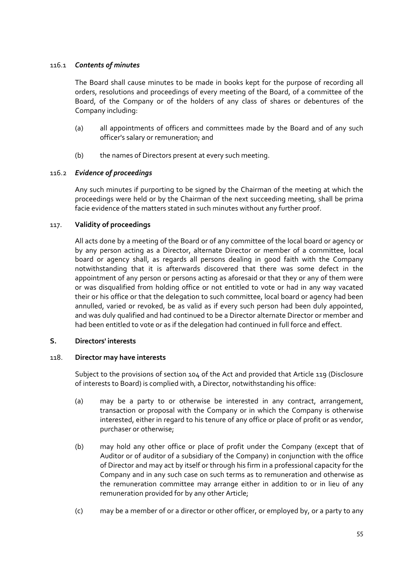## 116.1 *Contents of minutes*

The Board shall cause minutes to be made in books kept for the purpose of recording all orders, resolutions and proceedings of every meeting of the Board, of a committee of the Board, of the Company or of the holders of any class of shares or debentures of the Company including:

- (a) all appointments of officers and committees made by the Board and of any such officer's salary or remuneration; and
- (b) the names of Directors present at every such meeting.

## 116.2 *Evidence of proceedings*

Any such minutes if purporting to be signed by the Chairman of the meeting at which the proceedings were held or by the Chairman of the next succeeding meeting, shall be prima facie evidence of the matters stated in such minutes without any further proof.

## 117. **Validity of proceedings**

All acts done by a meeting of the Board or of any committee of the local board or agency or by any person acting as a Director, alternate Director or member of a committee, local board or agency shall, as regards all persons dealing in good faith with the Company notwithstanding that it is afterwards discovered that there was some defect in the appointment of any person or persons acting as aforesaid or that they or any of them were or was disqualified from holding office or not entitled to vote or had in any way vacated their or his office or that the delegation to such committee, local board or agency had been annulled, varied or revoked, be as valid as if every such person had been duly appointed, and was duly qualified and had continued to be a Director alternate Director or member and had been entitled to vote or as if the delegation had continued in full force and effect.

### **S. Directors' interests**

### 118. **Director may have interests**

Subject to the provisions of section 104 of the Act and provided that Article 119 (Disclosure of interests to Board) is complied with, a Director, notwithstanding his office:

- (a) may be a party to or otherwise be interested in any contract, arrangement, transaction or proposal with the Company or in which the Company is otherwise interested, either in regard to his tenure of any office or place of profit or as vendor, purchaser or otherwise;
- (b) may hold any other office or place of profit under the Company (except that of Auditor or of auditor of a subsidiary of the Company) in conjunction with the office of Director and may act by itself or through his firm in a professional capacity for the Company and in any such case on such terms as to remuneration and otherwise as the remuneration committee may arrange either in addition to or in lieu of any remuneration provided for by any other Article;
- (c) may be a member of or a director or other officer, or employed by, or a party to any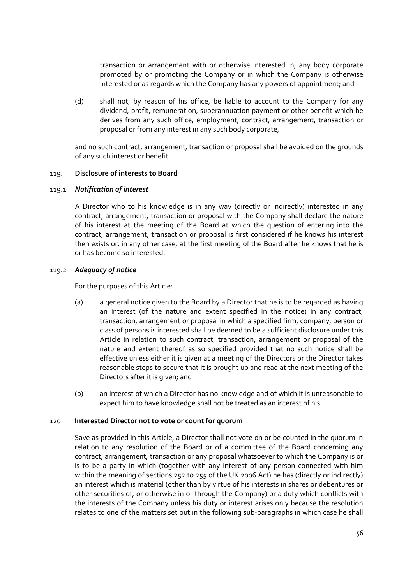transaction or arrangement with or otherwise interested in, any body corporate promoted by or promoting the Company or in which the Company is otherwise interested or as regards which the Company has any powers of appointment; and

(d) shall not, by reason of his office, be liable to account to the Company for any dividend, profit, remuneration, superannuation payment or other benefit which he derives from any such office, employment, contract, arrangement, transaction or proposal or from any interest in any such body corporate,

and no such contract, arrangement, transaction or proposal shall be avoided on the grounds of any such interest or benefit.

### 119. **Disclosure of interests to Board**

#### 119.1 *Notification of interest*

A Director who to his knowledge is in any way (directly or indirectly) interested in any contract, arrangement, transaction or proposal with the Company shall declare the nature of his interest at the meeting of the Board at which the question of entering into the contract, arrangement, transaction or proposal is first considered if he knows his interest then exists or, in any other case, at the first meeting of the Board after he knows that he is or has become so interested.

### 119.2 *Adequacy of notice*

For the purposes of this Article:

- (a) a general notice given to the Board by a Director that he is to be regarded as having an interest (of the nature and extent specified in the notice) in any contract, transaction, arrangement or proposal in which a specified firm, company, person or class of persons is interested shall be deemed to be a sufficient disclosure under this Article in relation to such contract, transaction, arrangement or proposal of the nature and extent thereof as so specified provided that no such notice shall be effective unless either it is given at a meeting of the Directors or the Director takes reasonable steps to secure that it is brought up and read at the next meeting of the Directors after it is given; and
- (b) an interest of which a Director has no knowledge and of which it is unreasonable to expect him to have knowledge shall not be treated as an interest of his.

#### 120. **Interested Director not to vote or count for quorum**

Save as provided in this Article, a Director shall not vote on or be counted in the quorum in relation to any resolution of the Board or of a committee of the Board concerning any contract, arrangement, transaction or any proposal whatsoever to which the Company is or is to be a party in which (together with any interest of any person connected with him within the meaning of sections 252 to 255 of the UK 2006 Act) he has (directly or indirectly) an interest which is material (other than by virtue of his interests in shares or debentures or other securities of, or otherwise in or through the Company) or a duty which conflicts with the interests of the Company unless his duty or interest arises only because the resolution relates to one of the matters set out in the following sub‐paragraphs in which case he shall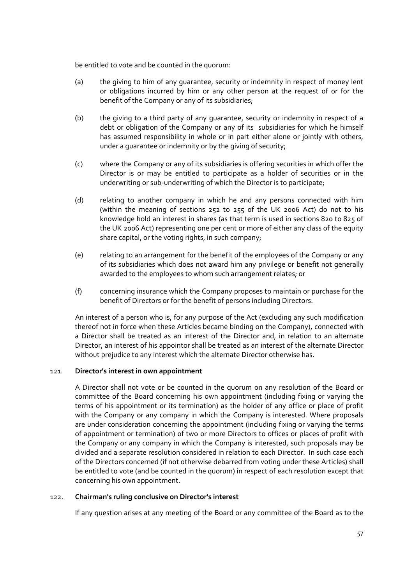be entitled to vote and be counted in the quorum:

- (a) the giving to him of any guarantee, security or indemnity in respect of money lent or obligations incurred by him or any other person at the request of or for the benefit of the Company or any of its subsidiaries;
- (b) the giving to a third party of any guarantee, security or indemnity in respect of a debt or obligation of the Company or any of its subsidiaries for which he himself has assumed responsibility in whole or in part either alone or jointly with others, under a guarantee or indemnity or by the giving of security;
- (c) where the Company or any of its subsidiaries is offering securities in which offer the Director is or may be entitled to participate as a holder of securities or in the underwriting or sub-underwriting of which the Director is to participate;
- (d) relating to another company in which he and any persons connected with him (within the meaning of sections 252 to 255 of the UK 2006 Act) do not to his knowledge hold an interest in shares (as that term is used in sections 820 to 825 of the UK 2006 Act) representing one per cent or more of either any class of the equity share capital, or the voting rights, in such company;
- (e) relating to an arrangement for the benefit of the employees of the Company or any of its subsidiaries which does not award him any privilege or benefit not generally awarded to the employees to whom such arrangement relates; or
- (f) concerning insurance which the Company proposes to maintain or purchase for the benefit of Directors or for the benefit of persons including Directors.

An interest of a person who is, for any purpose of the Act (excluding any such modification thereof not in force when these Articles became binding on the Company), connected with a Director shall be treated as an interest of the Director and, in relation to an alternate Director, an interest of his appointor shall be treated as an interest of the alternate Director without prejudice to any interest which the alternate Director otherwise has.

## 121. **Director's interest in own appointment**

A Director shall not vote or be counted in the quorum on any resolution of the Board or committee of the Board concerning his own appointment (including fixing or varying the terms of his appointment or its termination) as the holder of any office or place of profit with the Company or any company in which the Company is interested. Where proposals are under consideration concerning the appointment (including fixing or varying the terms of appointment or termination) of two or more Directors to offices or places of profit with the Company or any company in which the Company is interested, such proposals may be divided and a separate resolution considered in relation to each Director. In such case each of the Directors concerned (if not otherwise debarred from voting under these Articles) shall be entitled to vote (and be counted in the quorum) in respect of each resolution except that concerning his own appointment.

## 122. **Chairman's ruling conclusive on Director's interest**

If any question arises at any meeting of the Board or any committee of the Board as to the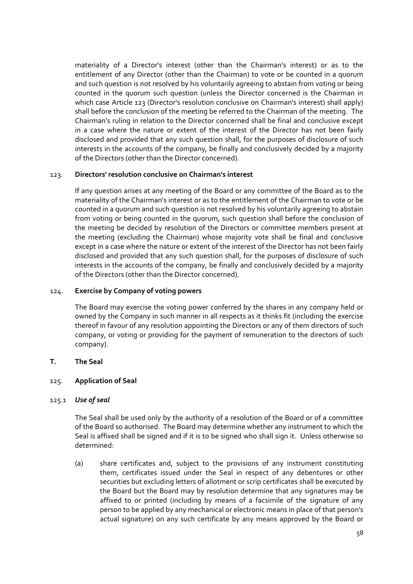materiality of a Director's interest (other than the Chairman's interest) or as to the entitlement of any Director (other than the Chairman) to vote or be counted in a quorum and such question is not resolved by his voluntarily agreeing to abstain from voting or being counted in the quorum such question (unless the Director concerned is the Chairman in which case Article 123 (Director's resolution conclusive on Chairman's interest) shall apply) shall before the conclusion of the meeting be referred to the Chairman of the meeting. The Chairman's ruling in relation to the Director concerned shall be final and conclusive except in a case where the nature or extent of the interest of the Director has not been fairly disclosed and provided that any such question shall, for the purposes of disclosure of such interests in the accounts of the company, be finally and conclusively decided by a majority of the Directors (other than the Director concerned).

## 123. **Directors' resolution conclusive on Chairman's interest**

If any question arises at any meeting of the Board or any committee of the Board as to the materiality of the Chairman's interest or as to the entitlement of the Chairman to vote or be counted in a quorum and such question is not resolved by his voluntarily agreeing to abstain from voting or being counted in the quorum, such question shall before the conclusion of the meeting be decided by resolution of the Directors or committee members present at the meeting (excluding the Chairman) whose majority vote shall be final and conclusive except in a case where the nature or extent of the interest of the Director has not been fairly disclosed and provided that any such question shall, for the purposes of disclosure of such interests in the accounts of the company, be finally and conclusively decided by a majority of the Directors (other than the Director concerned).

## 124. **Exercise by Company of voting powers**

The Board may exercise the voting power conferred by the shares in any company held or owned by the Company in such manner in all respects as it thinks fit (including the exercise thereof in favour of any resolution appointing the Directors or any of them directors of such company, or voting or providing for the payment of remuneration to the directors of such company).

## **T. The Seal**

## 125. **Application of Seal**

### 125.1 *Use of seal*

The Seal shall be used only by the authority of a resolution of the Board or of a committee of the Board so authorised. The Board may determine whether any instrument to which the Seal is affixed shall be signed and if it is to be signed who shall sign it. Unless otherwise so determined:

(a) share certificates and, subject to the provisions of any instrument constituting them, certificates issued under the Seal in respect of any debentures or other securities but excluding letters of allotment or scrip certificates shall be executed by the Board but the Board may by resolution determine that any signatures may be affixed to or printed (including by means of a facsimile of the signature of any person to be applied by any mechanical or electronic means in place of that person's actual signature) on any such certificate by any means approved by the Board or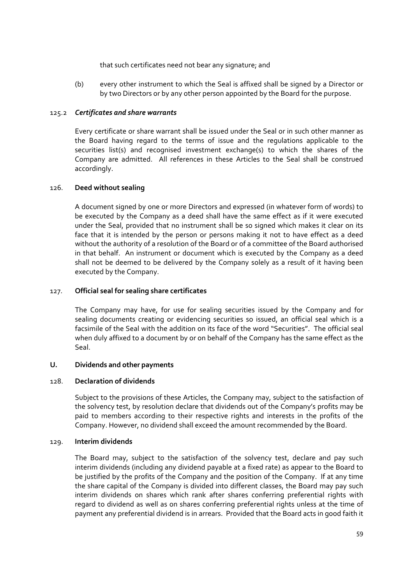that such certificates need not bear any signature; and

(b) every other instrument to which the Seal is affixed shall be signed by a Director or by two Directors or by any other person appointed by the Board for the purpose.

## 125.2 *Certificates and share warrants*

Every certificate or share warrant shall be issued under the Seal or in such other manner as the Board having regard to the terms of issue and the regulations applicable to the securities list(s) and recognised investment exchange(s) to which the shares of the Company are admitted. All references in these Articles to the Seal shall be construed accordingly.

## 126. **Deed without sealing**

A document signed by one or more Directors and expressed (in whatever form of words) to be executed by the Company as a deed shall have the same effect as if it were executed under the Seal, provided that no instrument shall be so signed which makes it clear on its face that it is intended by the person or persons making it not to have effect as a deed without the authority of a resolution of the Board or of a committee of the Board authorised in that behalf. An instrument or document which is executed by the Company as a deed shall not be deemed to be delivered by the Company solely as a result of it having been executed by the Company.

### 127. **Official seal for sealing share certificates**

The Company may have, for use for sealing securities issued by the Company and for sealing documents creating or evidencing securities so issued, an official seal which is a facsimile of the Seal with the addition on its face of the word "Securities". The official seal when duly affixed to a document by or on behalf of the Company has the same effect as the Seal.

### **U. Dividends and other payments**

## 128. **Declaration of dividends**

Subject to the provisions of these Articles, the Company may, subject to the satisfaction of the solvency test, by resolution declare that dividends out of the Company's profits may be paid to members according to their respective rights and interests in the profits of the Company. However, no dividend shall exceed the amount recommended by the Board.

### 129. **Interim dividends**

The Board may, subject to the satisfaction of the solvency test, declare and pay such interim dividends (including any dividend payable at a fixed rate) as appear to the Board to be justified by the profits of the Company and the position of the Company. If at any time the share capital of the Company is divided into different classes, the Board may pay such interim dividends on shares which rank after shares conferring preferential rights with regard to dividend as well as on shares conferring preferential rights unless at the time of payment any preferential dividend is in arrears. Provided that the Board acts in good faith it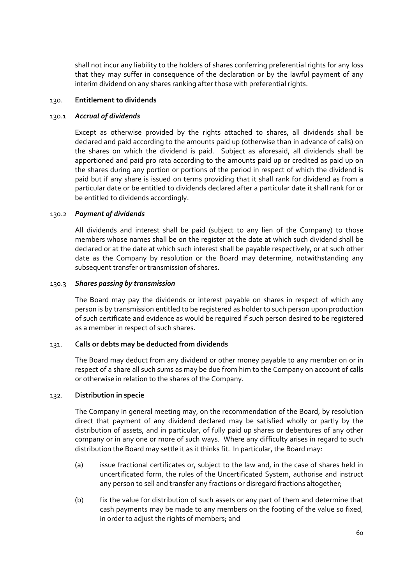shall not incur any liability to the holders of shares conferring preferential rights for any loss that they may suffer in consequence of the declaration or by the lawful payment of any interim dividend on any shares ranking after those with preferential rights.

### 130. **Entitlement to dividends**

### 130.1 *Accrual of dividends*

Except as otherwise provided by the rights attached to shares, all dividends shall be declared and paid according to the amounts paid up (otherwise than in advance of calls) on the shares on which the dividend is paid. Subject as aforesaid, all dividends shall be apportioned and paid pro rata according to the amounts paid up or credited as paid up on the shares during any portion or portions of the period in respect of which the dividend is paid but if any share is issued on terms providing that it shall rank for dividend as from a particular date or be entitled to dividends declared after a particular date it shall rank for or be entitled to dividends accordingly.

## 130.2 *Payment of dividends*

All dividends and interest shall be paid (subject to any lien of the Company) to those members whose names shall be on the register at the date at which such dividend shall be declared or at the date at which such interest shall be payable respectively, or at such other date as the Company by resolution or the Board may determine, notwithstanding any subsequent transfer or transmission of shares.

### 130.3 *Shares passing by transmission*

The Board may pay the dividends or interest payable on shares in respect of which any person is by transmission entitled to be registered as holder to such person upon production of such certificate and evidence as would be required if such person desired to be registered as a member in respect of such shares.

### 131. **Calls or debts may be deducted from dividends**

The Board may deduct from any dividend or other money payable to any member on or in respect of a share all such sums as may be due from him to the Company on account of calls or otherwise in relation to the shares of the Company.

### 132. **Distribution in specie**

The Company in general meeting may, on the recommendation of the Board, by resolution direct that payment of any dividend declared may be satisfied wholly or partly by the distribution of assets, and in particular, of fully paid up shares or debentures of any other company or in any one or more of such ways. Where any difficulty arises in regard to such distribution the Board may settle it as it thinks fit. In particular, the Board may:

- (a) issue fractional certificates or, subject to the law and, in the case of shares held in uncertificated form, the rules of the Uncertificated System, authorise and instruct any person to sell and transfer any fractions or disregard fractions altogether;
- (b) fix the value for distribution of such assets or any part of them and determine that cash payments may be made to any members on the footing of the value so fixed, in order to adjust the rights of members; and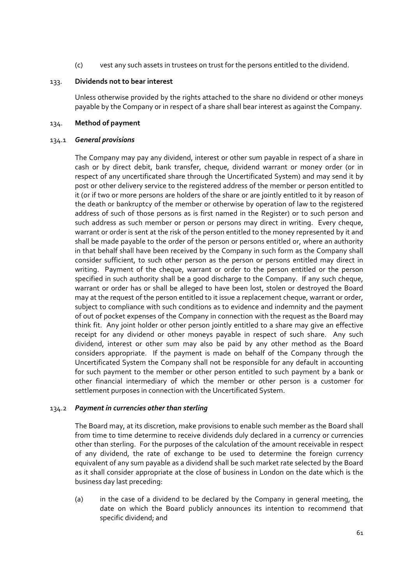(c) vest any such assets in trustees on trust for the persons entitled to the dividend.

### 133. **Dividends not to bear interest**

Unless otherwise provided by the rights attached to the share no dividend or other moneys payable by the Company or in respect of a share shall bear interest as against the Company.

## 134. **Method of payment**

### 134.1 *General provisions*

The Company may pay any dividend, interest or other sum payable in respect of a share in cash or by direct debit, bank transfer, cheque, dividend warrant or money order (or in respect of any uncertificated share through the Uncertificated System) and may send it by post or other delivery service to the registered address of the member or person entitled to it (or if two or more persons are holders of the share or are jointly entitled to it by reason of the death or bankruptcy of the member or otherwise by operation of law to the registered address of such of those persons as is first named in the Register) or to such person and such address as such member or person or persons may direct in writing. Every cheque, warrant or order is sent at the risk of the person entitled to the money represented by it and shall be made payable to the order of the person or persons entitled or, where an authority in that behalf shall have been received by the Company in such form as the Company shall consider sufficient, to such other person as the person or persons entitled may direct in writing. Payment of the cheque, warrant or order to the person entitled or the person specified in such authority shall be a good discharge to the Company. If any such cheque, warrant or order has or shall be alleged to have been lost, stolen or destroyed the Board may at the request of the person entitled to it issue a replacement cheque, warrant or order, subject to compliance with such conditions as to evidence and indemnity and the payment of out of pocket expenses of the Company in connection with the request as the Board may think fit. Any joint holder or other person jointly entitled to a share may give an effective receipt for any dividend or other moneys payable in respect of such share. Any such dividend, interest or other sum may also be paid by any other method as the Board considers appropriate. If the payment is made on behalf of the Company through the Uncertificated System the Company shall not be responsible for any default in accounting for such payment to the member or other person entitled to such payment by a bank or other financial intermediary of which the member or other person is a customer for settlement purposes in connection with the Uncertificated System.

### 134.2 *Payment in currencies other than sterling*

The Board may, at its discretion, make provisions to enable such member as the Board shall from time to time determine to receive dividends duly declared in a currency or currencies other than sterling. For the purposes of the calculation of the amount receivable in respect of any dividend, the rate of exchange to be used to determine the foreign currency equivalent of any sum payable as a dividend shall be such market rate selected by the Board as it shall consider appropriate at the close of business in London on the date which is the business day last preceding:

(a) in the case of a dividend to be declared by the Company in general meeting, the date on which the Board publicly announces its intention to recommend that specific dividend; and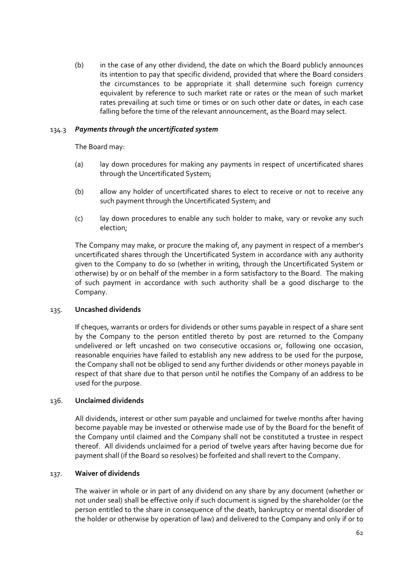(b) in the case of any other dividend, the date on which the Board publicly announces its intention to pay that specific dividend, provided that where the Board considers the circumstances to be appropriate it shall determine such foreign currency equivalent by reference to such market rate or rates or the mean of such market rates prevailing at such time or times or on such other date or dates, in each case falling before the time of the relevant announcement, as the Board may select.

## 134.3 *Payments through the uncertificated system*

The Board may:

- (a) lay down procedures for making any payments in respect of uncertificated shares through the Uncertificated System;
- (b) allow any holder of uncertificated shares to elect to receive or not to receive any such payment through the Uncertificated System; and
- (c) lay down procedures to enable any such holder to make, vary or revoke any such election;

The Company may make, or procure the making of, any payment in respect of a member's uncertificated shares through the Uncertificated System in accordance with any authority given to the Company to do so (whether in writing, through the Uncertificated System or otherwise) by or on behalf of the member in a form satisfactory to the Board. The making of such payment in accordance with such authority shall be a good discharge to the Company.

### 135. **Uncashed dividends**

If cheques, warrants or orders for dividends or other sums payable in respect of a share sent by the Company to the person entitled thereto by post are returned to the Company undelivered or left uncashed on two consecutive occasions or, following one occasion, reasonable enquiries have failed to establish any new address to be used for the purpose, the Company shall not be obliged to send any further dividends or other moneys payable in respect of that share due to that person until he notifies the Company of an address to be used for the purpose.

### 136. **Unclaimed dividends**

All dividends, interest or other sum payable and unclaimed for twelve months after having become payable may be invested or otherwise made use of by the Board for the benefit of the Company until claimed and the Company shall not be constituted a trustee in respect thereof. All dividends unclaimed for a period of twelve years after having become due for payment shall (if the Board so resolves) be forfeited and shall revert to the Company.

### 137. **Waiver of dividends**

The waiver in whole or in part of any dividend on any share by any document (whether or not under seal) shall be effective only if such document is signed by the shareholder (or the person entitled to the share in consequence of the death, bankruptcy or mental disorder of the holder or otherwise by operation of law) and delivered to the Company and only if or to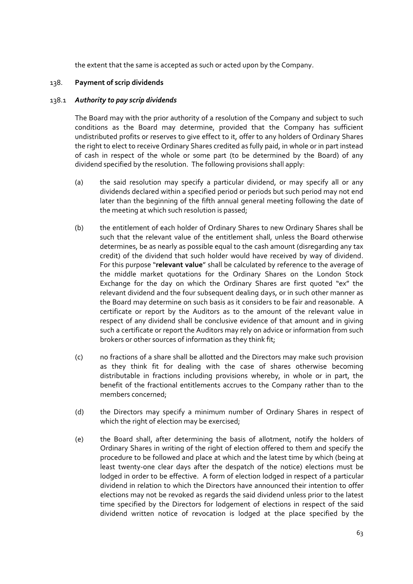the extent that the same is accepted as such or acted upon by the Company.

## 138. **Payment of scrip dividends**

### 138.1 *Authority to pay scrip dividends*

The Board may with the prior authority of a resolution of the Company and subject to such conditions as the Board may determine, provided that the Company has sufficient undistributed profits or reserves to give effect to it, offer to any holders of Ordinary Shares the right to elect to receive Ordinary Shares credited as fully paid, in whole or in part instead of cash in respect of the whole or some part (to be determined by the Board) of any dividend specified by the resolution. The following provisions shall apply:

- (a) the said resolution may specify a particular dividend, or may specify all or any dividends declared within a specified period or periods but such period may not end later than the beginning of the fifth annual general meeting following the date of the meeting at which such resolution is passed;
- (b) the entitlement of each holder of Ordinary Shares to new Ordinary Shares shall be such that the relevant value of the entitlement shall, unless the Board otherwise determines, be as nearly as possible equal to the cash amount (disregarding any tax credit) of the dividend that such holder would have received by way of dividend. For this purpose "**relevant value**" shall be calculated by reference to the average of the middle market quotations for the Ordinary Shares on the London Stock Exchange for the day on which the Ordinary Shares are first quoted "ex" the relevant dividend and the four subsequent dealing days, or in such other manner as the Board may determine on such basis as it considers to be fair and reasonable. A certificate or report by the Auditors as to the amount of the relevant value in respect of any dividend shall be conclusive evidence of that amount and in giving such a certificate or report the Auditors may rely on advice or information from such brokers or other sources of information as they think fit;
- (c) no fractions of a share shall be allotted and the Directors may make such provision as they think fit for dealing with the case of shares otherwise becoming distributable in fractions including provisions whereby, in whole or in part, the benefit of the fractional entitlements accrues to the Company rather than to the members concerned;
- (d) the Directors may specify a minimum number of Ordinary Shares in respect of which the right of election may be exercised;
- (e) the Board shall, after determining the basis of allotment, notify the holders of Ordinary Shares in writing of the right of election offered to them and specify the procedure to be followed and place at which and the latest time by which (being at least twenty‐one clear days after the despatch of the notice) elections must be lodged in order to be effective. A form of election lodged in respect of a particular dividend in relation to which the Directors have announced their intention to offer elections may not be revoked as regards the said dividend unless prior to the latest time specified by the Directors for lodgement of elections in respect of the said dividend written notice of revocation is lodged at the place specified by the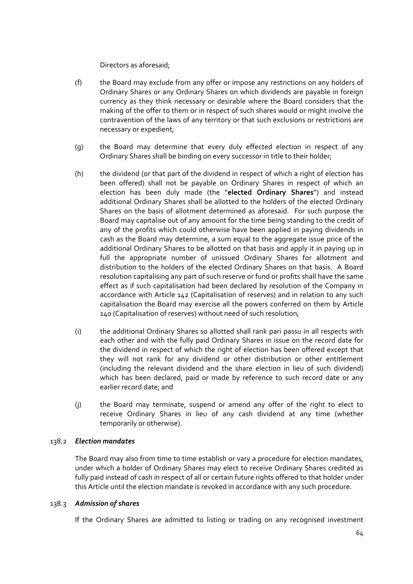Directors as aforesaid;

- (f) the Board may exclude from any offer or impose any restrictions on any holders of Ordinary Shares or any Ordinary Shares on which dividends are payable in foreign currency as they think necessary or desirable where the Board considers that the making of the offer to them or in respect of such shares would or might involve the contravention of the laws of any territory or that such exclusions or restrictions are necessary or expedient;
- (g) the Board may determine that every duly effected election in respect of any Ordinary Shares shall be binding on every successor in title to their holder;
- (h) the dividend (or that part of the dividend in respect of which a right of election has been offered) shall not be payable on Ordinary Shares in respect of which an election has been duly made (the "**elected Ordinary Shares**") and instead additional Ordinary Shares shall be allotted to the holders of the elected Ordinary Shares on the basis of allotment determined as aforesaid. For such purpose the Board may capitalise out of any amount for the time being standing to the credit of any of the profits which could otherwise have been applied in paying dividends in cash as the Board may determine, a sum equal to the aggregate issue price of the additional Ordinary Shares to be allotted on that basis and apply it in paying up in full the appropriate number of unissued Ordinary Shares for allotment and distribution to the holders of the elected Ordinary Shares on that basis. A Board resolution capitalising any part of such reserve or fund or profits shall have the same effect as if such capitalisation had been declared by resolution of the Company in accordance with Article 142 (Capitalisation of reserves) and in relation to any such capitalisation the Board may exercise all the powers conferred on them by Article 140 (Capitalisation of reserves) without need of such resolution;
- (i) the additional Ordinary Shares so allotted shall rank pari passu in all respects with each other and with the fully paid Ordinary Shares in issue on the record date for the dividend in respect of which the right of election has been offered except that they will not rank for any dividend or other distribution or other entitlement (including the relevant dividend and the share election in lieu of such dividend) which has been declared, paid or made by reference to such record date or any earlier record date; and
- (j) the Board may terminate, suspend or amend any offer of the right to elect to receive Ordinary Shares in lieu of any cash dividend at any time (whether temporarily or otherwise).

## 138.2 *Election mandates*

The Board may also from time to time establish or vary a procedure for election mandates, under which a holder of Ordinary Shares may elect to receive Ordinary Shares credited as fully paid instead of cash in respect of all or certain future rights offered to that holder under this Article until the election mandate is revoked in accordance with any such procedure.

### 138.3 *Admission of shares*

If the Ordinary Shares are admitted to listing or trading on any recognised investment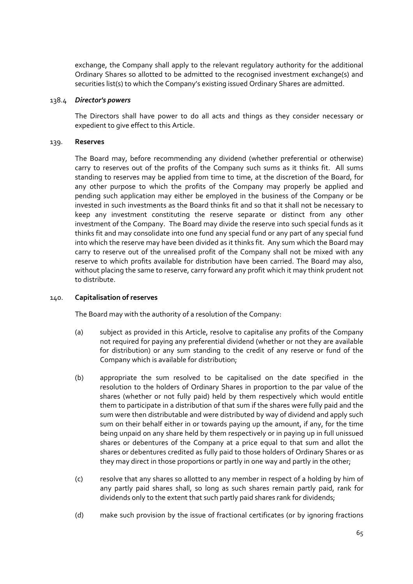exchange, the Company shall apply to the relevant regulatory authority for the additional Ordinary Shares so allotted to be admitted to the recognised investment exchange(s) and securities list(s) to which the Company's existing issued Ordinary Shares are admitted.

### 138.4 *Director's powers*

The Directors shall have power to do all acts and things as they consider necessary or expedient to give effect to this Article.

## 139. **Reserves**

The Board may, before recommending any dividend (whether preferential or otherwise) carry to reserves out of the profits of the Company such sums as it thinks fit. All sums standing to reserves may be applied from time to time, at the discretion of the Board, for any other purpose to which the profits of the Company may properly be applied and pending such application may either be employed in the business of the Company or be invested in such investments as the Board thinks fit and so that it shall not be necessary to keep any investment constituting the reserve separate or distinct from any other investment of the Company. The Board may divide the reserve into such special funds as it thinks fit and may consolidate into one fund any special fund or any part of any special fund into which the reserve may have been divided as it thinks fit. Any sum which the Board may carry to reserve out of the unrealised profit of the Company shall not be mixed with any reserve to which profits available for distribution have been carried. The Board may also, without placing the same to reserve, carry forward any profit which it may think prudent not to distribute.

## 140. **Capitalisation of reserves**

The Board may with the authority of a resolution of the Company:

- (a) subject as provided in this Article, resolve to capitalise any profits of the Company not required for paying any preferential dividend (whether or not they are available for distribution) or any sum standing to the credit of any reserve or fund of the Company which is available for distribution;
- (b) appropriate the sum resolved to be capitalised on the date specified in the resolution to the holders of Ordinary Shares in proportion to the par value of the shares (whether or not fully paid) held by them respectively which would entitle them to participate in a distribution of that sum if the shares were fully paid and the sum were then distributable and were distributed by way of dividend and apply such sum on their behalf either in or towards paying up the amount, if any, for the time being unpaid on any share held by them respectively or in paying up in full unissued shares or debentures of the Company at a price equal to that sum and allot the shares or debentures credited as fully paid to those holders of Ordinary Shares or as they may direct in those proportions or partly in one way and partly in the other;
- (c) resolve that any shares so allotted to any member in respect of a holding by him of any partly paid shares shall, so long as such shares remain partly paid, rank for dividends only to the extent that such partly paid shares rank for dividends;
- (d) make such provision by the issue of fractional certificates (or by ignoring fractions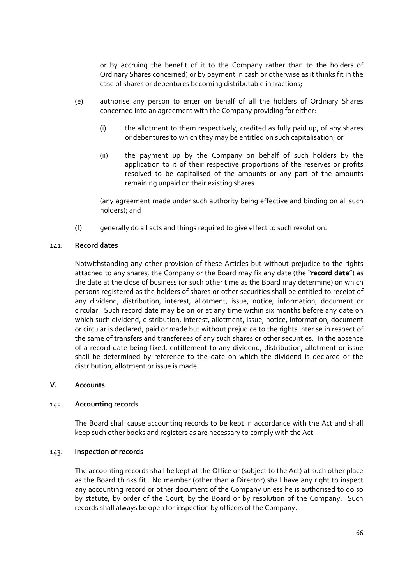or by accruing the benefit of it to the Company rather than to the holders of Ordinary Shares concerned) or by payment in cash or otherwise as it thinks fit in the case of shares or debentures becoming distributable in fractions;

- (e) authorise any person to enter on behalf of all the holders of Ordinary Shares concerned into an agreement with the Company providing for either:
	- (i) the allotment to them respectively, credited as fully paid up, of any shares or debentures to which they may be entitled on such capitalisation; or
	- (ii) the payment up by the Company on behalf of such holders by the application to it of their respective proportions of the reserves or profits resolved to be capitalised of the amounts or any part of the amounts remaining unpaid on their existing shares

(any agreement made under such authority being effective and binding on all such holders); and

(f) generally do all acts and things required to give effect to such resolution.

## 141. **Record dates**

Notwithstanding any other provision of these Articles but without prejudice to the rights attached to any shares, the Company or the Board may fix any date (the "**record date**") as the date at the close of business (or such other time as the Board may determine) on which persons registered as the holders of shares or other securities shall be entitled to receipt of any dividend, distribution, interest, allotment, issue, notice, information, document or circular. Such record date may be on or at any time within six months before any date on which such dividend, distribution, interest, allotment, issue, notice, information, document or circular is declared, paid or made but without prejudice to the rights inter se in respect of the same of transfers and transferees of any such shares or other securities. In the absence of a record date being fixed, entitlement to any dividend, distribution, allotment or issue shall be determined by reference to the date on which the dividend is declared or the distribution, allotment or issue is made.

### **V. Accounts**

## 142. **Accounting records**

The Board shall cause accounting records to be kept in accordance with the Act and shall keep such other books and registers as are necessary to comply with the Act.

### 143. **Inspection of records**

The accounting records shall be kept at the Office or (subject to the Act) at such other place as the Board thinks fit. No member (other than a Director) shall have any right to inspect any accounting record or other document of the Company unless he is authorised to do so by statute, by order of the Court, by the Board or by resolution of the Company. Such records shall always be open for inspection by officers of the Company.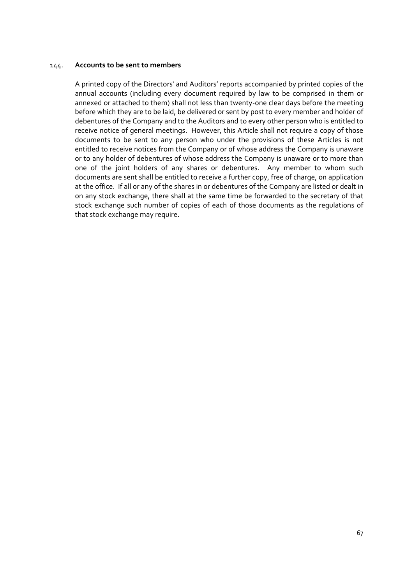### 144. **Accounts to be sent to members**

A printed copy of the Directors' and Auditors' reports accompanied by printed copies of the annual accounts (including every document required by law to be comprised in them or annexed or attached to them) shall not less than twenty-one clear days before the meeting before which they are to be laid, be delivered or sent by post to every member and holder of debentures of the Company and to the Auditors and to every other person who is entitled to receive notice of general meetings. However, this Article shall not require a copy of those documents to be sent to any person who under the provisions of these Articles is not entitled to receive notices from the Company or of whose address the Company is unaware or to any holder of debentures of whose address the Company is unaware or to more than one of the joint holders of any shares or debentures. Any member to whom such documents are sent shall be entitled to receive a further copy, free of charge, on application at the office. If all or any of the shares in or debentures of the Company are listed or dealt in on any stock exchange, there shall at the same time be forwarded to the secretary of that stock exchange such number of copies of each of those documents as the regulations of that stock exchange may require.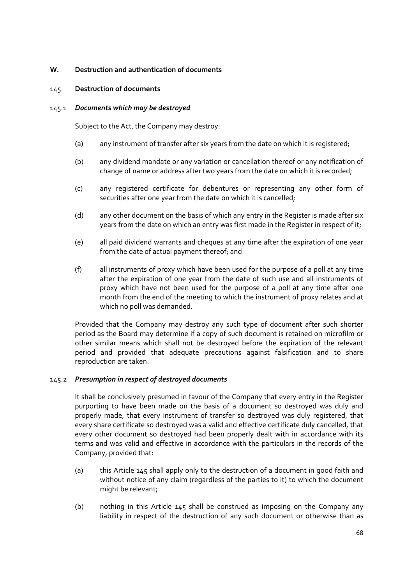# **W. Destruction and authentication of documents**

## 145. **Destruction of documents**

### 145.1 *Documents which may be destroyed*

Subject to the Act, the Company may destroy:

- (a) any instrument of transfer after six years from the date on which it is registered;
- (b) any dividend mandate or any variation or cancellation thereof or any notification of change of name or address after two years from the date on which it is recorded;
- (c) any registered certificate for debentures or representing any other form of securities after one year from the date on which it is cancelled;
- (d) any other document on the basis of which any entry in the Register is made after six years from the date on which an entry was first made in the Register in respect of it;
- (e) all paid dividend warrants and cheques at any time after the expiration of one year from the date of actual payment thereof; and
- (f) all instruments of proxy which have been used for the purpose of a poll at any time after the expiration of one year from the date of such use and all instruments of proxy which have not been used for the purpose of a poll at any time after one month from the end of the meeting to which the instrument of proxy relates and at which no poll was demanded.

Provided that the Company may destroy any such type of document after such shorter period as the Board may determine if a copy of such document is retained on microfilm or other similar means which shall not be destroyed before the expiration of the relevant period and provided that adequate precautions against falsification and to share reproduction are taken.

# 145.2 *Presumption in respect of destroyed documents*

It shall be conclusively presumed in favour of the Company that every entry in the Register purporting to have been made on the basis of a document so destroyed was duly and properly made, that every instrument of transfer so destroyed was duly registered, that every share certificate so destroyed was a valid and effective certificate duly cancelled, that every other document so destroyed had been properly dealt with in accordance with its terms and was valid and effective in accordance with the particulars in the records of the Company, provided that:

- (a) this Article 145 shall apply only to the destruction of a document in good faith and without notice of any claim (regardless of the parties to it) to which the document might be relevant;
- (b) nothing in this Article 145 shall be construed as imposing on the Company any liability in respect of the destruction of any such document or otherwise than as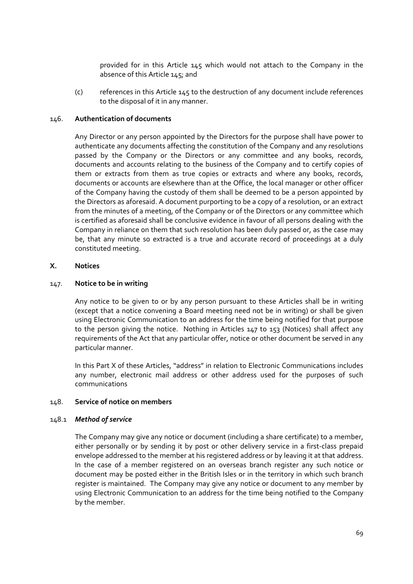provided for in this Article 145 which would not attach to the Company in the absence of this Article 145; and

(c) references in this Article 145 to the destruction of any document include references to the disposal of it in any manner.

### 146. **Authentication of documents**

Any Director or any person appointed by the Directors for the purpose shall have power to authenticate any documents affecting the constitution of the Company and any resolutions passed by the Company or the Directors or any committee and any books, records, documents and accounts relating to the business of the Company and to certify copies of them or extracts from them as true copies or extracts and where any books, records, documents or accounts are elsewhere than at the Office, the local manager or other officer of the Company having the custody of them shall be deemed to be a person appointed by the Directors as aforesaid. A document purporting to be a copy of a resolution, or an extract from the minutes of a meeting, of the Company or of the Directors or any committee which is certified as aforesaid shall be conclusive evidence in favour of all persons dealing with the Company in reliance on them that such resolution has been duly passed or, as the case may be, that any minute so extracted is a true and accurate record of proceedings at a duly constituted meeting.

## **X. Notices**

## 147. **Notice to be in writing**

Any notice to be given to or by any person pursuant to these Articles shall be in writing (except that a notice convening a Board meeting need not be in writing) or shall be given using Electronic Communication to an address for the time being notified for that purpose to the person giving the notice. Nothing in Articles 147 to 153 (Notices) shall affect any requirements of the Act that any particular offer, notice or other document be served in any particular manner.

In this Part X of these Articles, "address" in relation to Electronic Communications includes any number, electronic mail address or other address used for the purposes of such communications

#### 148. **Service of notice on members**

#### 148.1 *Method of service*

The Company may give any notice or document (including a share certificate) to a member, either personally or by sending it by post or other delivery service in a first-class prepaid envelope addressed to the member at his registered address or by leaving it at that address. In the case of a member registered on an overseas branch register any such notice or document may be posted either in the British Isles or in the territory in which such branch register is maintained. The Company may give any notice or document to any member by using Electronic Communication to an address for the time being notified to the Company by the member.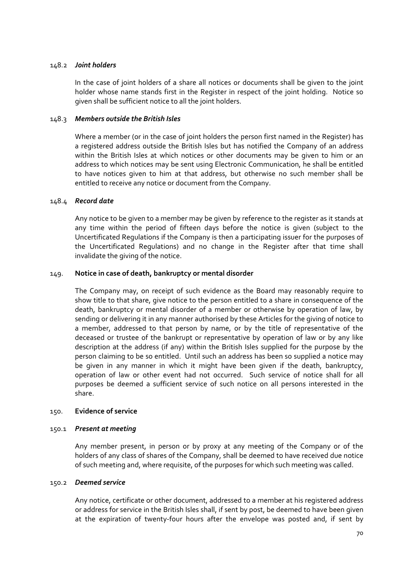## 148.2 *Joint holders*

In the case of joint holders of a share all notices or documents shall be given to the joint holder whose name stands first in the Register in respect of the joint holding. Notice so given shall be sufficient notice to all the joint holders.

## 148.3 *Members outside the British Isles*

Where a member (or in the case of joint holders the person first named in the Register) has a registered address outside the British Isles but has notified the Company of an address within the British Isles at which notices or other documents may be given to him or an address to which notices may be sent using Electronic Communication, he shall be entitled to have notices given to him at that address, but otherwise no such member shall be entitled to receive any notice or document from the Company.

## 148.4 *Record date*

Any notice to be given to a member may be given by reference to the register as it stands at any time within the period of fifteen days before the notice is given (subject to the Uncertificated Regulations if the Company is then a participating issuer for the purposes of the Uncertificated Regulations) and no change in the Register after that time shall invalidate the giving of the notice.

## 149. **Notice in case of death, bankruptcy or mental disorder**

The Company may, on receipt of such evidence as the Board may reasonably require to show title to that share, give notice to the person entitled to a share in consequence of the death, bankruptcy or mental disorder of a member or otherwise by operation of law, by sending or delivering it in any manner authorised by these Articles for the giving of notice to a member, addressed to that person by name, or by the title of representative of the deceased or trustee of the bankrupt or representative by operation of law or by any like description at the address (if any) within the British Isles supplied for the purpose by the person claiming to be so entitled. Until such an address has been so supplied a notice may be given in any manner in which it might have been given if the death, bankruptcy, operation of law or other event had not occurred. Such service of notice shall for all purposes be deemed a sufficient service of such notice on all persons interested in the share.

#### 150. **Evidence of service**

#### 150.1 *Present at meeting*

Any member present, in person or by proxy at any meeting of the Company or of the holders of any class of shares of the Company, shall be deemed to have received due notice of such meeting and, where requisite, of the purposes for which such meeting was called.

#### 150.2 *Deemed service*

Any notice, certificate or other document, addressed to a member at his registered address or address for service in the British Isles shall, if sent by post, be deemed to have been given at the expiration of twenty‐four hours after the envelope was posted and, if sent by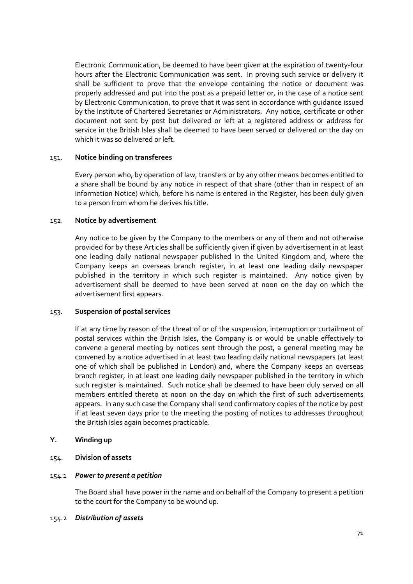Electronic Communication, be deemed to have been given at the expiration of twenty‐four hours after the Electronic Communication was sent. In proving such service or delivery it shall be sufficient to prove that the envelope containing the notice or document was properly addressed and put into the post as a prepaid letter or, in the case of a notice sent by Electronic Communication, to prove that it was sent in accordance with guidance issued by the Institute of Chartered Secretaries or Administrators. Any notice, certificate or other document not sent by post but delivered or left at a registered address or address for service in the British Isles shall be deemed to have been served or delivered on the day on which it was so delivered or left.

#### 151. **Notice binding on transferees**

Every person who, by operation of law, transfers or by any other means becomes entitled to a share shall be bound by any notice in respect of that share (other than in respect of an Information Notice) which, before his name is entered in the Register, has been duly given to a person from whom he derives his title.

#### 152. **Notice by advertisement**

Any notice to be given by the Company to the members or any of them and not otherwise provided for by these Articles shall be sufficiently given if given by advertisement in at least one leading daily national newspaper published in the United Kingdom and, where the Company keeps an overseas branch register, in at least one leading daily newspaper published in the territory in which such register is maintained. Any notice given by advertisement shall be deemed to have been served at noon on the day on which the advertisement first appears.

# 153. **Suspension of postal services**

If at any time by reason of the threat of or of the suspension, interruption or curtailment of postal services within the British Isles, the Company is or would be unable effectively to convene a general meeting by notices sent through the post, a general meeting may be convened by a notice advertised in at least two leading daily national newspapers (at least one of which shall be published in London) and, where the Company keeps an overseas branch register, in at least one leading daily newspaper published in the territory in which such register is maintained. Such notice shall be deemed to have been duly served on all members entitled thereto at noon on the day on which the first of such advertisements appears. In any such case the Company shall send confirmatory copies of the notice by post if at least seven days prior to the meeting the posting of notices to addresses throughout the British Isles again becomes practicable.

#### **Y. Winding up**

#### 154. **Division of assets**

#### 154.1 *Power to present a petition*

The Board shall have power in the name and on behalf of the Company to present a petition to the court for the Company to be wound up.

#### 154.2 *Distribution of assets*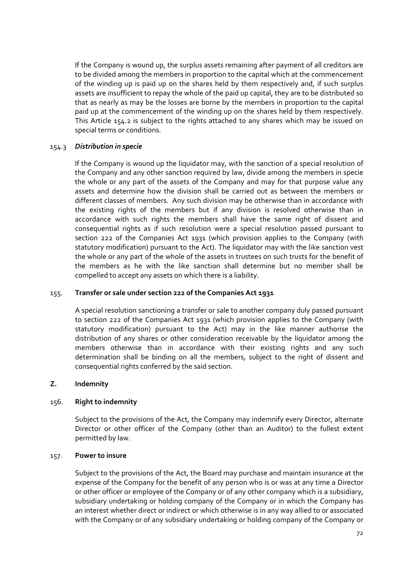If the Company is wound up, the surplus assets remaining after payment of all creditors are to be divided among the members in proportion to the capital which at the commencement of the winding up is paid up on the shares held by them respectively and, if such surplus assets are insufficient to repay the whole of the paid up capital, they are to be distributed so that as nearly as may be the losses are borne by the members in proportion to the capital paid up at the commencement of the winding up on the shares held by them respectively. This Article 154.2 is subject to the rights attached to any shares which may be issued on special terms or conditions.

## 154.3 *Distribution in specie*

If the Company is wound up the liquidator may, with the sanction of a special resolution of the Company and any other sanction required by law, divide among the members in specie the whole or any part of the assets of the Company and may for that purpose value any assets and determine how the division shall be carried out as between the members or different classes of members. Any such division may be otherwise than in accordance with the existing rights of the members but if any division is resolved otherwise than in accordance with such rights the members shall have the same right of dissent and consequential rights as if such resolution were a special resolution passed pursuant to section 222 of the Companies Act 1931 (which provision applies to the Company (with statutory modification) pursuant to the Act). The liquidator may with the like sanction vest the whole or any part of the whole of the assets in trustees on such trusts for the benefit of the members as he with the like sanction shall determine but no member shall be compelled to accept any assets on which there is a liability.

### 155. **Transfer or sale under section 222 of the Companies Act 1931**

A special resolution sanctioning a transfer or sale to another company duly passed pursuant to section 222 of the Companies Act 1931 (which provision applies to the Company (with statutory modification) pursuant to the Act) may in the like manner authorise the distribution of any shares or other consideration receivable by the liquidator among the members otherwise than in accordance with their existing rights and any such determination shall be binding on all the members, subject to the right of dissent and consequential rights conferred by the said section.

# **Z. Indemnity**

# 156. **Right to indemnity**

Subject to the provisions of the Act, the Company may indemnify every Director, alternate Director or other officer of the Company (other than an Auditor) to the fullest extent permitted by law.

#### 157. **Power to insure**

Subject to the provisions of the Act, the Board may purchase and maintain insurance at the expense of the Company for the benefit of any person who is or was at any time a Director or other officer or employee of the Company or of any other company which is a subsidiary, subsidiary undertaking or holding company of the Company or in which the Company has an interest whether direct or indirect or which otherwise is in any way allied to or associated with the Company or of any subsidiary undertaking or holding company of the Company or